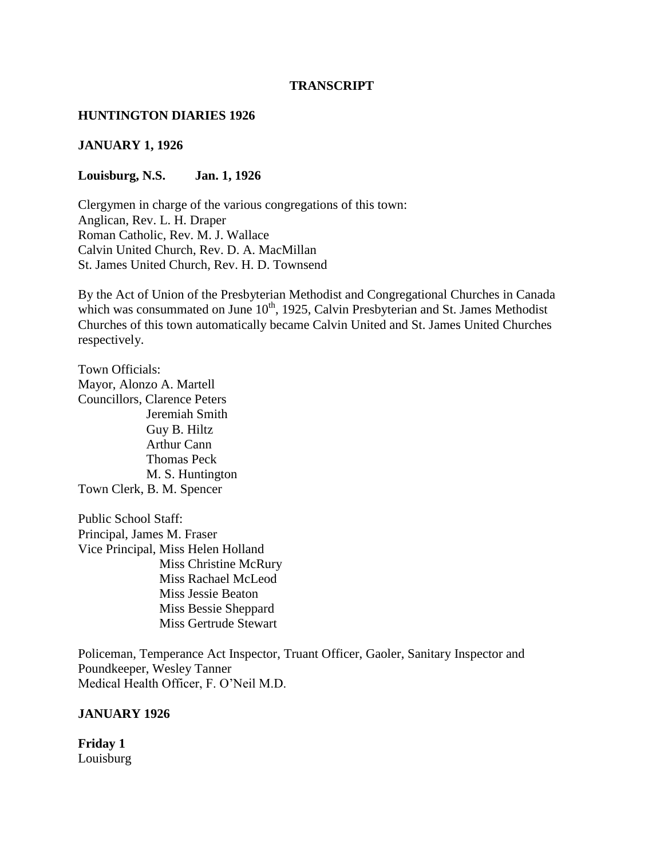### **TRANSCRIPT**

### **HUNTINGTON DIARIES 1926**

### **JANUARY 1, 1926**

### **Louisburg, N.S. Jan. 1, 1926**

Clergymen in charge of the various congregations of this town: Anglican, Rev. L. H. Draper Roman Catholic, Rev. M. J. Wallace Calvin United Church, Rev. D. A. MacMillan St. James United Church, Rev. H. D. Townsend

By the Act of Union of the Presbyterian Methodist and Congregational Churches in Canada which was consummated on June  $10^{th}$ , 1925, Calvin Presbyterian and St. James Methodist Churches of this town automatically became Calvin United and St. James United Churches respectively.

Town Officials: Mayor, Alonzo A. Martell Councillors, Clarence Peters Jeremiah Smith Guy B. Hiltz Arthur Cann Thomas Peck M. S. Huntington Town Clerk, B. M. Spencer

Public School Staff: Principal, James M. Fraser Vice Principal, Miss Helen Holland Miss Christine McRury Miss Rachael McLeod Miss Jessie Beaton Miss Bessie Sheppard Miss Gertrude Stewart

Policeman, Temperance Act Inspector, Truant Officer, Gaoler, Sanitary Inspector and Poundkeeper, Wesley Tanner Medical Health Officer, F. O'Neil M.D.

### **JANUARY 1926**

**Friday 1** Louisburg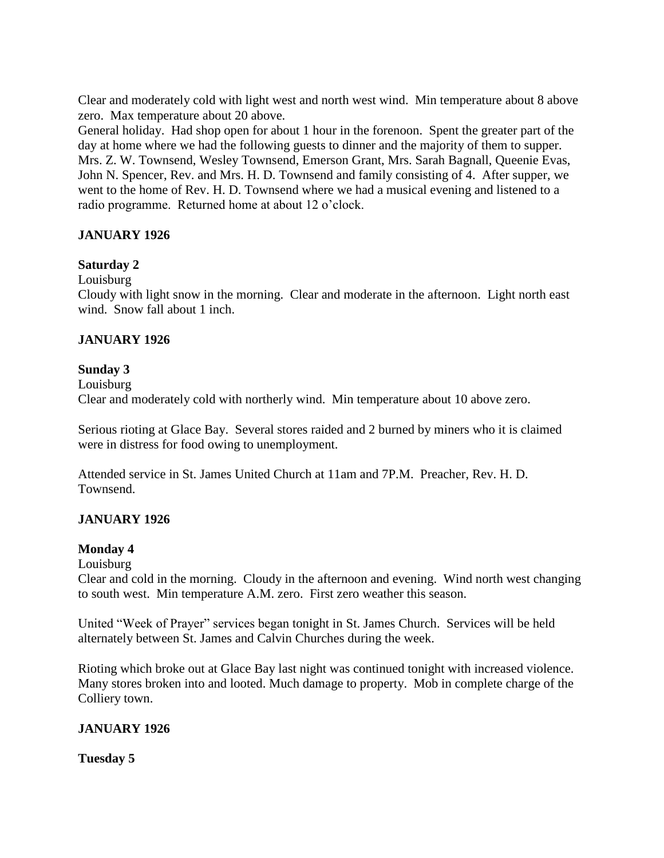Clear and moderately cold with light west and north west wind. Min temperature about 8 above zero. Max temperature about 20 above.

General holiday. Had shop open for about 1 hour in the forenoon. Spent the greater part of the day at home where we had the following guests to dinner and the majority of them to supper. Mrs. Z. W. Townsend, Wesley Townsend, Emerson Grant, Mrs. Sarah Bagnall, Queenie Evas, John N. Spencer, Rev. and Mrs. H. D. Townsend and family consisting of 4. After supper, we went to the home of Rev. H. D. Townsend where we had a musical evening and listened to a radio programme. Returned home at about 12 o'clock.

## **JANUARY 1926**

### **Saturday 2**

Louisburg

Cloudy with light snow in the morning. Clear and moderate in the afternoon. Light north east wind. Snow fall about 1 inch.

### **JANUARY 1926**

### **Sunday 3**

Louisburg Clear and moderately cold with northerly wind. Min temperature about 10 above zero.

Serious rioting at Glace Bay. Several stores raided and 2 burned by miners who it is claimed were in distress for food owing to unemployment.

Attended service in St. James United Church at 11am and 7P.M. Preacher, Rev. H. D. Townsend.

## **JANUARY 1926**

### **Monday 4**

Louisburg

Clear and cold in the morning. Cloudy in the afternoon and evening. Wind north west changing to south west. Min temperature A.M. zero. First zero weather this season.

United "Week of Prayer" services began tonight in St. James Church. Services will be held alternately between St. James and Calvin Churches during the week.

Rioting which broke out at Glace Bay last night was continued tonight with increased violence. Many stores broken into and looted. Much damage to property. Mob in complete charge of the Colliery town.

### **JANUARY 1926**

**Tuesday 5**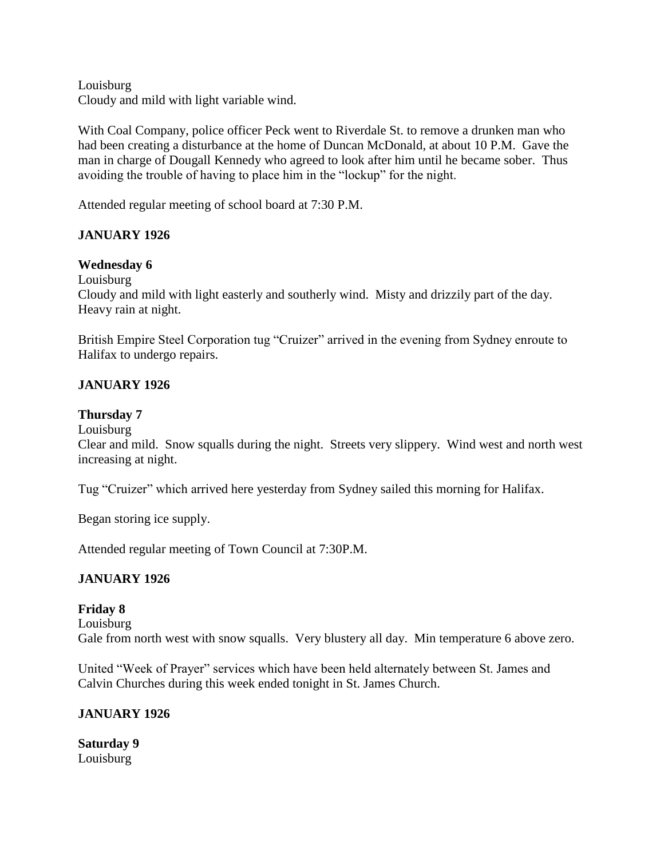Louisburg Cloudy and mild with light variable wind.

With Coal Company, police officer Peck went to Riverdale St. to remove a drunken man who had been creating a disturbance at the home of Duncan McDonald, at about 10 P.M. Gave the man in charge of Dougall Kennedy who agreed to look after him until he became sober. Thus avoiding the trouble of having to place him in the "lockup" for the night.

Attended regular meeting of school board at 7:30 P.M.

## **JANUARY 1926**

### **Wednesday 6**

Louisburg

Cloudy and mild with light easterly and southerly wind. Misty and drizzily part of the day. Heavy rain at night.

British Empire Steel Corporation tug "Cruizer" arrived in the evening from Sydney enroute to Halifax to undergo repairs.

### **JANUARY 1926**

### **Thursday 7**

Louisburg

Clear and mild. Snow squalls during the night. Streets very slippery. Wind west and north west increasing at night.

Tug "Cruizer" which arrived here yesterday from Sydney sailed this morning for Halifax.

Began storing ice supply.

Attended regular meeting of Town Council at 7:30P.M.

### **JANUARY 1926**

### **Friday 8**

Louisburg

Gale from north west with snow squalls. Very blustery all day. Min temperature 6 above zero.

United "Week of Prayer" services which have been held alternately between St. James and Calvin Churches during this week ended tonight in St. James Church.

### **JANUARY 1926**

**Saturday 9** Louisburg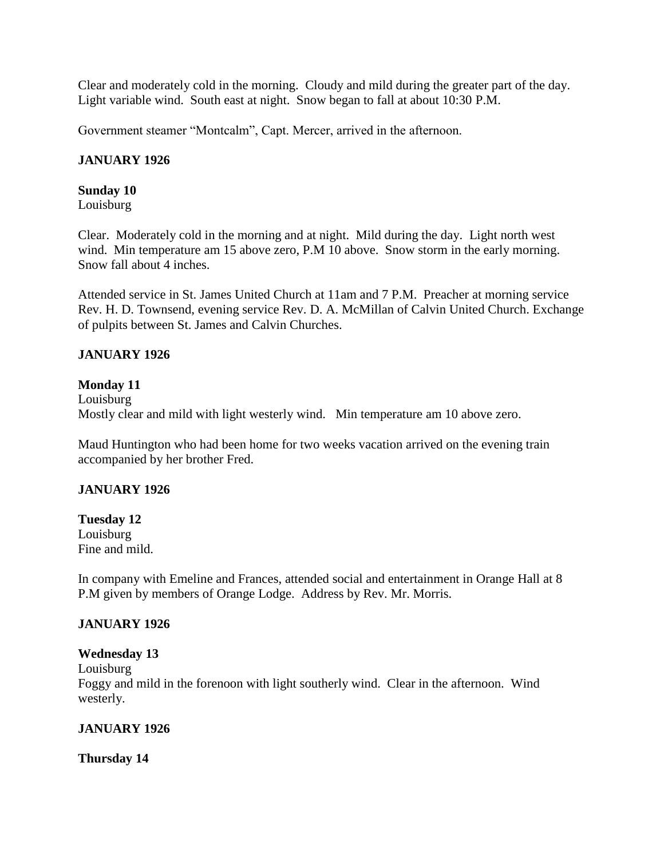Clear and moderately cold in the morning. Cloudy and mild during the greater part of the day. Light variable wind. South east at night. Snow began to fall at about 10:30 P.M.

Government steamer "Montcalm", Capt. Mercer, arrived in the afternoon.

## **JANUARY 1926**

### **Sunday 10**

Louisburg

Clear. Moderately cold in the morning and at night. Mild during the day. Light north west wind. Min temperature am 15 above zero, P.M 10 above. Snow storm in the early morning. Snow fall about 4 inches.

Attended service in St. James United Church at 11am and 7 P.M. Preacher at morning service Rev. H. D. Townsend, evening service Rev. D. A. McMillan of Calvin United Church. Exchange of pulpits between St. James and Calvin Churches.

# **JANUARY 1926**

# **Monday 11**

Louisburg Mostly clear and mild with light westerly wind. Min temperature am 10 above zero.

Maud Huntington who had been home for two weeks vacation arrived on the evening train accompanied by her brother Fred.

## **JANUARY 1926**

**Tuesday 12** Louisburg Fine and mild.

In company with Emeline and Frances, attended social and entertainment in Orange Hall at 8 P.M given by members of Orange Lodge. Address by Rev. Mr. Morris.

## **JANUARY 1926**

## **Wednesday 13**

Louisburg Foggy and mild in the forenoon with light southerly wind. Clear in the afternoon. Wind

westerly.

## **JANUARY 1926**

**Thursday 14**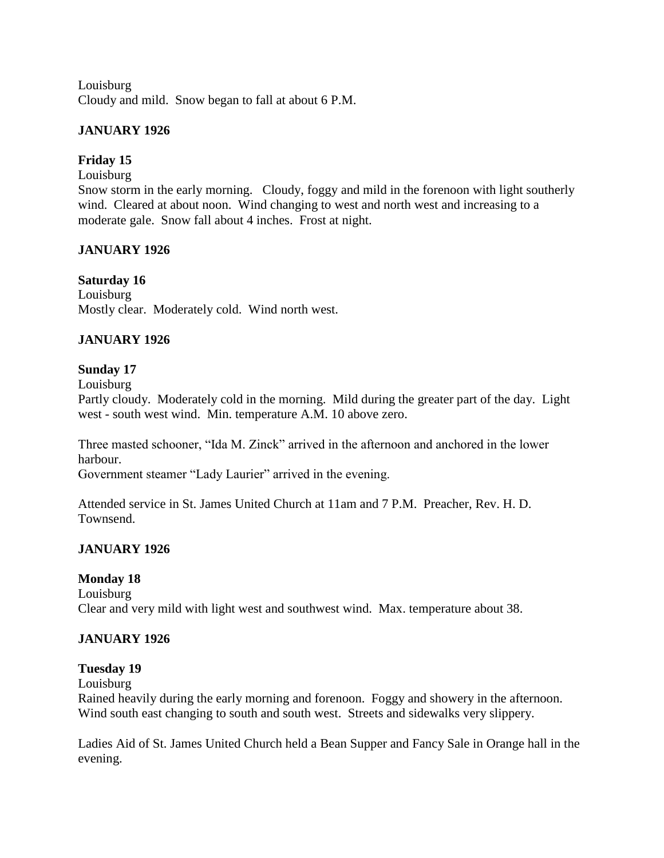Louisburg Cloudy and mild. Snow began to fall at about 6 P.M.

### **JANUARY 1926**

# **Friday 15**

### Louisburg

Snow storm in the early morning. Cloudy, foggy and mild in the forenoon with light southerly wind. Cleared at about noon. Wind changing to west and north west and increasing to a moderate gale. Snow fall about 4 inches. Frost at night.

## **JANUARY 1926**

# **Saturday 16**

Louisburg Mostly clear. Moderately cold. Wind north west.

# **JANUARY 1926**

## **Sunday 17**

Louisburg

Partly cloudy. Moderately cold in the morning. Mild during the greater part of the day. Light west - south west wind. Min. temperature A.M. 10 above zero.

Three masted schooner, "Ida M. Zinck" arrived in the afternoon and anchored in the lower harbour.

Government steamer "Lady Laurier" arrived in the evening.

Attended service in St. James United Church at 11am and 7 P.M. Preacher, Rev. H. D. Townsend.

## **JANUARY 1926**

## **Monday 18**

Louisburg Clear and very mild with light west and southwest wind. Max. temperature about 38.

## **JANUARY 1926**

## **Tuesday 19**

Louisburg

Rained heavily during the early morning and forenoon. Foggy and showery in the afternoon. Wind south east changing to south and south west. Streets and sidewalks very slippery.

Ladies Aid of St. James United Church held a Bean Supper and Fancy Sale in Orange hall in the evening.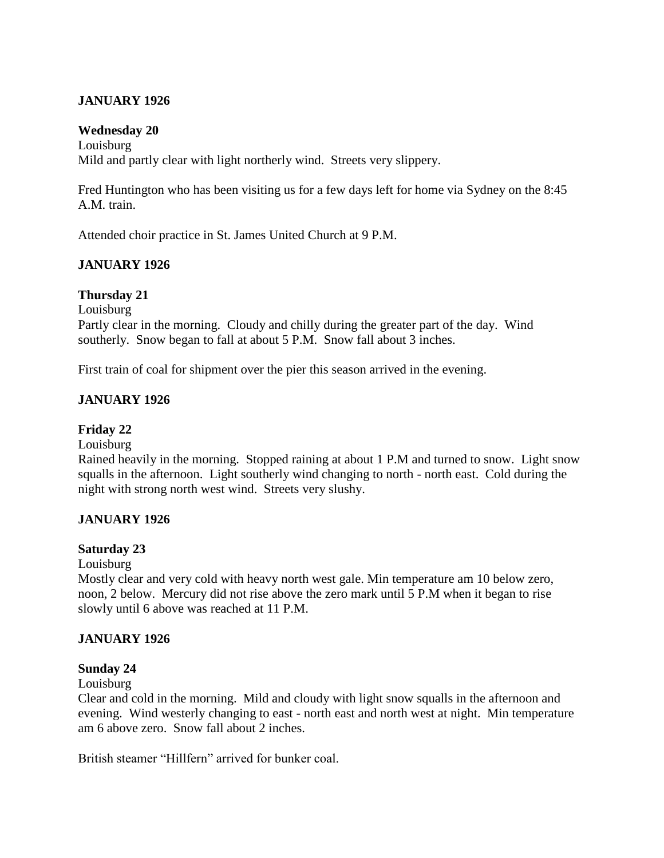## **JANUARY 1926**

### **Wednesday 20**

Louisburg Mild and partly clear with light northerly wind. Streets very slippery.

Fred Huntington who has been visiting us for a few days left for home via Sydney on the 8:45 A.M. train.

Attended choir practice in St. James United Church at 9 P.M.

# **JANUARY 1926**

### **Thursday 21**

Louisburg Partly clear in the morning. Cloudy and chilly during the greater part of the day. Wind southerly. Snow began to fall at about 5 P.M. Snow fall about 3 inches.

First train of coal for shipment over the pier this season arrived in the evening.

## **JANUARY 1926**

**Friday 22**

Louisburg

Rained heavily in the morning. Stopped raining at about 1 P.M and turned to snow. Light snow squalls in the afternoon. Light southerly wind changing to north - north east. Cold during the night with strong north west wind. Streets very slushy.

## **JANUARY 1926**

### **Saturday 23**

Louisburg

Mostly clear and very cold with heavy north west gale. Min temperature am 10 below zero, noon, 2 below. Mercury did not rise above the zero mark until 5 P.M when it began to rise slowly until 6 above was reached at 11 P.M.

## **JANUARY 1926**

## **Sunday 24**

Louisburg

Clear and cold in the morning. Mild and cloudy with light snow squalls in the afternoon and evening. Wind westerly changing to east - north east and north west at night. Min temperature am 6 above zero. Snow fall about 2 inches.

British steamer "Hillfern" arrived for bunker coal.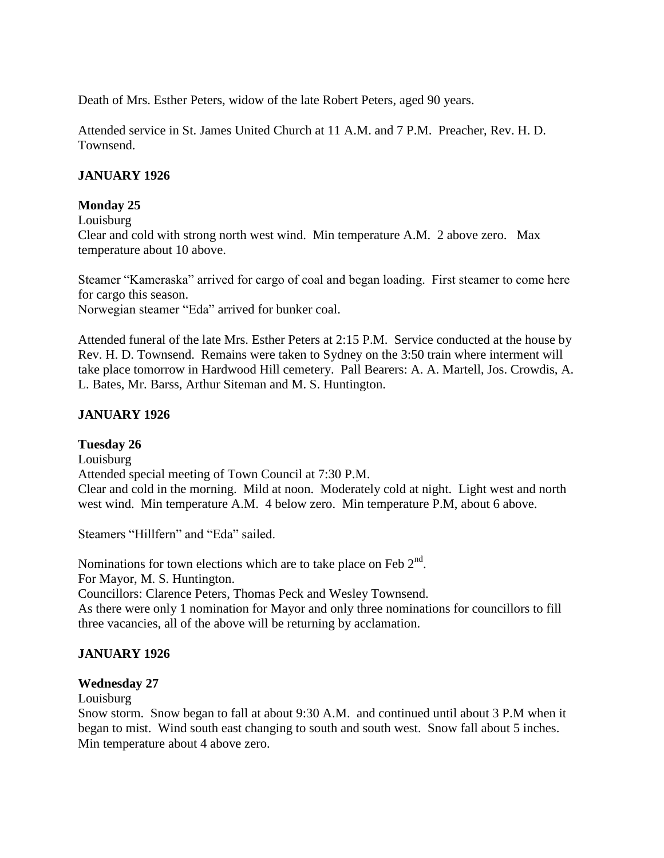Death of Mrs. Esther Peters, widow of the late Robert Peters, aged 90 years.

Attended service in St. James United Church at 11 A.M. and 7 P.M. Preacher, Rev. H. D. Townsend.

### **JANUARY 1926**

### **Monday 25**

Louisburg

Clear and cold with strong north west wind. Min temperature A.M. 2 above zero. Max temperature about 10 above.

Steamer "Kameraska" arrived for cargo of coal and began loading. First steamer to come here for cargo this season.

Norwegian steamer "Eda" arrived for bunker coal.

Attended funeral of the late Mrs. Esther Peters at 2:15 P.M. Service conducted at the house by Rev. H. D. Townsend. Remains were taken to Sydney on the 3:50 train where interment will take place tomorrow in Hardwood Hill cemetery. Pall Bearers: A. A. Martell, Jos. Crowdis, A. L. Bates, Mr. Barss, Arthur Siteman and M. S. Huntington.

## **JANUARY 1926**

### **Tuesday 26**

Louisburg

Attended special meeting of Town Council at 7:30 P.M.

Clear and cold in the morning. Mild at noon. Moderately cold at night. Light west and north west wind. Min temperature A.M. 4 below zero. Min temperature P.M, about 6 above.

Steamers "Hillfern" and "Eda" sailed.

Nominations for town elections which are to take place on Feb  $2<sup>nd</sup>$ .

For Mayor, M. S. Huntington.

Councillors: Clarence Peters, Thomas Peck and Wesley Townsend.

As there were only 1 nomination for Mayor and only three nominations for councillors to fill three vacancies, all of the above will be returning by acclamation.

## **JANUARY 1926**

### **Wednesday 27**

Louisburg

Snow storm. Snow began to fall at about 9:30 A.M. and continued until about 3 P.M when it began to mist. Wind south east changing to south and south west. Snow fall about 5 inches. Min temperature about 4 above zero.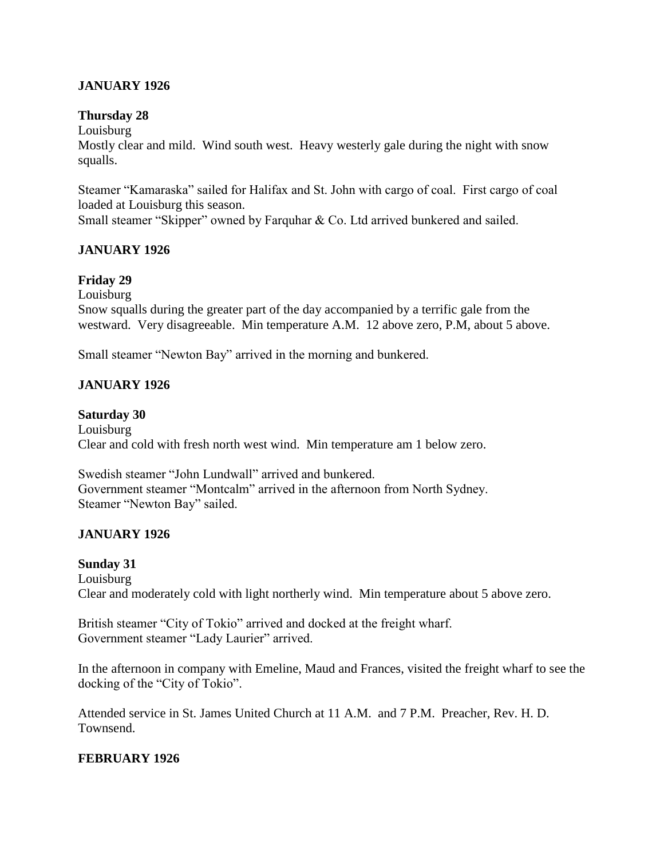## **JANUARY 1926**

### **Thursday 28**

Louisburg

Mostly clear and mild. Wind south west. Heavy westerly gale during the night with snow squalls.

Steamer "Kamaraska" sailed for Halifax and St. John with cargo of coal. First cargo of coal loaded at Louisburg this season.

Small steamer "Skipper" owned by Farquhar & Co. Ltd arrived bunkered and sailed.

## **JANUARY 1926**

## **Friday 29**

Louisburg

Snow squalls during the greater part of the day accompanied by a terrific gale from the westward. Very disagreeable. Min temperature A.M. 12 above zero, P.M, about 5 above.

Small steamer "Newton Bay" arrived in the morning and bunkered.

# **JANUARY 1926**

### **Saturday 30**

Louisburg Clear and cold with fresh north west wind. Min temperature am 1 below zero.

Swedish steamer "John Lundwall" arrived and bunkered. Government steamer "Montcalm" arrived in the afternoon from North Sydney. Steamer "Newton Bay" sailed.

## **JANUARY 1926**

### **Sunday 31**

Louisburg Clear and moderately cold with light northerly wind. Min temperature about 5 above zero.

British steamer "City of Tokio" arrived and docked at the freight wharf. Government steamer "Lady Laurier" arrived.

In the afternoon in company with Emeline, Maud and Frances, visited the freight wharf to see the docking of the "City of Tokio".

Attended service in St. James United Church at 11 A.M. and 7 P.M. Preacher, Rev. H. D. Townsend.

### **FEBRUARY 1926**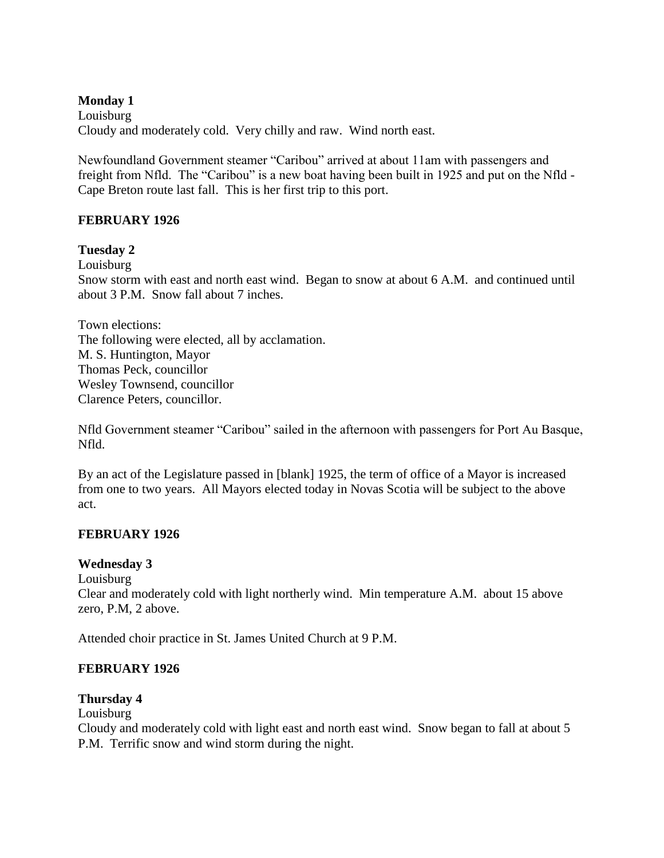### **Monday 1**

Louisburg Cloudy and moderately cold. Very chilly and raw. Wind north east.

Newfoundland Government steamer "Caribou" arrived at about 11am with passengers and freight from Nfld. The "Caribou" is a new boat having been built in 1925 and put on the Nfld - Cape Breton route last fall. This is her first trip to this port.

## **FEBRUARY 1926**

### **Tuesday 2**

Louisburg

Snow storm with east and north east wind. Began to snow at about 6 A.M. and continued until about 3 P.M. Snow fall about 7 inches.

Town elections: The following were elected, all by acclamation. M. S. Huntington, Mayor Thomas Peck, councillor Wesley Townsend, councillor Clarence Peters, councillor.

Nfld Government steamer "Caribou" sailed in the afternoon with passengers for Port Au Basque, Nfld.

By an act of the Legislature passed in [blank] 1925, the term of office of a Mayor is increased from one to two years. All Mayors elected today in Novas Scotia will be subject to the above act.

### **FEBRUARY 1926**

### **Wednesday 3**

Louisburg

Clear and moderately cold with light northerly wind. Min temperature A.M. about 15 above zero, P.M, 2 above.

Attended choir practice in St. James United Church at 9 P.M.

### **FEBRUARY 1926**

### **Thursday 4**

Louisburg

Cloudy and moderately cold with light east and north east wind. Snow began to fall at about 5 P.M. Terrific snow and wind storm during the night.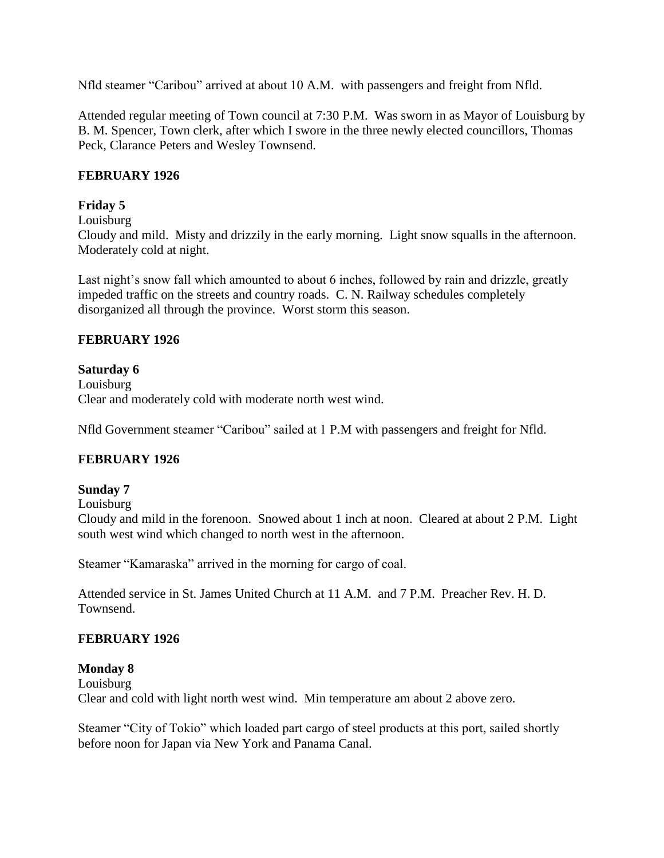Nfld steamer "Caribou" arrived at about 10 A.M. with passengers and freight from Nfld.

Attended regular meeting of Town council at 7:30 P.M. Was sworn in as Mayor of Louisburg by B. M. Spencer, Town clerk, after which I swore in the three newly elected councillors, Thomas Peck, Clarance Peters and Wesley Townsend.

## **FEBRUARY 1926**

# **Friday 5**

Louisburg

Cloudy and mild. Misty and drizzily in the early morning. Light snow squalls in the afternoon. Moderately cold at night.

Last night's snow fall which amounted to about 6 inches, followed by rain and drizzle, greatly impeded traffic on the streets and country roads. C. N. Railway schedules completely disorganized all through the province. Worst storm this season.

## **FEBRUARY 1926**

# **Saturday 6**

Louisburg Clear and moderately cold with moderate north west wind.

Nfld Government steamer "Caribou" sailed at 1 P.M with passengers and freight for Nfld.

# **FEBRUARY 1926**

## **Sunday 7**

Louisburg

Cloudy and mild in the forenoon. Snowed about 1 inch at noon. Cleared at about 2 P.M. Light south west wind which changed to north west in the afternoon.

Steamer "Kamaraska" arrived in the morning for cargo of coal.

Attended service in St. James United Church at 11 A.M. and 7 P.M. Preacher Rev. H. D. Townsend.

## **FEBRUARY 1926**

### **Monday 8** Louisburg Clear and cold with light north west wind. Min temperature am about 2 above zero.

Steamer "City of Tokio" which loaded part cargo of steel products at this port, sailed shortly before noon for Japan via New York and Panama Canal.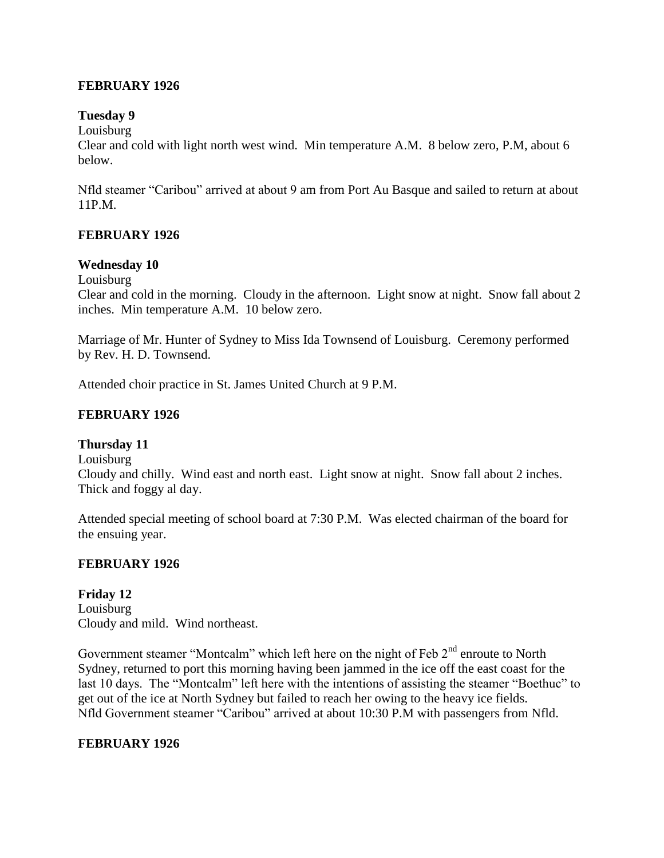### **FEBRUARY 1926**

### **Tuesday 9**

Louisburg

Clear and cold with light north west wind. Min temperature A.M. 8 below zero, P.M, about 6 below.

Nfld steamer "Caribou" arrived at about 9 am from Port Au Basque and sailed to return at about 11P.M.

## **FEBRUARY 1926**

### **Wednesday 10**

Louisburg

Clear and cold in the morning. Cloudy in the afternoon. Light snow at night. Snow fall about 2 inches. Min temperature A.M. 10 below zero.

Marriage of Mr. Hunter of Sydney to Miss Ida Townsend of Louisburg. Ceremony performed by Rev. H. D. Townsend.

Attended choir practice in St. James United Church at 9 P.M.

### **FEBRUARY 1926**

## **Thursday 11**

Louisburg

Cloudy and chilly. Wind east and north east. Light snow at night. Snow fall about 2 inches. Thick and foggy al day.

Attended special meeting of school board at 7:30 P.M. Was elected chairman of the board for the ensuing year.

### **FEBRUARY 1926**

**Friday 12** Louisburg Cloudy and mild. Wind northeast.

Government steamer "Montcalm" which left here on the night of Feb 2<sup>nd</sup> enroute to North Sydney, returned to port this morning having been jammed in the ice off the east coast for the last 10 days. The "Montcalm" left here with the intentions of assisting the steamer "Boethuc" to get out of the ice at North Sydney but failed to reach her owing to the heavy ice fields. Nfld Government steamer "Caribou" arrived at about 10:30 P.M with passengers from Nfld.

### **FEBRUARY 1926**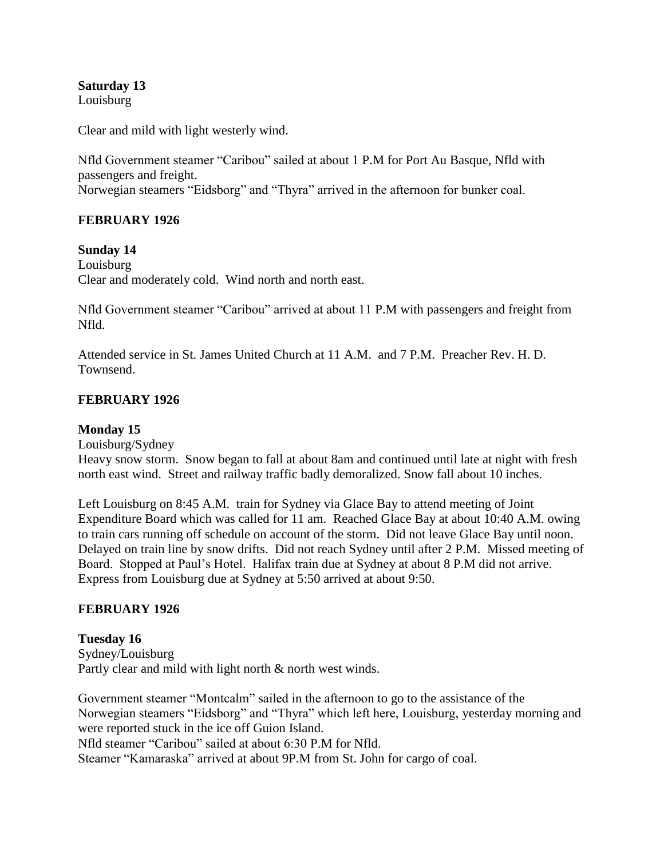**Saturday 13** Louisburg

Clear and mild with light westerly wind.

Nfld Government steamer "Caribou" sailed at about 1 P.M for Port Au Basque, Nfld with passengers and freight. Norwegian steamers "Eidsborg" and "Thyra" arrived in the afternoon for bunker coal.

## **FEBRUARY 1926**

### **Sunday 14**

Louisburg Clear and moderately cold. Wind north and north east.

Nfld Government steamer "Caribou" arrived at about 11 P.M with passengers and freight from Nfld.

Attended service in St. James United Church at 11 A.M. and 7 P.M. Preacher Rev. H. D. Townsend.

### **FEBRUARY 1926**

### **Monday 15**

Louisburg/Sydney

Heavy snow storm. Snow began to fall at about 8am and continued until late at night with fresh north east wind. Street and railway traffic badly demoralized. Snow fall about 10 inches.

Left Louisburg on 8:45 A.M. train for Sydney via Glace Bay to attend meeting of Joint Expenditure Board which was called for 11 am. Reached Glace Bay at about 10:40 A.M. owing to train cars running off schedule on account of the storm. Did not leave Glace Bay until noon. Delayed on train line by snow drifts. Did not reach Sydney until after 2 P.M. Missed meeting of Board. Stopped at Paul's Hotel. Halifax train due at Sydney at about 8 P.M did not arrive. Express from Louisburg due at Sydney at 5:50 arrived at about 9:50.

## **FEBRUARY 1926**

**Tuesday 16** Sydney/Louisburg Partly clear and mild with light north & north west winds.

Government steamer "Montcalm" sailed in the afternoon to go to the assistance of the Norwegian steamers "Eidsborg" and "Thyra" which left here, Louisburg, yesterday morning and were reported stuck in the ice off Guion Island. Nfld steamer "Caribou" sailed at about 6:30 P.M for Nfld. Steamer "Kamaraska" arrived at about 9P.M from St. John for cargo of coal.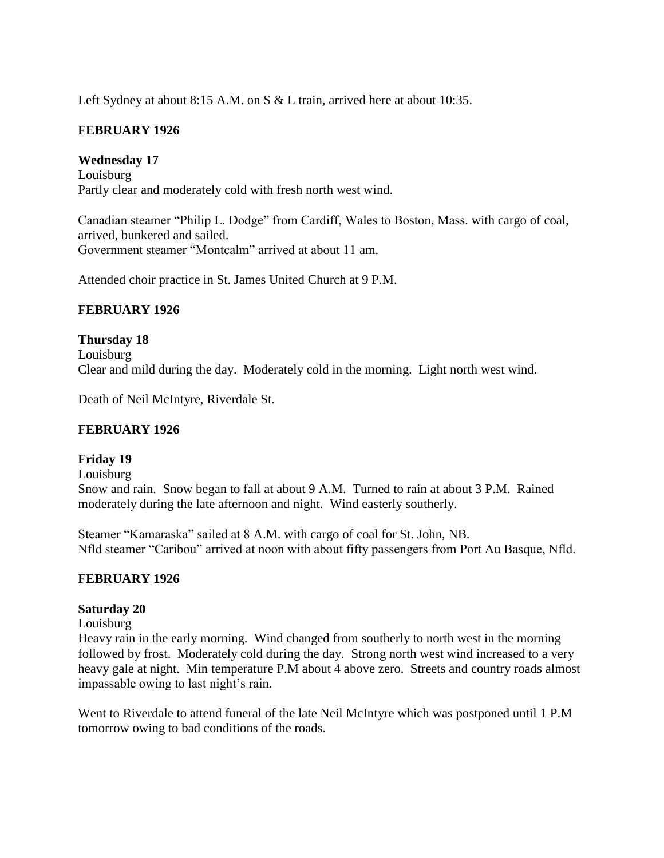Left Sydney at about 8:15 A.M. on S & L train, arrived here at about 10:35.

## **FEBRUARY 1926**

**Wednesday 17** Louisburg Partly clear and moderately cold with fresh north west wind.

Canadian steamer "Philip L. Dodge" from Cardiff, Wales to Boston, Mass. with cargo of coal, arrived, bunkered and sailed. Government steamer "Montcalm" arrived at about 11 am.

Attended choir practice in St. James United Church at 9 P.M.

## **FEBRUARY 1926**

**Thursday 18** Louisburg Clear and mild during the day. Moderately cold in the morning. Light north west wind.

Death of Neil McIntyre, Riverdale St.

## **FEBRUARY 1926**

## **Friday 19**

Louisburg Snow and rain. Snow began to fall at about 9 A.M. Turned to rain at about 3 P.M. Rained moderately during the late afternoon and night. Wind easterly southerly.

Steamer "Kamaraska" sailed at 8 A.M. with cargo of coal for St. John, NB. Nfld steamer "Caribou" arrived at noon with about fifty passengers from Port Au Basque, Nfld.

## **FEBRUARY 1926**

## **Saturday 20**

### Louisburg

Heavy rain in the early morning. Wind changed from southerly to north west in the morning followed by frost. Moderately cold during the day. Strong north west wind increased to a very heavy gale at night. Min temperature P.M about 4 above zero. Streets and country roads almost impassable owing to last night's rain.

Went to Riverdale to attend funeral of the late Neil McIntyre which was postponed until 1 P.M tomorrow owing to bad conditions of the roads.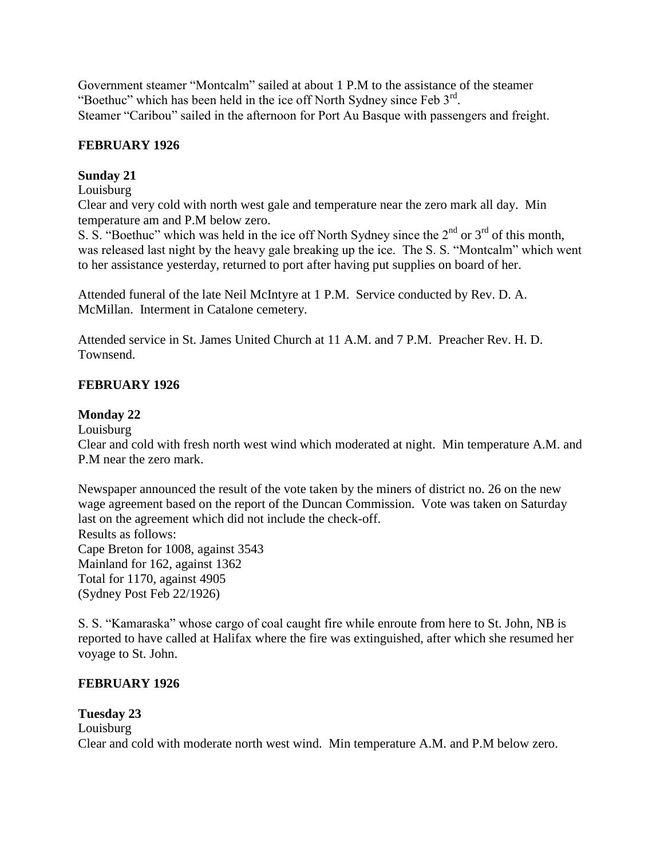Government steamer "Montcalm" sailed at about 1 P.M to the assistance of the steamer "Boethuc" which has been held in the ice off North Sydney since Feb  $3<sup>rd</sup>$ . Steamer "Caribou" sailed in the afternoon for Port Au Basque with passengers and freight.

# **FEBRUARY 1926**

# **Sunday 21**

### Louisburg

Clear and very cold with north west gale and temperature near the zero mark all day. Min temperature am and P.M below zero.

S. S. "Boethuc" which was held in the ice off North Sydney since the  $2^{nd}$  or  $3^{rd}$  of this month, was released last night by the heavy gale breaking up the ice. The S. S. "Montcalm" which went to her assistance yesterday, returned to port after having put supplies on board of her.

Attended funeral of the late Neil McIntyre at 1 P.M. Service conducted by Rev. D. A. McMillan. Interment in Catalone cemetery.

Attended service in St. James United Church at 11 A.M. and 7 P.M. Preacher Rev. H. D. Townsend.

# **FEBRUARY 1926**

## **Monday 22**

Louisburg

Clear and cold with fresh north west wind which moderated at night. Min temperature A.M. and P.M near the zero mark.

Newspaper announced the result of the vote taken by the miners of district no. 26 on the new wage agreement based on the report of the Duncan Commission. Vote was taken on Saturday last on the agreement which did not include the check-off. Results as follows: Cape Breton for 1008, against 3543 Mainland for 162, against 1362 Total for 1170, against 4905 (Sydney Post Feb 22/1926)

S. S. "Kamaraska" whose cargo of coal caught fire while enroute from here to St. John, NB is reported to have called at Halifax where the fire was extinguished, after which she resumed her voyage to St. John.

## **FEBRUARY 1926**

# **Tuesday 23**

Louisburg Clear and cold with moderate north west wind. Min temperature A.M. and P.M below zero.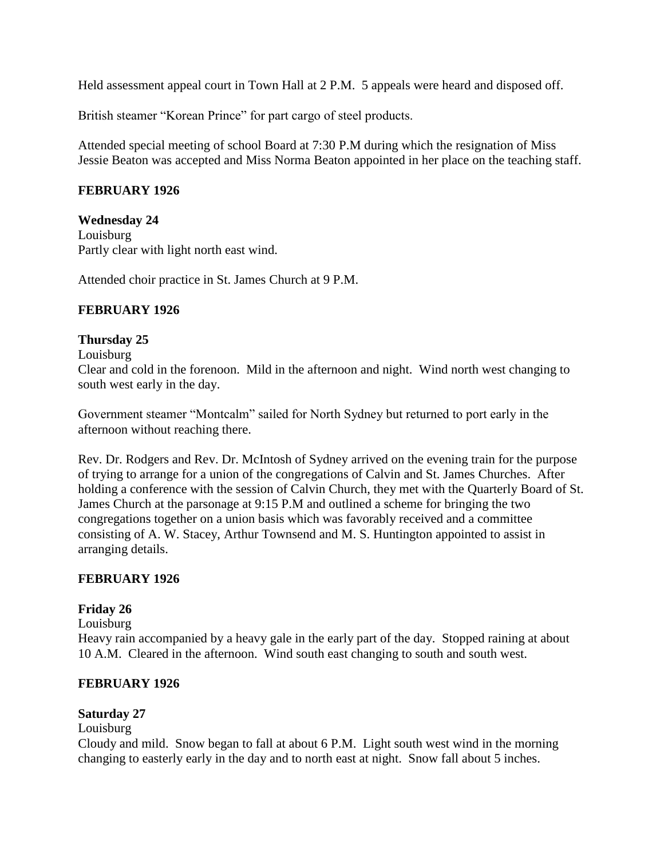Held assessment appeal court in Town Hall at 2 P.M. 5 appeals were heard and disposed off.

British steamer "Korean Prince" for part cargo of steel products.

Attended special meeting of school Board at 7:30 P.M during which the resignation of Miss Jessie Beaton was accepted and Miss Norma Beaton appointed in her place on the teaching staff.

### **FEBRUARY 1926**

## **Wednesday 24**

Louisburg Partly clear with light north east wind.

Attended choir practice in St. James Church at 9 P.M.

## **FEBRUARY 1926**

### **Thursday 25**

### Louisburg

Clear and cold in the forenoon. Mild in the afternoon and night. Wind north west changing to south west early in the day.

Government steamer "Montcalm" sailed for North Sydney but returned to port early in the afternoon without reaching there.

Rev. Dr. Rodgers and Rev. Dr. McIntosh of Sydney arrived on the evening train for the purpose of trying to arrange for a union of the congregations of Calvin and St. James Churches. After holding a conference with the session of Calvin Church, they met with the Quarterly Board of St. James Church at the parsonage at 9:15 P.M and outlined a scheme for bringing the two congregations together on a union basis which was favorably received and a committee consisting of A. W. Stacey, Arthur Townsend and M. S. Huntington appointed to assist in arranging details.

### **FEBRUARY 1926**

## **Friday 26**

Louisburg

Heavy rain accompanied by a heavy gale in the early part of the day. Stopped raining at about 10 A.M. Cleared in the afternoon. Wind south east changing to south and south west.

### **FEBRUARY 1926**

### **Saturday 27**

### Louisburg

Cloudy and mild. Snow began to fall at about 6 P.M. Light south west wind in the morning changing to easterly early in the day and to north east at night. Snow fall about 5 inches.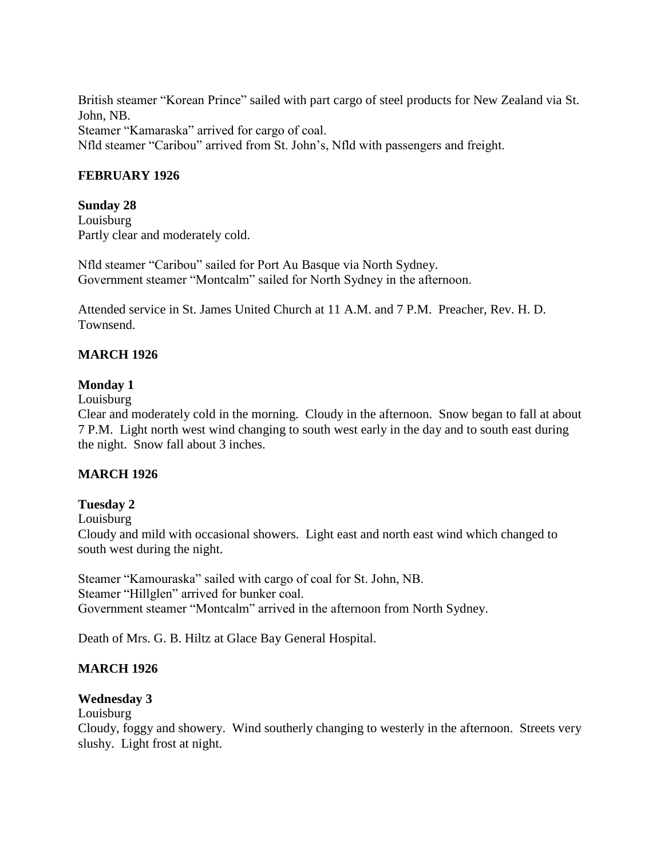British steamer "Korean Prince" sailed with part cargo of steel products for New Zealand via St. John, NB.

Steamer "Kamaraska" arrived for cargo of coal. Nfld steamer "Caribou" arrived from St. John's, Nfld with passengers and freight.

### **FEBRUARY 1926**

### **Sunday 28**

Louisburg Partly clear and moderately cold.

Nfld steamer "Caribou" sailed for Port Au Basque via North Sydney. Government steamer "Montcalm" sailed for North Sydney in the afternoon.

Attended service in St. James United Church at 11 A.M. and 7 P.M. Preacher, Rev. H. D. Townsend.

### **MARCH 1926**

### **Monday 1**

Louisburg

Clear and moderately cold in the morning. Cloudy in the afternoon. Snow began to fall at about 7 P.M. Light north west wind changing to south west early in the day and to south east during the night. Snow fall about 3 inches.

## **MARCH 1926**

### **Tuesday 2**

Louisburg

Cloudy and mild with occasional showers. Light east and north east wind which changed to south west during the night.

Steamer "Kamouraska" sailed with cargo of coal for St. John, NB. Steamer "Hillglen" arrived for bunker coal. Government steamer "Montcalm" arrived in the afternoon from North Sydney.

Death of Mrs. G. B. Hiltz at Glace Bay General Hospital.

## **MARCH 1926**

### **Wednesday 3**

Louisburg

Cloudy, foggy and showery. Wind southerly changing to westerly in the afternoon. Streets very slushy. Light frost at night.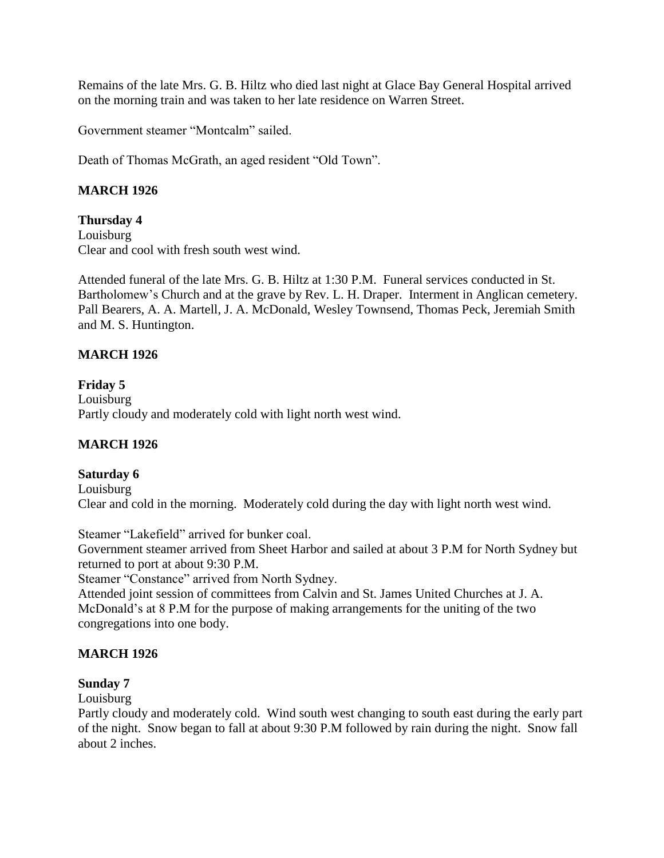Remains of the late Mrs. G. B. Hiltz who died last night at Glace Bay General Hospital arrived on the morning train and was taken to her late residence on Warren Street.

Government steamer "Montcalm" sailed.

Death of Thomas McGrath, an aged resident "Old Town".

## **MARCH 1926**

**Thursday 4** Louisburg Clear and cool with fresh south west wind.

Attended funeral of the late Mrs. G. B. Hiltz at 1:30 P.M. Funeral services conducted in St. Bartholomew's Church and at the grave by Rev. L. H. Draper. Interment in Anglican cemetery. Pall Bearers, A. A. Martell, J. A. McDonald, Wesley Townsend, Thomas Peck, Jeremiah Smith and M. S. Huntington.

## **MARCH 1926**

# **Friday 5** Louisburg

Partly cloudy and moderately cold with light north west wind.

# **MARCH 1926**

## **Saturday 6**

Louisburg Clear and cold in the morning. Moderately cold during the day with light north west wind.

Steamer "Lakefield" arrived for bunker coal.

Government steamer arrived from Sheet Harbor and sailed at about 3 P.M for North Sydney but returned to port at about 9:30 P.M.

Steamer "Constance" arrived from North Sydney.

Attended joint session of committees from Calvin and St. James United Churches at J. A. McDonald's at 8 P.M for the purpose of making arrangements for the uniting of the two congregations into one body.

## **MARCH 1926**

## **Sunday 7**

Louisburg

Partly cloudy and moderately cold. Wind south west changing to south east during the early part of the night. Snow began to fall at about 9:30 P.M followed by rain during the night. Snow fall about 2 inches.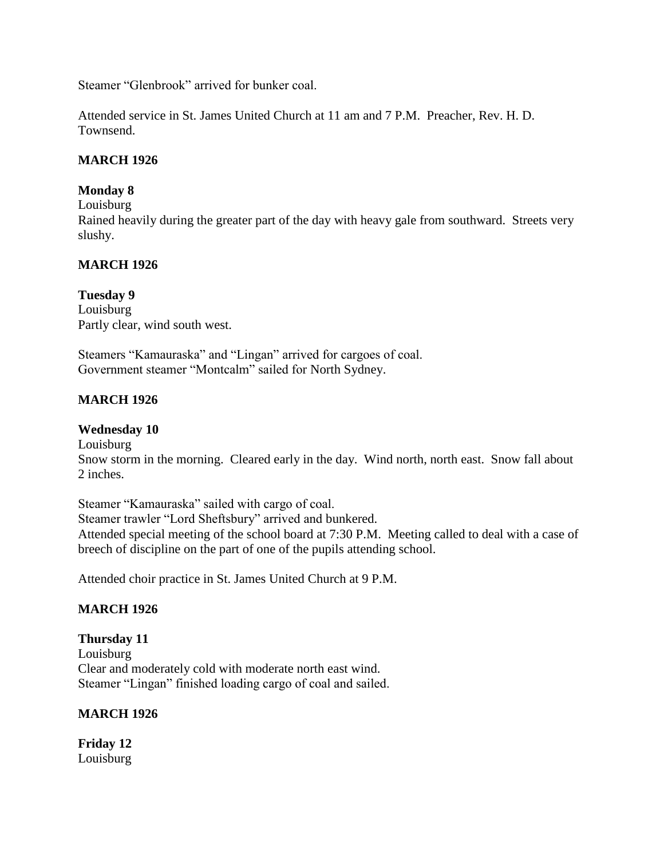Steamer "Glenbrook" arrived for bunker coal.

Attended service in St. James United Church at 11 am and 7 P.M. Preacher, Rev. H. D. Townsend.

## **MARCH 1926**

# **Monday 8**

Louisburg

Rained heavily during the greater part of the day with heavy gale from southward. Streets very slushy.

# **MARCH 1926**

# **Tuesday 9**

Louisburg Partly clear, wind south west.

Steamers "Kamauraska" and "Lingan" arrived for cargoes of coal. Government steamer "Montcalm" sailed for North Sydney.

# **MARCH 1926**

## **Wednesday 10**

Louisburg Snow storm in the morning. Cleared early in the day. Wind north, north east. Snow fall about 2 inches.

Steamer "Kamauraska" sailed with cargo of coal. Steamer trawler "Lord Sheftsbury" arrived and bunkered. Attended special meeting of the school board at 7:30 P.M. Meeting called to deal with a case of breech of discipline on the part of one of the pupils attending school.

Attended choir practice in St. James United Church at 9 P.M.

## **MARCH 1926**

**Thursday 11** Louisburg Clear and moderately cold with moderate north east wind. Steamer "Lingan" finished loading cargo of coal and sailed.

## **MARCH 1926**

**Friday 12** Louisburg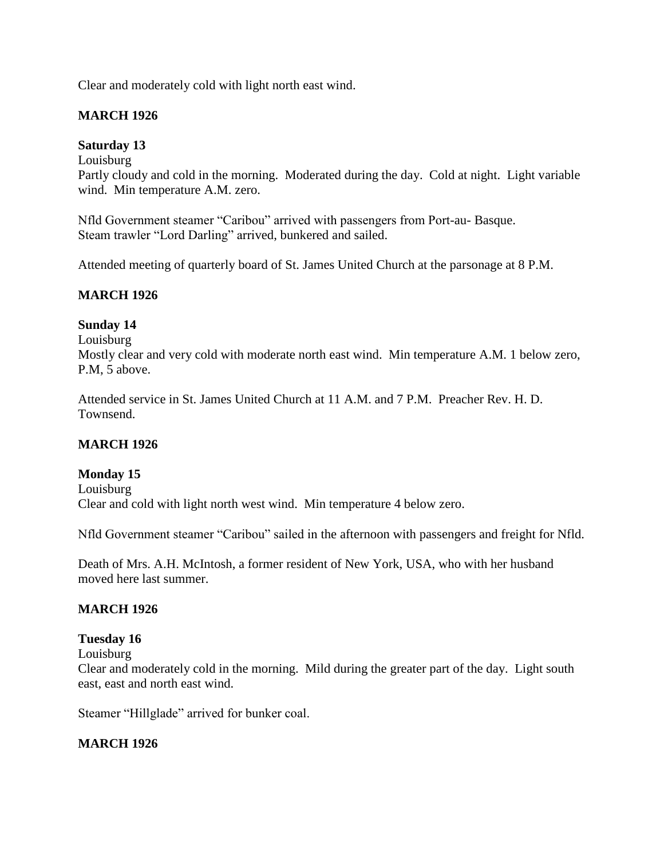Clear and moderately cold with light north east wind.

## **MARCH 1926**

### **Saturday 13**

Louisburg

Partly cloudy and cold in the morning. Moderated during the day. Cold at night. Light variable wind. Min temperature A.M. zero.

Nfld Government steamer "Caribou" arrived with passengers from Port-au- Basque. Steam trawler "Lord Darling" arrived, bunkered and sailed.

Attended meeting of quarterly board of St. James United Church at the parsonage at 8 P.M.

## **MARCH 1926**

## **Sunday 14**

Louisburg Mostly clear and very cold with moderate north east wind. Min temperature A.M. 1 below zero, P.M, 5 above.

Attended service in St. James United Church at 11 A.M. and 7 P.M. Preacher Rev. H. D. Townsend.

## **MARCH 1926**

## **Monday 15**

Louisburg Clear and cold with light north west wind. Min temperature 4 below zero.

Nfld Government steamer "Caribou" sailed in the afternoon with passengers and freight for Nfld.

Death of Mrs. A.H. McIntosh, a former resident of New York, USA, who with her husband moved here last summer.

## **MARCH 1926**

## **Tuesday 16**

Louisburg

Clear and moderately cold in the morning. Mild during the greater part of the day. Light south east, east and north east wind.

Steamer "Hillglade" arrived for bunker coal.

## **MARCH 1926**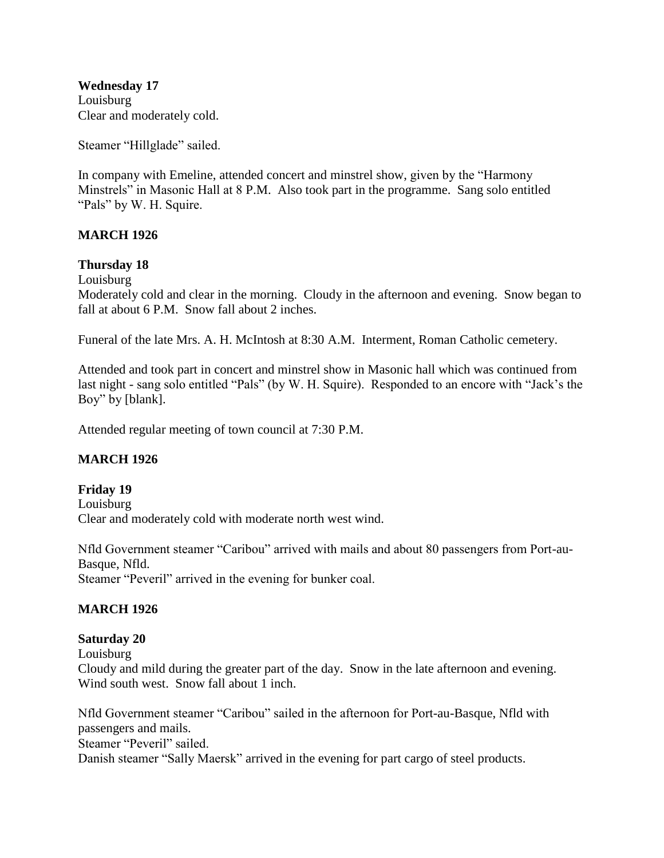**Wednesday 17** Louisburg Clear and moderately cold.

Steamer "Hillglade" sailed.

In company with Emeline, attended concert and minstrel show, given by the "Harmony Minstrels" in Masonic Hall at 8 P.M. Also took part in the programme. Sang solo entitled "Pals" by W. H. Squire.

### **MARCH 1926**

### **Thursday 18**

Louisburg

Moderately cold and clear in the morning. Cloudy in the afternoon and evening. Snow began to fall at about 6 P.M. Snow fall about 2 inches.

Funeral of the late Mrs. A. H. McIntosh at 8:30 A.M. Interment, Roman Catholic cemetery.

Attended and took part in concert and minstrel show in Masonic hall which was continued from last night - sang solo entitled "Pals" (by W. H. Squire). Responded to an encore with "Jack's the Boy" by [blank].

Attended regular meeting of town council at 7:30 P.M.

### **MARCH 1926**

### **Friday 19** Louisburg Clear and moderately cold with moderate north west wind.

Nfld Government steamer "Caribou" arrived with mails and about 80 passengers from Port-au-Basque, Nfld.

Steamer "Peveril" arrived in the evening for bunker coal.

### **MARCH 1926**

# **Saturday 20**

Louisburg Cloudy and mild during the greater part of the day. Snow in the late afternoon and evening. Wind south west. Snow fall about 1 inch.

Nfld Government steamer "Caribou" sailed in the afternoon for Port-au-Basque, Nfld with passengers and mails. Steamer "Peveril" sailed. Danish steamer "Sally Maersk" arrived in the evening for part cargo of steel products.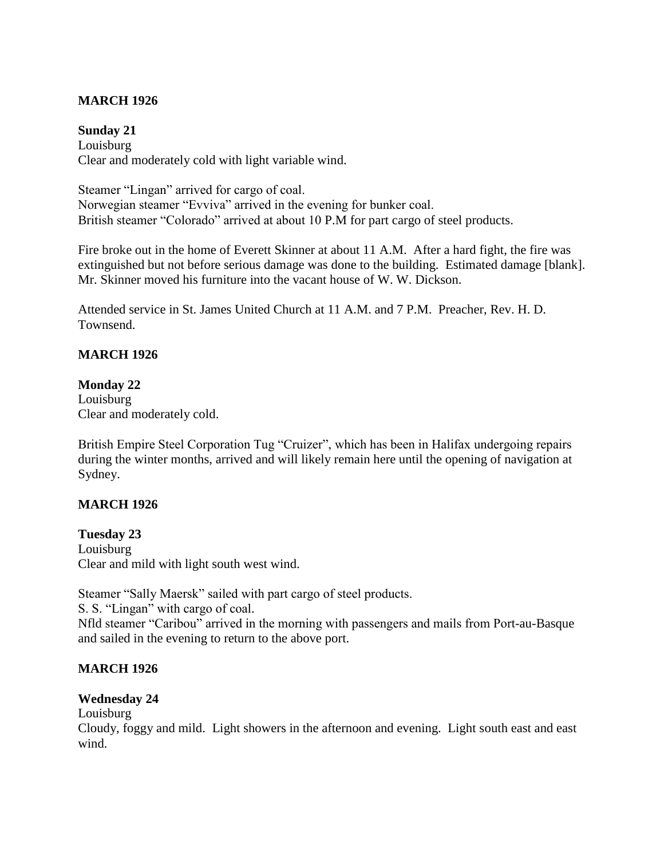## **MARCH 1926**

### **Sunday 21**

Louisburg Clear and moderately cold with light variable wind.

Steamer "Lingan" arrived for cargo of coal. Norwegian steamer "Evviva" arrived in the evening for bunker coal. British steamer "Colorado" arrived at about 10 P.M for part cargo of steel products.

Fire broke out in the home of Everett Skinner at about 11 A.M. After a hard fight, the fire was extinguished but not before serious damage was done to the building. Estimated damage [blank]. Mr. Skinner moved his furniture into the vacant house of W. W. Dickson.

Attended service in St. James United Church at 11 A.M. and 7 P.M. Preacher, Rev. H. D. Townsend.

# **MARCH 1926**

## **Monday 22**

Louisburg Clear and moderately cold.

British Empire Steel Corporation Tug "Cruizer", which has been in Halifax undergoing repairs during the winter months, arrived and will likely remain here until the opening of navigation at Sydney.

## **MARCH 1926**

**Tuesday 23** Louisburg Clear and mild with light south west wind.

Steamer "Sally Maersk" sailed with part cargo of steel products.

S. S. "Lingan" with cargo of coal.

Nfld steamer "Caribou" arrived in the morning with passengers and mails from Port-au-Basque and sailed in the evening to return to the above port.

## **MARCH 1926**

## **Wednesday 24**

Louisburg

Cloudy, foggy and mild. Light showers in the afternoon and evening. Light south east and east wind.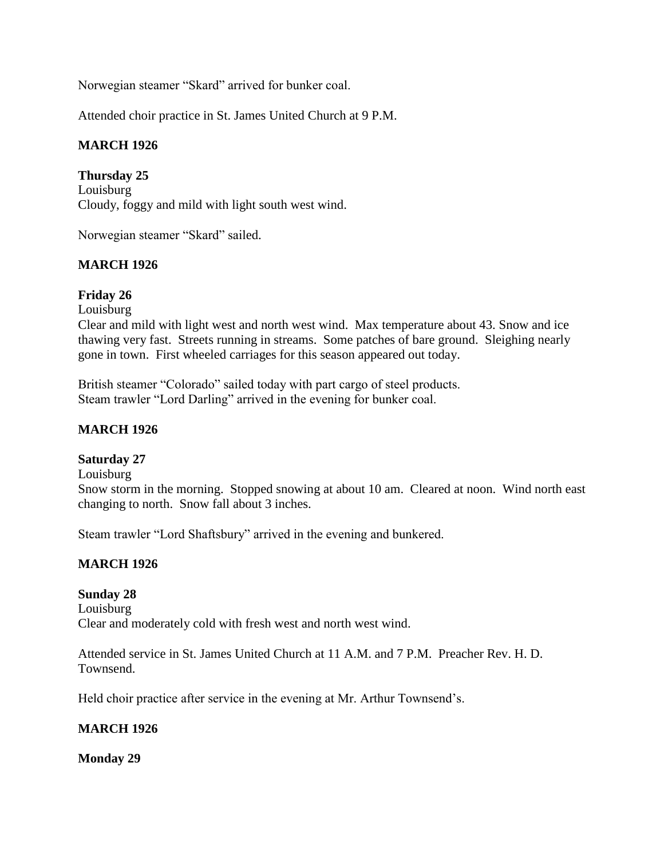Norwegian steamer "Skard" arrived for bunker coal.

Attended choir practice in St. James United Church at 9 P.M.

## **MARCH 1926**

**Thursday 25** Louisburg Cloudy, foggy and mild with light south west wind.

Norwegian steamer "Skard" sailed.

## **MARCH 1926**

## **Friday 26**

Louisburg

Clear and mild with light west and north west wind. Max temperature about 43. Snow and ice thawing very fast. Streets running in streams. Some patches of bare ground. Sleighing nearly gone in town. First wheeled carriages for this season appeared out today.

British steamer "Colorado" sailed today with part cargo of steel products. Steam trawler "Lord Darling" arrived in the evening for bunker coal.

## **MARCH 1926**

## **Saturday 27**

Louisburg

Snow storm in the morning. Stopped snowing at about 10 am. Cleared at noon. Wind north east changing to north. Snow fall about 3 inches.

Steam trawler "Lord Shaftsbury" arrived in the evening and bunkered.

## **MARCH 1926**

### **Sunday 28**

Louisburg Clear and moderately cold with fresh west and north west wind.

Attended service in St. James United Church at 11 A.M. and 7 P.M. Preacher Rev. H. D. Townsend.

Held choir practice after service in the evening at Mr. Arthur Townsend's.

### **MARCH 1926**

**Monday 29**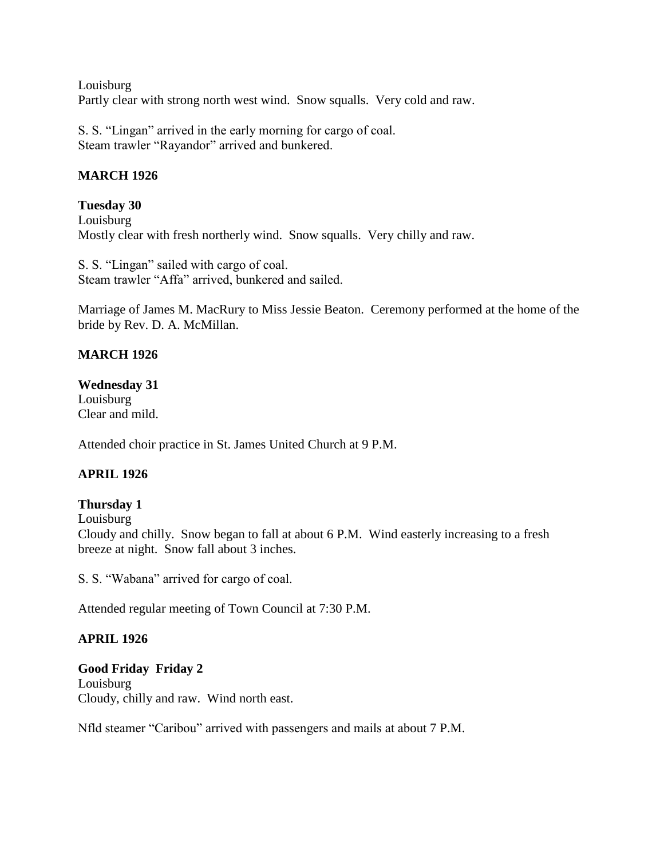Louisburg Partly clear with strong north west wind. Snow squalls. Very cold and raw.

S. S. "Lingan" arrived in the early morning for cargo of coal. Steam trawler "Rayandor" arrived and bunkered.

# **MARCH 1926**

## **Tuesday 30** Louisburg Mostly clear with fresh northerly wind. Snow squalls. Very chilly and raw.

S. S. "Lingan" sailed with cargo of coal. Steam trawler "Affa" arrived, bunkered and sailed.

Marriage of James M. MacRury to Miss Jessie Beaton. Ceremony performed at the home of the bride by Rev. D. A. McMillan.

# **MARCH 1926**

## **Wednesday 31**

Louisburg Clear and mild.

Attended choir practice in St. James United Church at 9 P.M.

# **APRIL 1926**

## **Thursday 1**

Louisburg Cloudy and chilly. Snow began to fall at about 6 P.M. Wind easterly increasing to a fresh breeze at night. Snow fall about 3 inches.

S. S. "Wabana" arrived for cargo of coal.

Attended regular meeting of Town Council at 7:30 P.M.

## **APRIL 1926**

# **Good Friday Friday 2**

Louisburg Cloudy, chilly and raw. Wind north east.

Nfld steamer "Caribou" arrived with passengers and mails at about 7 P.M.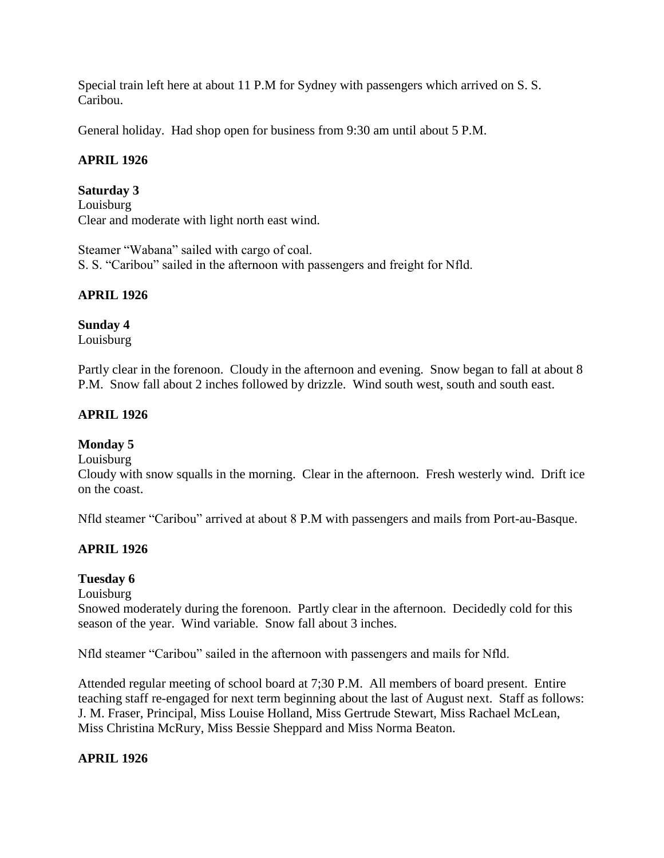Special train left here at about 11 P.M for Sydney with passengers which arrived on S. S. Caribou.

General holiday. Had shop open for business from 9:30 am until about 5 P.M.

## **APRIL 1926**

## **Saturday 3**

Louisburg Clear and moderate with light north east wind.

Steamer "Wabana" sailed with cargo of coal. S. S. "Caribou" sailed in the afternoon with passengers and freight for Nfld.

# **APRIL 1926**

## **Sunday 4**

Louisburg

Partly clear in the forenoon. Cloudy in the afternoon and evening. Snow began to fall at about 8 P.M. Snow fall about 2 inches followed by drizzle. Wind south west, south and south east.

# **APRIL 1926**

## **Monday 5**

Louisburg

Cloudy with snow squalls in the morning. Clear in the afternoon. Fresh westerly wind. Drift ice on the coast.

Nfld steamer "Caribou" arrived at about 8 P.M with passengers and mails from Port-au-Basque.

## **APRIL 1926**

## **Tuesday 6**

Louisburg

Snowed moderately during the forenoon. Partly clear in the afternoon. Decidedly cold for this season of the year. Wind variable. Snow fall about 3 inches.

Nfld steamer "Caribou" sailed in the afternoon with passengers and mails for Nfld.

Attended regular meeting of school board at 7;30 P.M. All members of board present. Entire teaching staff re-engaged for next term beginning about the last of August next. Staff as follows: J. M. Fraser, Principal, Miss Louise Holland, Miss Gertrude Stewart, Miss Rachael McLean, Miss Christina McRury, Miss Bessie Sheppard and Miss Norma Beaton.

## **APRIL 1926**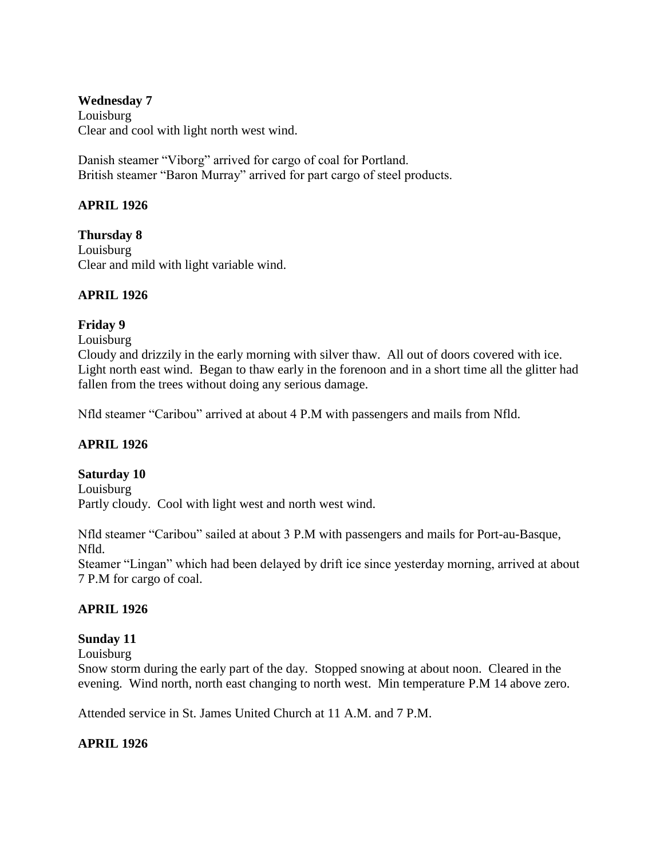### **Wednesday 7** Louisburg Clear and cool with light north west wind.

Danish steamer "Viborg" arrived for cargo of coal for Portland. British steamer "Baron Murray" arrived for part cargo of steel products.

# **APRIL 1926**

**Thursday 8** Louisburg Clear and mild with light variable wind.

# **APRIL 1926**

# **Friday 9**

Louisburg

Cloudy and drizzily in the early morning with silver thaw. All out of doors covered with ice. Light north east wind. Began to thaw early in the forenoon and in a short time all the glitter had fallen from the trees without doing any serious damage.

Nfld steamer "Caribou" arrived at about 4 P.M with passengers and mails from Nfld.

# **APRIL 1926**

## **Saturday 10**

Louisburg Partly cloudy. Cool with light west and north west wind.

Nfld steamer "Caribou" sailed at about 3 P.M with passengers and mails for Port-au-Basque, Nfld.

Steamer "Lingan" which had been delayed by drift ice since yesterday morning, arrived at about 7 P.M for cargo of coal.

# **APRIL 1926**

# **Sunday 11**

Louisburg

Snow storm during the early part of the day. Stopped snowing at about noon. Cleared in the evening. Wind north, north east changing to north west. Min temperature P.M 14 above zero.

Attended service in St. James United Church at 11 A.M. and 7 P.M.

# **APRIL 1926**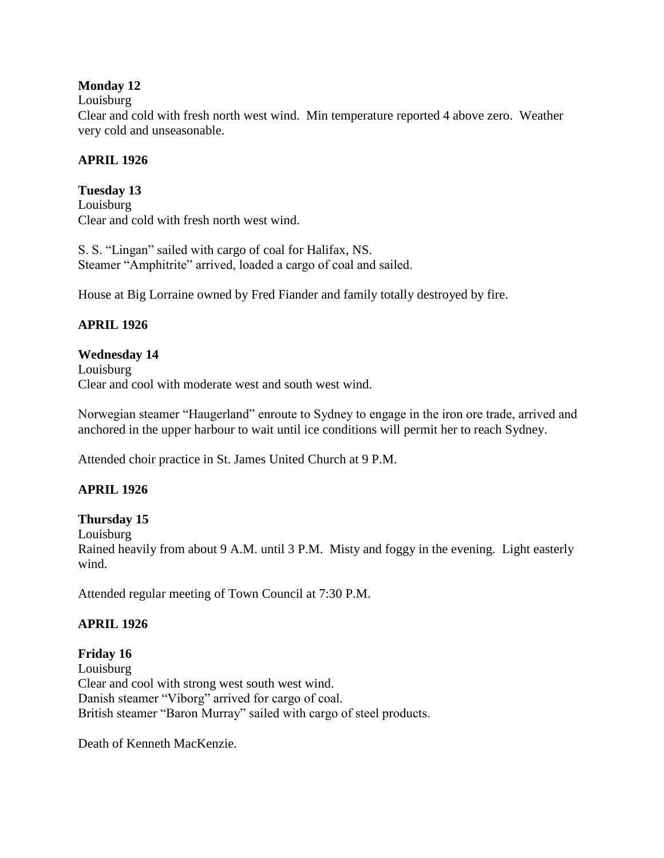## **Monday 12**

### Louisburg

Clear and cold with fresh north west wind. Min temperature reported 4 above zero. Weather very cold and unseasonable.

# **APRIL 1926**

**Tuesday 13** Louisburg Clear and cold with fresh north west wind.

S. S. "Lingan" sailed with cargo of coal for Halifax, NS. Steamer "Amphitrite" arrived, loaded a cargo of coal and sailed.

House at Big Lorraine owned by Fred Fiander and family totally destroyed by fire.

# **APRIL 1926**

# **Wednesday 14**

Louisburg Clear and cool with moderate west and south west wind.

Norwegian steamer "Haugerland" enroute to Sydney to engage in the iron ore trade, arrived and anchored in the upper harbour to wait until ice conditions will permit her to reach Sydney.

Attended choir practice in St. James United Church at 9 P.M.

# **APRIL 1926**

## **Thursday 15**

Louisburg

Rained heavily from about 9 A.M. until 3 P.M. Misty and foggy in the evening. Light easterly wind.

Attended regular meeting of Town Council at 7:30 P.M.

## **APRIL 1926**

# **Friday 16**

Louisburg Clear and cool with strong west south west wind. Danish steamer "Viborg" arrived for cargo of coal. British steamer "Baron Murray" sailed with cargo of steel products.

Death of Kenneth MacKenzie.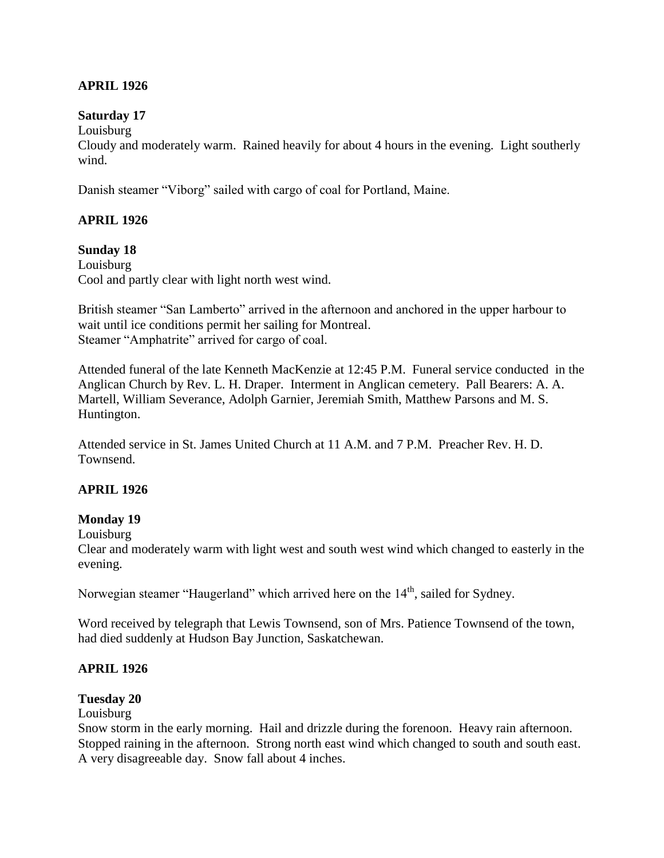## **APRIL 1926**

### **Saturday 17**

Louisburg

Cloudy and moderately warm. Rained heavily for about 4 hours in the evening. Light southerly wind.

Danish steamer "Viborg" sailed with cargo of coal for Portland, Maine.

## **APRIL 1926**

### **Sunday 18**

Louisburg Cool and partly clear with light north west wind.

British steamer "San Lamberto" arrived in the afternoon and anchored in the upper harbour to wait until ice conditions permit her sailing for Montreal. Steamer "Amphatrite" arrived for cargo of coal.

Attended funeral of the late Kenneth MacKenzie at 12:45 P.M. Funeral service conducted in the Anglican Church by Rev. L. H. Draper. Interment in Anglican cemetery. Pall Bearers: A. A. Martell, William Severance, Adolph Garnier, Jeremiah Smith, Matthew Parsons and M. S. Huntington.

Attended service in St. James United Church at 11 A.M. and 7 P.M. Preacher Rev. H. D. Townsend.

## **APRIL 1926**

### **Monday 19**

Louisburg

Clear and moderately warm with light west and south west wind which changed to easterly in the evening.

Norwegian steamer "Haugerland" which arrived here on the 14<sup>th</sup>, sailed for Sydney.

Word received by telegraph that Lewis Townsend, son of Mrs. Patience Townsend of the town, had died suddenly at Hudson Bay Junction, Saskatchewan.

### **APRIL 1926**

### **Tuesday 20**

Louisburg

Snow storm in the early morning. Hail and drizzle during the forenoon. Heavy rain afternoon. Stopped raining in the afternoon. Strong north east wind which changed to south and south east. A very disagreeable day. Snow fall about 4 inches.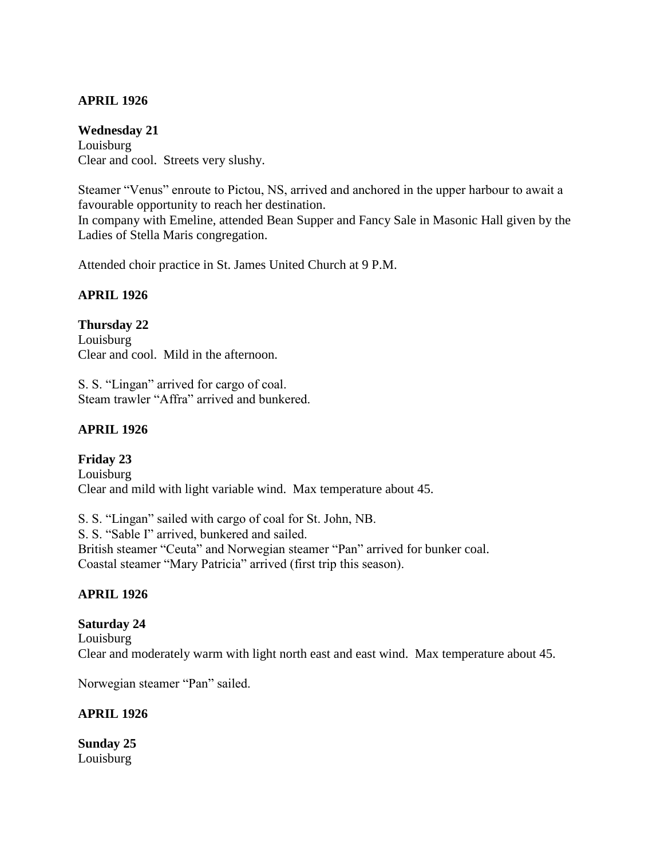## **APRIL 1926**

### **Wednesday 21**

Louisburg Clear and cool. Streets very slushy.

Steamer "Venus" enroute to Pictou, NS, arrived and anchored in the upper harbour to await a favourable opportunity to reach her destination.

In company with Emeline, attended Bean Supper and Fancy Sale in Masonic Hall given by the Ladies of Stella Maris congregation.

Attended choir practice in St. James United Church at 9 P.M.

## **APRIL 1926**

## **Thursday 22**

Louisburg Clear and cool. Mild in the afternoon.

S. S. "Lingan" arrived for cargo of coal. Steam trawler "Affra" arrived and bunkered.

# **APRIL 1926**

**Friday 23** Louisburg Clear and mild with light variable wind. Max temperature about 45.

S. S. "Lingan" sailed with cargo of coal for St. John, NB. S. S. "Sable I" arrived, bunkered and sailed. British steamer "Ceuta" and Norwegian steamer "Pan" arrived for bunker coal. Coastal steamer "Mary Patricia" arrived (first trip this season).

## **APRIL 1926**

### **Saturday 24** Louisburg Clear and moderately warm with light north east and east wind. Max temperature about 45.

Norwegian steamer "Pan" sailed.

## **APRIL 1926**

**Sunday 25** Louisburg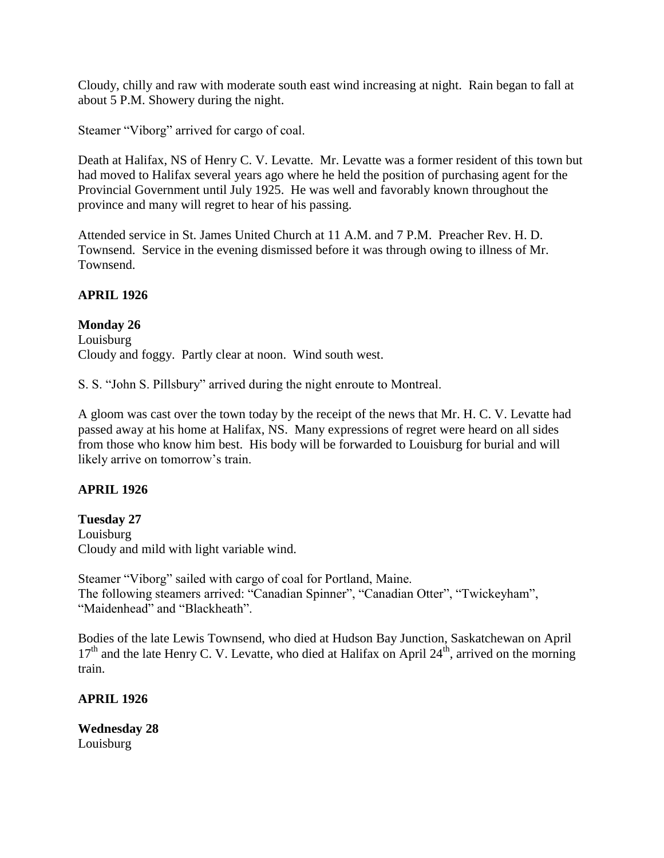Cloudy, chilly and raw with moderate south east wind increasing at night. Rain began to fall at about 5 P.M. Showery during the night.

Steamer "Viborg" arrived for cargo of coal.

Death at Halifax, NS of Henry C. V. Levatte. Mr. Levatte was a former resident of this town but had moved to Halifax several years ago where he held the position of purchasing agent for the Provincial Government until July 1925. He was well and favorably known throughout the province and many will regret to hear of his passing.

Attended service in St. James United Church at 11 A.M. and 7 P.M. Preacher Rev. H. D. Townsend. Service in the evening dismissed before it was through owing to illness of Mr. Townsend.

## **APRIL 1926**

**Monday 26** Louisburg Cloudy and foggy. Partly clear at noon. Wind south west.

S. S. "John S. Pillsbury" arrived during the night enroute to Montreal.

A gloom was cast over the town today by the receipt of the news that Mr. H. C. V. Levatte had passed away at his home at Halifax, NS. Many expressions of regret were heard on all sides from those who know him best. His body will be forwarded to Louisburg for burial and will likely arrive on tomorrow's train.

## **APRIL 1926**

**Tuesday 27** Louisburg Cloudy and mild with light variable wind.

Steamer "Viborg" sailed with cargo of coal for Portland, Maine. The following steamers arrived: "Canadian Spinner", "Canadian Otter", "Twickeyham", "Maidenhead" and "Blackheath".

Bodies of the late Lewis Townsend, who died at Hudson Bay Junction, Saskatchewan on April  $17<sup>th</sup>$  and the late Henry C. V. Levatte, who died at Halifax on April 24<sup>th</sup>, arrived on the morning train.

## **APRIL 1926**

**Wednesday 28** Louisburg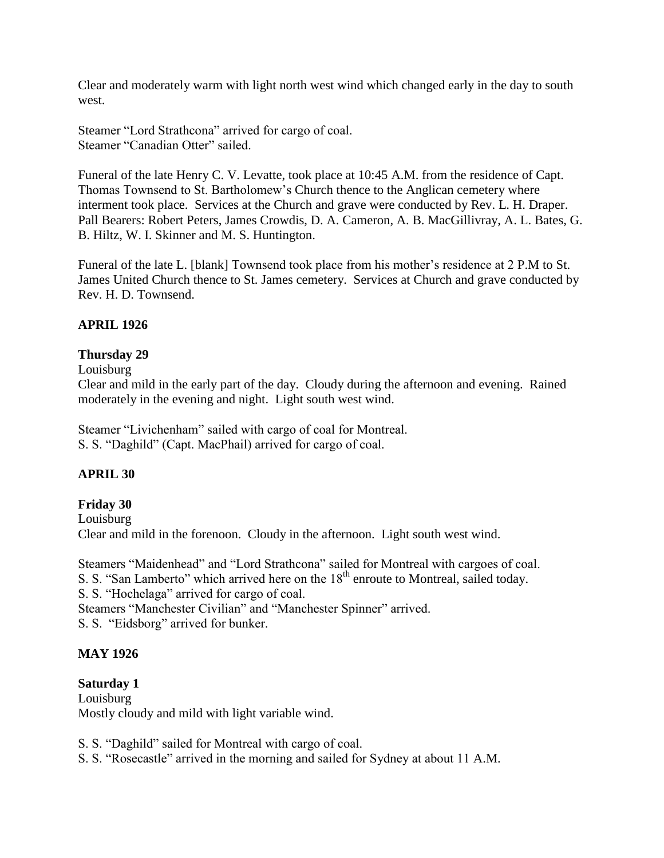Clear and moderately warm with light north west wind which changed early in the day to south west.

Steamer "Lord Strathcona" arrived for cargo of coal. Steamer "Canadian Otter" sailed.

Funeral of the late Henry C. V. Levatte, took place at 10:45 A.M. from the residence of Capt. Thomas Townsend to St. Bartholomew's Church thence to the Anglican cemetery where interment took place. Services at the Church and grave were conducted by Rev. L. H. Draper. Pall Bearers: Robert Peters, James Crowdis, D. A. Cameron, A. B. MacGillivray, A. L. Bates, G. B. Hiltz, W. I. Skinner and M. S. Huntington.

Funeral of the late L. [blank] Townsend took place from his mother's residence at 2 P.M to St. James United Church thence to St. James cemetery. Services at Church and grave conducted by Rev. H. D. Townsend.

# **APRIL 1926**

# **Thursday 29**

Louisburg

Clear and mild in the early part of the day. Cloudy during the afternoon and evening. Rained moderately in the evening and night. Light south west wind.

Steamer "Livichenham" sailed with cargo of coal for Montreal. S. S. "Daghild" (Capt. MacPhail) arrived for cargo of coal.

# **APRIL 30**

# **Friday 30**

Louisburg Clear and mild in the forenoon. Cloudy in the afternoon. Light south west wind.

Steamers "Maidenhead" and "Lord Strathcona" sailed for Montreal with cargoes of coal. S. S. "San Lamberto" which arrived here on the 18<sup>th</sup> enroute to Montreal, sailed today.

S. S. "Hochelaga" arrived for cargo of coal.

Steamers "Manchester Civilian" and "Manchester Spinner" arrived.

S. S. "Eidsborg" arrived for bunker.

## **MAY 1926**

## **Saturday 1**

Louisburg Mostly cloudy and mild with light variable wind.

S. S. "Daghild" sailed for Montreal with cargo of coal.

S. S. "Rosecastle" arrived in the morning and sailed for Sydney at about 11 A.M.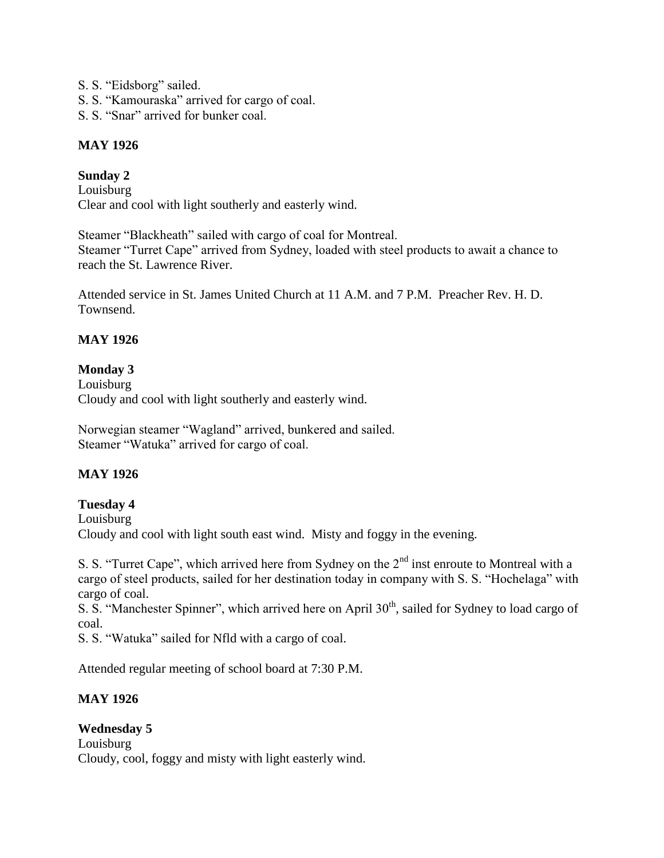- S. S. "Eidsborg" sailed.
- S. S. "Kamouraska" arrived for cargo of coal.
- S. S. "Snar" arrived for bunker coal.

## **MAY 1926**

## **Sunday 2**

Louisburg Clear and cool with light southerly and easterly wind.

Steamer "Blackheath" sailed with cargo of coal for Montreal. Steamer "Turret Cape" arrived from Sydney, loaded with steel products to await a chance to reach the St. Lawrence River.

Attended service in St. James United Church at 11 A.M. and 7 P.M. Preacher Rev. H. D. Townsend.

# **MAY 1926**

## **Monday 3**

Louisburg Cloudy and cool with light southerly and easterly wind.

Norwegian steamer "Wagland" arrived, bunkered and sailed. Steamer "Watuka" arrived for cargo of coal.

## **MAY 1926**

## **Tuesday 4**

Louisburg Cloudy and cool with light south east wind. Misty and foggy in the evening.

S. S. "Turret Cape", which arrived here from Sydney on the 2<sup>nd</sup> inst enroute to Montreal with a cargo of steel products, sailed for her destination today in company with S. S. "Hochelaga" with cargo of coal.

S. S. "Manchester Spinner", which arrived here on April 30<sup>th</sup>, sailed for Sydney to load cargo of coal.

S. S. "Watuka" sailed for Nfld with a cargo of coal.

Attended regular meeting of school board at 7:30 P.M.

## **MAY 1926**

## **Wednesday 5**

Louisburg Cloudy, cool, foggy and misty with light easterly wind.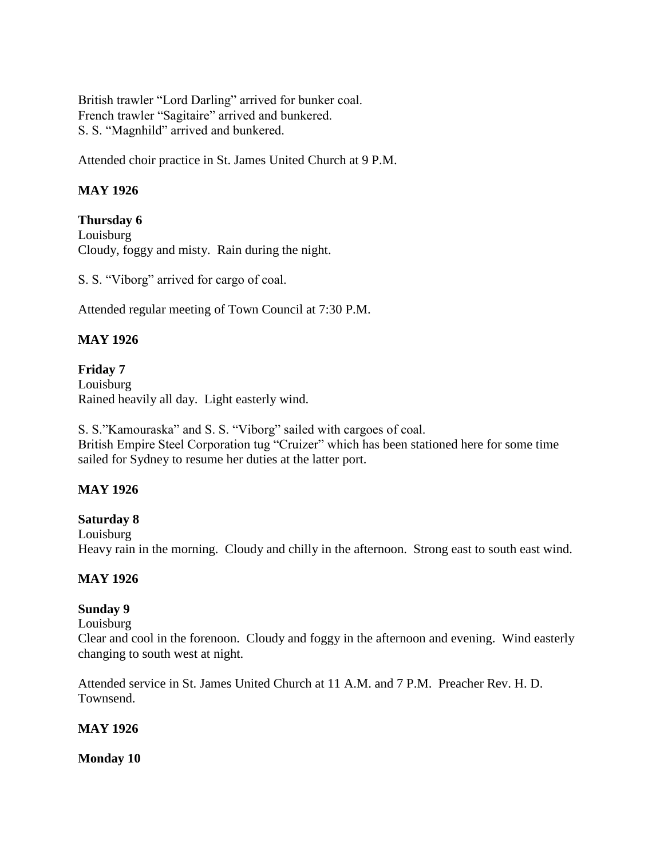British trawler "Lord Darling" arrived for bunker coal. French trawler "Sagitaire" arrived and bunkered. S. S. "Magnhild" arrived and bunkered.

Attended choir practice in St. James United Church at 9 P.M.

## **MAY 1926**

**Thursday 6** Louisburg Cloudy, foggy and misty. Rain during the night.

S. S. "Viborg" arrived for cargo of coal.

Attended regular meeting of Town Council at 7:30 P.M.

# **MAY 1926**

**Friday 7** Louisburg Rained heavily all day. Light easterly wind.

S. S."Kamouraska" and S. S. "Viborg" sailed with cargoes of coal. British Empire Steel Corporation tug "Cruizer" which has been stationed here for some time sailed for Sydney to resume her duties at the latter port.

## **MAY 1926**

## **Saturday 8**

Louisburg Heavy rain in the morning. Cloudy and chilly in the afternoon. Strong east to south east wind.

### **MAY 1926**

## **Sunday 9**

### Louisburg

Clear and cool in the forenoon. Cloudy and foggy in the afternoon and evening. Wind easterly changing to south west at night.

Attended service in St. James United Church at 11 A.M. and 7 P.M. Preacher Rev. H. D. Townsend.

### **MAY 1926**

**Monday 10**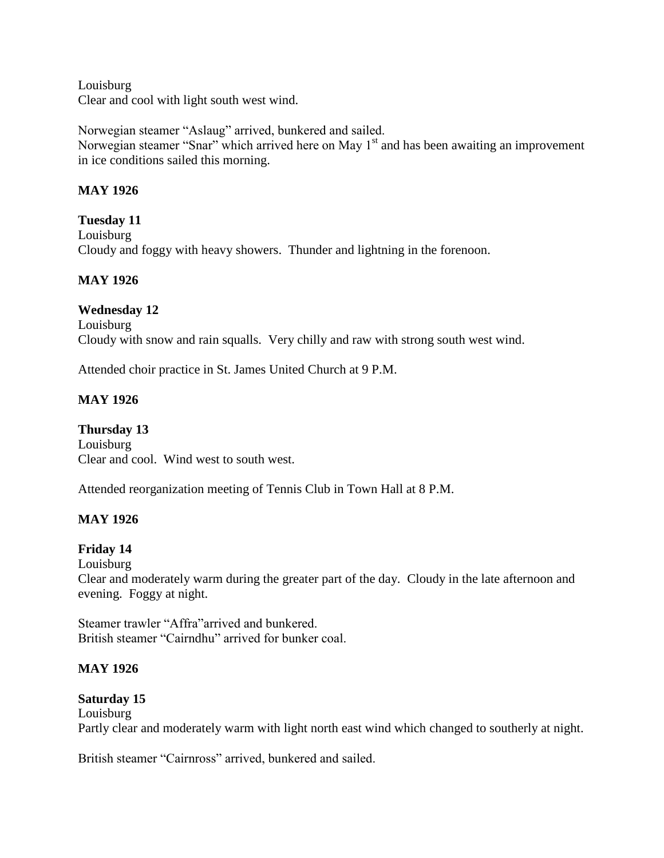Louisburg Clear and cool with light south west wind.

Norwegian steamer "Aslaug" arrived, bunkered and sailed. Norwegian steamer "Snar" which arrived here on May 1<sup>st</sup> and has been awaiting an improvement in ice conditions sailed this morning.

# **MAY 1926**

**Tuesday 11** Louisburg Cloudy and foggy with heavy showers. Thunder and lightning in the forenoon.

# **MAY 1926**

## **Wednesday 12**

Louisburg Cloudy with snow and rain squalls. Very chilly and raw with strong south west wind.

Attended choir practice in St. James United Church at 9 P.M.

# **MAY 1926**

**Thursday 13** Louisburg Clear and cool. Wind west to south west.

Attended reorganization meeting of Tennis Club in Town Hall at 8 P.M.

# **MAY 1926**

## **Friday 14**

Louisburg

Clear and moderately warm during the greater part of the day. Cloudy in the late afternoon and evening. Foggy at night.

Steamer trawler "Affra"arrived and bunkered. British steamer "Cairndhu" arrived for bunker coal.

## **MAY 1926**

## **Saturday 15**

Louisburg

Partly clear and moderately warm with light north east wind which changed to southerly at night.

British steamer "Cairnross" arrived, bunkered and sailed.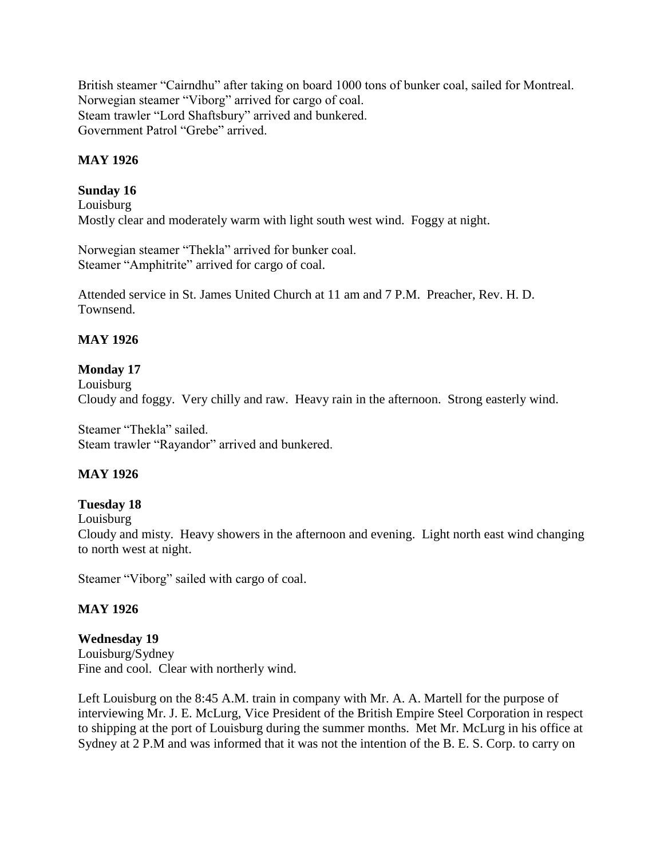British steamer "Cairndhu" after taking on board 1000 tons of bunker coal, sailed for Montreal. Norwegian steamer "Viborg" arrived for cargo of coal. Steam trawler "Lord Shaftsbury" arrived and bunkered. Government Patrol "Grebe" arrived.

# **MAY 1926**

## **Sunday 16**

Louisburg Mostly clear and moderately warm with light south west wind. Foggy at night.

Norwegian steamer "Thekla" arrived for bunker coal. Steamer "Amphitrite" arrived for cargo of coal.

Attended service in St. James United Church at 11 am and 7 P.M. Preacher, Rev. H. D. Townsend.

# **MAY 1926**

# **Monday 17**

Louisburg Cloudy and foggy. Very chilly and raw. Heavy rain in the afternoon. Strong easterly wind.

Steamer "Thekla" sailed. Steam trawler "Rayandor" arrived and bunkered.

## **MAY 1926**

## **Tuesday 18**

Louisburg

Cloudy and misty. Heavy showers in the afternoon and evening. Light north east wind changing to north west at night.

Steamer "Viborg" sailed with cargo of coal.

## **MAY 1926**

### **Wednesday 19**

Louisburg/Sydney Fine and cool. Clear with northerly wind.

Left Louisburg on the 8:45 A.M. train in company with Mr. A. A. Martell for the purpose of interviewing Mr. J. E. McLurg, Vice President of the British Empire Steel Corporation in respect to shipping at the port of Louisburg during the summer months. Met Mr. McLurg in his office at Sydney at 2 P.M and was informed that it was not the intention of the B. E. S. Corp. to carry on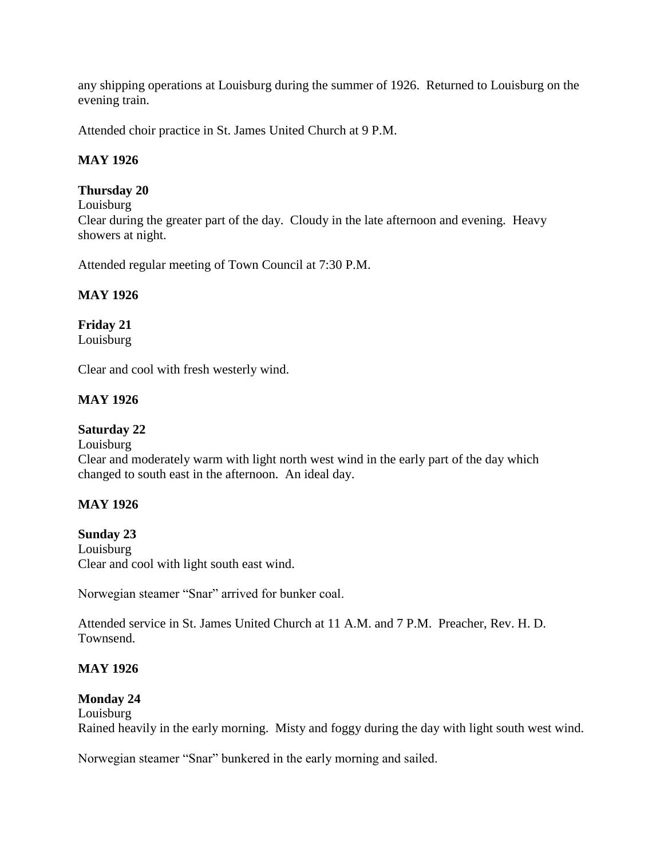any shipping operations at Louisburg during the summer of 1926. Returned to Louisburg on the evening train.

Attended choir practice in St. James United Church at 9 P.M.

## **MAY 1926**

## **Thursday 20**

Louisburg

Clear during the greater part of the day. Cloudy in the late afternoon and evening. Heavy showers at night.

Attended regular meeting of Town Council at 7:30 P.M.

# **MAY 1926**

**Friday 21** Louisburg

Clear and cool with fresh westerly wind.

# **MAY 1926**

## **Saturday 22**

### Louisburg

Clear and moderately warm with light north west wind in the early part of the day which changed to south east in the afternoon. An ideal day.

## **MAY 1926**

**Sunday 23** Louisburg Clear and cool with light south east wind.

Norwegian steamer "Snar" arrived for bunker coal.

Attended service in St. James United Church at 11 A.M. and 7 P.M. Preacher, Rev. H. D. Townsend.

## **MAY 1926**

## **Monday 24**

Louisburg

Rained heavily in the early morning. Misty and foggy during the day with light south west wind.

Norwegian steamer "Snar" bunkered in the early morning and sailed.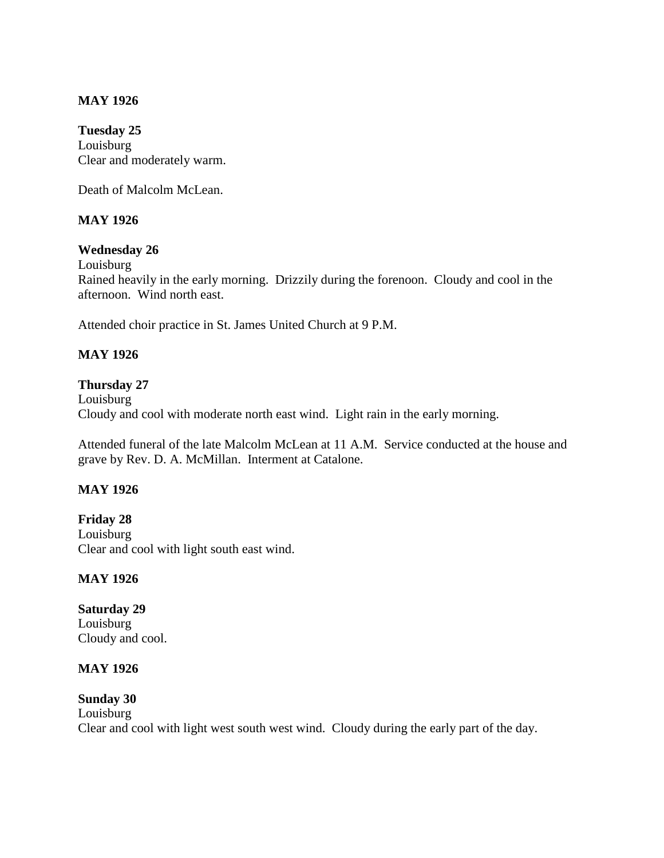### **MAY 1926**

**Tuesday 25** Louisburg Clear and moderately warm.

Death of Malcolm McLean.

### **MAY 1926**

### **Wednesday 26**

Louisburg

Rained heavily in the early morning. Drizzily during the forenoon. Cloudy and cool in the afternoon. Wind north east.

Attended choir practice in St. James United Church at 9 P.M.

### **MAY 1926**

### **Thursday 27**

Louisburg Cloudy and cool with moderate north east wind. Light rain in the early morning.

Attended funeral of the late Malcolm McLean at 11 A.M. Service conducted at the house and grave by Rev. D. A. McMillan. Interment at Catalone.

### **MAY 1926**

**Friday 28** Louisburg Clear and cool with light south east wind.

### **MAY 1926**

**Saturday 29** Louisburg Cloudy and cool.

### **MAY 1926**

**Sunday 30** Louisburg Clear and cool with light west south west wind. Cloudy during the early part of the day.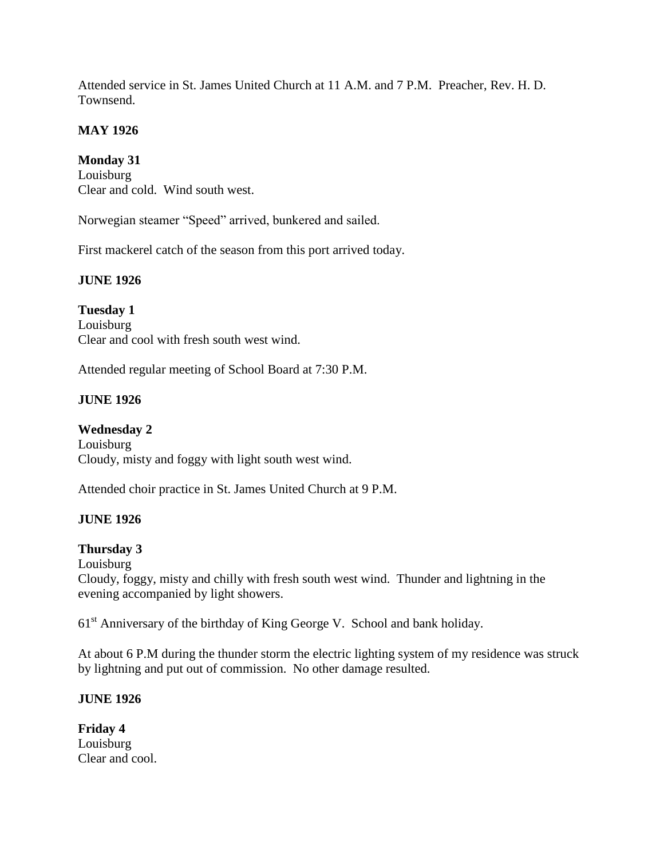Attended service in St. James United Church at 11 A.M. and 7 P.M. Preacher, Rev. H. D. Townsend.

# **MAY 1926**

**Monday 31**

Louisburg Clear and cold. Wind south west.

Norwegian steamer "Speed" arrived, bunkered and sailed.

First mackerel catch of the season from this port arrived today.

# **JUNE 1926**

**Tuesday 1** Louisburg Clear and cool with fresh south west wind.

Attended regular meeting of School Board at 7:30 P.M.

# **JUNE 1926**

**Wednesday 2** Louisburg Cloudy, misty and foggy with light south west wind.

Attended choir practice in St. James United Church at 9 P.M.

# **JUNE 1926**

# **Thursday 3**

Louisburg

Cloudy, foggy, misty and chilly with fresh south west wind. Thunder and lightning in the evening accompanied by light showers.

61<sup>st</sup> Anniversary of the birthday of King George V. School and bank holiday.

At about 6 P.M during the thunder storm the electric lighting system of my residence was struck by lightning and put out of commission. No other damage resulted.

# **JUNE 1926**

**Friday 4** Louisburg Clear and cool.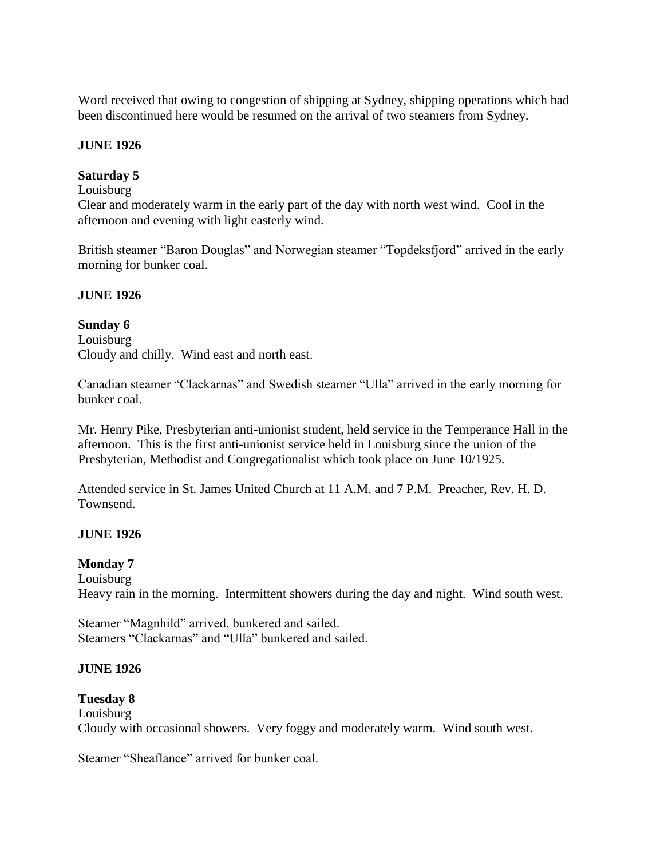Word received that owing to congestion of shipping at Sydney, shipping operations which had been discontinued here would be resumed on the arrival of two steamers from Sydney.

#### **JUNE 1926**

# **Saturday 5**

# Louisburg

Clear and moderately warm in the early part of the day with north west wind. Cool in the afternoon and evening with light easterly wind.

British steamer "Baron Douglas" and Norwegian steamer "Topdeksfjord" arrived in the early morning for bunker coal.

#### **JUNE 1926**

#### **Sunday 6**

Louisburg Cloudy and chilly. Wind east and north east.

Canadian steamer "Clackarnas" and Swedish steamer "Ulla" arrived in the early morning for bunker coal.

Mr. Henry Pike, Presbyterian anti-unionist student, held service in the Temperance Hall in the afternoon. This is the first anti-unionist service held in Louisburg since the union of the Presbyterian, Methodist and Congregationalist which took place on June 10/1925.

Attended service in St. James United Church at 11 A.M. and 7 P.M. Preacher, Rev. H. D. Townsend.

# **JUNE 1926**

#### **Monday 7**

Louisburg Heavy rain in the morning. Intermittent showers during the day and night. Wind south west.

Steamer "Magnhild" arrived, bunkered and sailed. Steamers "Clackarnas" and "Ulla" bunkered and sailed.

#### **JUNE 1926**

#### **Tuesday 8**

Louisburg Cloudy with occasional showers. Very foggy and moderately warm. Wind south west.

Steamer "Sheaflance" arrived for bunker coal.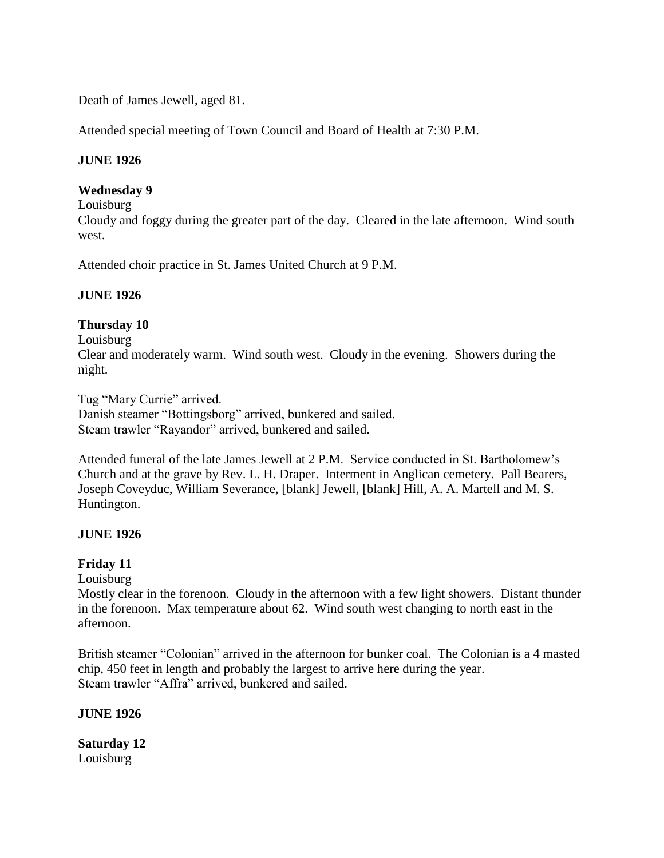Death of James Jewell, aged 81.

Attended special meeting of Town Council and Board of Health at 7:30 P.M.

#### **JUNE 1926**

#### **Wednesday 9**

Louisburg

Cloudy and foggy during the greater part of the day. Cleared in the late afternoon. Wind south west.

Attended choir practice in St. James United Church at 9 P.M.

#### **JUNE 1926**

# **Thursday 10**

Louisburg

Clear and moderately warm. Wind south west. Cloudy in the evening. Showers during the night.

Tug "Mary Currie" arrived. Danish steamer "Bottingsborg" arrived, bunkered and sailed. Steam trawler "Rayandor" arrived, bunkered and sailed.

Attended funeral of the late James Jewell at 2 P.M. Service conducted in St. Bartholomew's Church and at the grave by Rev. L. H. Draper. Interment in Anglican cemetery. Pall Bearers, Joseph Coveyduc, William Severance, [blank] Jewell, [blank] Hill, A. A. Martell and M. S. Huntington.

# **JUNE 1926**

# **Friday 11**

Louisburg

Mostly clear in the forenoon. Cloudy in the afternoon with a few light showers. Distant thunder in the forenoon. Max temperature about 62. Wind south west changing to north east in the afternoon.

British steamer "Colonian" arrived in the afternoon for bunker coal. The Colonian is a 4 masted chip, 450 feet in length and probably the largest to arrive here during the year. Steam trawler "Affra" arrived, bunkered and sailed.

#### **JUNE 1926**

**Saturday 12** Louisburg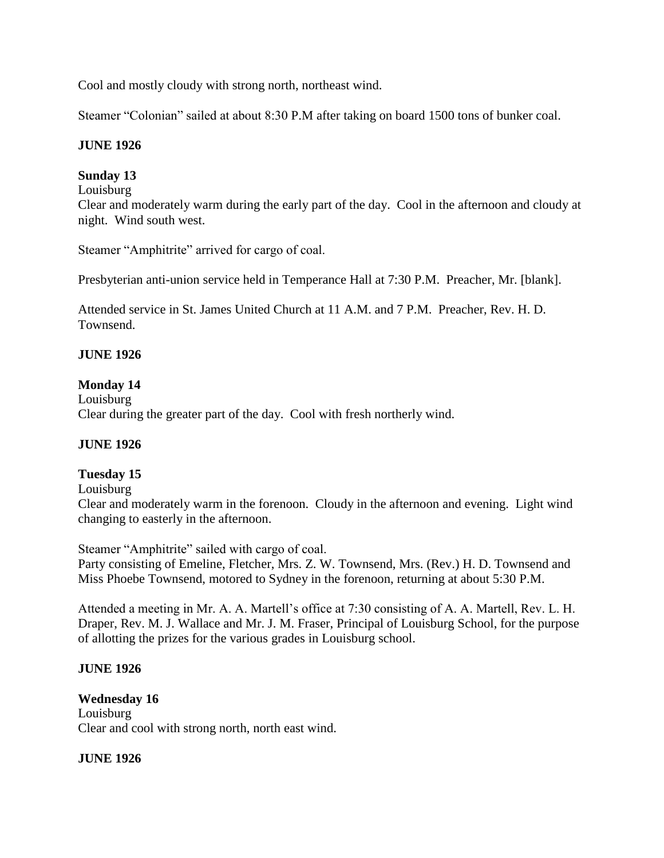Cool and mostly cloudy with strong north, northeast wind.

Steamer "Colonian" sailed at about 8:30 P.M after taking on board 1500 tons of bunker coal.

# **JUNE 1926**

# **Sunday 13**

#### Louisburg

Clear and moderately warm during the early part of the day. Cool in the afternoon and cloudy at night. Wind south west.

Steamer "Amphitrite" arrived for cargo of coal.

Presbyterian anti-union service held in Temperance Hall at 7:30 P.M. Preacher, Mr. [blank].

Attended service in St. James United Church at 11 A.M. and 7 P.M. Preacher, Rev. H. D. **Townsend.** 

# **JUNE 1926**

# **Monday 14**

Louisburg Clear during the greater part of the day. Cool with fresh northerly wind.

# **JUNE 1926**

# **Tuesday 15**

Louisburg

Clear and moderately warm in the forenoon. Cloudy in the afternoon and evening. Light wind changing to easterly in the afternoon.

Steamer "Amphitrite" sailed with cargo of coal.

Party consisting of Emeline, Fletcher, Mrs. Z. W. Townsend, Mrs. (Rev.) H. D. Townsend and Miss Phoebe Townsend, motored to Sydney in the forenoon, returning at about 5:30 P.M.

Attended a meeting in Mr. A. A. Martell's office at 7:30 consisting of A. A. Martell, Rev. L. H. Draper, Rev. M. J. Wallace and Mr. J. M. Fraser, Principal of Louisburg School, for the purpose of allotting the prizes for the various grades in Louisburg school.

# **JUNE 1926**

#### **Wednesday 16** Louisburg Clear and cool with strong north, north east wind.

# **JUNE 1926**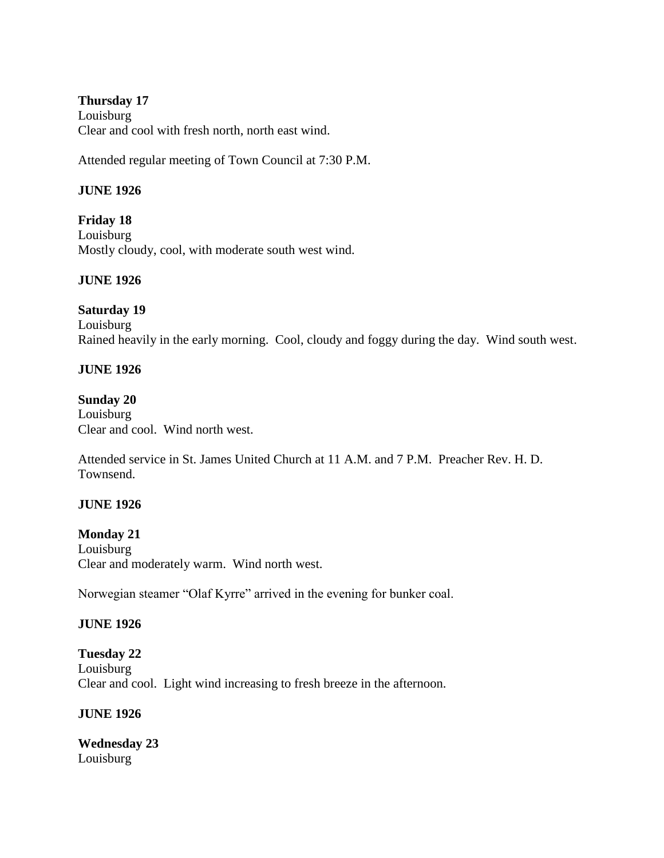#### **Thursday 17** Louisburg Clear and cool with fresh north, north east wind.

Attended regular meeting of Town Council at 7:30 P.M.

# **JUNE 1926**

**Friday 18** Louisburg Mostly cloudy, cool, with moderate south west wind.

# **JUNE 1926**

#### **Saturday 19**

Louisburg Rained heavily in the early morning. Cool, cloudy and foggy during the day. Wind south west.

# **JUNE 1926**

#### **Sunday 20**

Louisburg Clear and cool. Wind north west.

Attended service in St. James United Church at 11 A.M. and 7 P.M. Preacher Rev. H. D. Townsend.

# **JUNE 1926**

**Monday 21** Louisburg Clear and moderately warm. Wind north west.

Norwegian steamer "Olaf Kyrre" arrived in the evening for bunker coal.

# **JUNE 1926**

**Tuesday 22** Louisburg Clear and cool. Light wind increasing to fresh breeze in the afternoon.

#### **JUNE 1926**

**Wednesday 23** Louisburg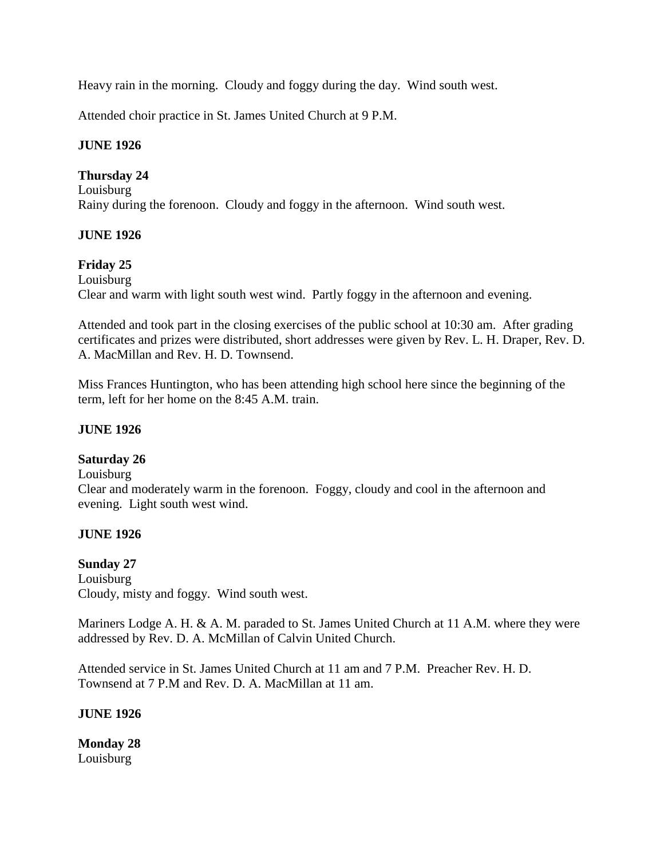Heavy rain in the morning. Cloudy and foggy during the day. Wind south west.

Attended choir practice in St. James United Church at 9 P.M.

#### **JUNE 1926**

#### **Thursday 24**

Louisburg Rainy during the forenoon. Cloudy and foggy in the afternoon. Wind south west.

# **JUNE 1926**

#### **Friday 25**

Louisburg Clear and warm with light south west wind. Partly foggy in the afternoon and evening.

Attended and took part in the closing exercises of the public school at 10:30 am. After grading certificates and prizes were distributed, short addresses were given by Rev. L. H. Draper, Rev. D. A. MacMillan and Rev. H. D. Townsend.

Miss Frances Huntington, who has been attending high school here since the beginning of the term, left for her home on the 8:45 A.M. train.

#### **JUNE 1926**

#### **Saturday 26**

Louisburg

Clear and moderately warm in the forenoon. Foggy, cloudy and cool in the afternoon and evening. Light south west wind.

#### **JUNE 1926**

# **Sunday 27**

Louisburg Cloudy, misty and foggy. Wind south west.

Mariners Lodge A. H. & A. M. paraded to St. James United Church at 11 A.M. where they were addressed by Rev. D. A. McMillan of Calvin United Church.

Attended service in St. James United Church at 11 am and 7 P.M. Preacher Rev. H. D. Townsend at 7 P.M and Rev. D. A. MacMillan at 11 am.

#### **JUNE 1926**

**Monday 28** Louisburg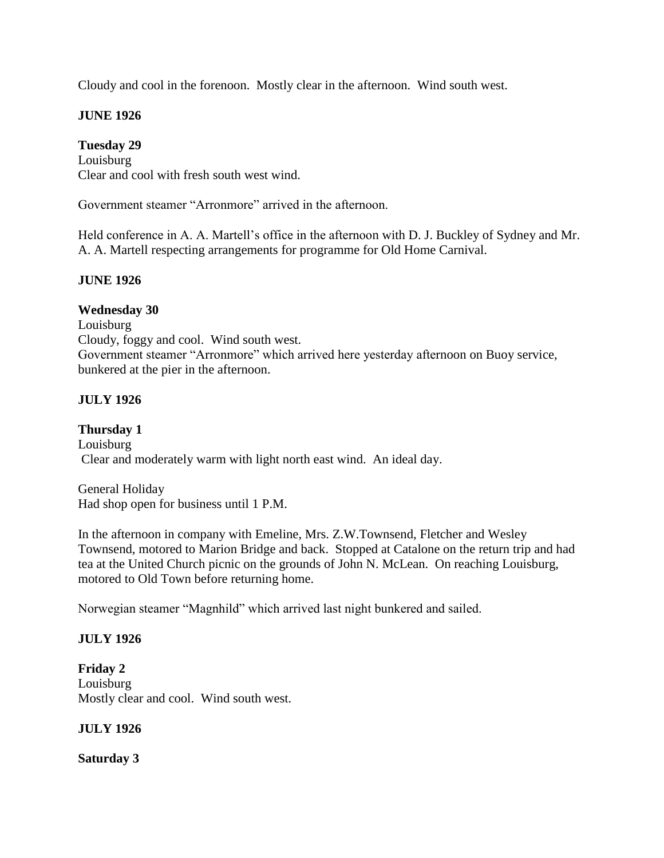Cloudy and cool in the forenoon. Mostly clear in the afternoon. Wind south west.

# **JUNE 1926**

# **Tuesday 29**

Louisburg Clear and cool with fresh south west wind.

Government steamer "Arronmore" arrived in the afternoon.

Held conference in A. A. Martell's office in the afternoon with D. J. Buckley of Sydney and Mr. A. A. Martell respecting arrangements for programme for Old Home Carnival.

# **JUNE 1926**

# **Wednesday 30**

Louisburg Cloudy, foggy and cool. Wind south west. Government steamer "Arronmore" which arrived here yesterday afternoon on Buoy service, bunkered at the pier in the afternoon.

# **JULY 1926**

**Thursday 1** Louisburg Clear and moderately warm with light north east wind. An ideal day.

General Holiday Had shop open for business until 1 P.M.

In the afternoon in company with Emeline, Mrs. Z.W.Townsend, Fletcher and Wesley Townsend, motored to Marion Bridge and back. Stopped at Catalone on the return trip and had tea at the United Church picnic on the grounds of John N. McLean. On reaching Louisburg, motored to Old Town before returning home.

Norwegian steamer "Magnhild" which arrived last night bunkered and sailed.

# **JULY 1926**

**Friday 2** Louisburg Mostly clear and cool. Wind south west.

#### **JULY 1926**

**Saturday 3**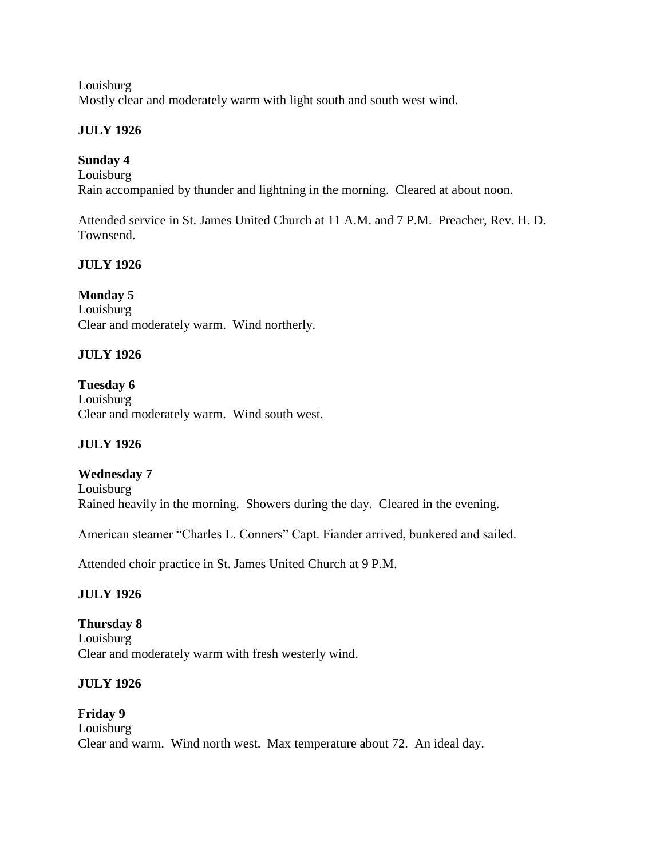Louisburg Mostly clear and moderately warm with light south and south west wind.

# **JULY 1926**

# **Sunday 4**

Louisburg Rain accompanied by thunder and lightning in the morning. Cleared at about noon.

Attended service in St. James United Church at 11 A.M. and 7 P.M. Preacher, Rev. H. D. Townsend.

# **JULY 1926**

# **Monday 5**

Louisburg Clear and moderately warm. Wind northerly.

# **JULY 1926**

**Tuesday 6** Louisburg Clear and moderately warm. Wind south west.

# **JULY 1926**

# **Wednesday 7**

Louisburg Rained heavily in the morning. Showers during the day. Cleared in the evening.

American steamer "Charles L. Conners" Capt. Fiander arrived, bunkered and sailed.

Attended choir practice in St. James United Church at 9 P.M.

# **JULY 1926**

# **Thursday 8** Louisburg Clear and moderately warm with fresh westerly wind.

# **JULY 1926**

**Friday 9** Louisburg Clear and warm. Wind north west. Max temperature about 72. An ideal day.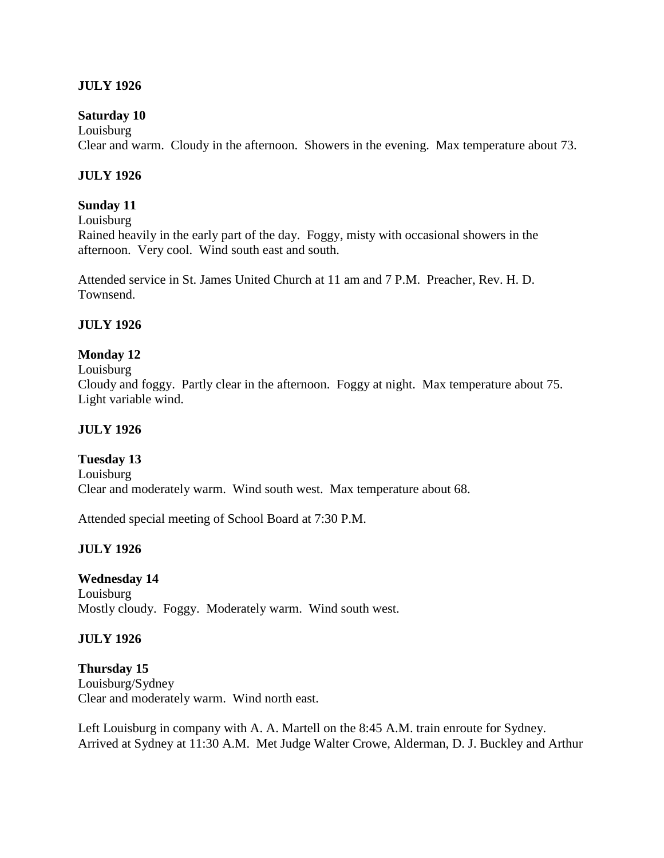# **JULY 1926**

#### **Saturday 10**

Louisburg Clear and warm. Cloudy in the afternoon. Showers in the evening. Max temperature about 73.

#### **JULY 1926**

#### **Sunday 11**

Louisburg

Rained heavily in the early part of the day. Foggy, misty with occasional showers in the afternoon. Very cool. Wind south east and south.

Attended service in St. James United Church at 11 am and 7 P.M. Preacher, Rev. H. D. Townsend.

#### **JULY 1926**

# **Monday 12**

Louisburg

Cloudy and foggy. Partly clear in the afternoon. Foggy at night. Max temperature about 75. Light variable wind.

#### **JULY 1926**

**Tuesday 13** Louisburg Clear and moderately warm. Wind south west. Max temperature about 68.

Attended special meeting of School Board at 7:30 P.M.

#### **JULY 1926**

# **Wednesday 14**

Louisburg Mostly cloudy. Foggy. Moderately warm. Wind south west.

#### **JULY 1926**

**Thursday 15** Louisburg/Sydney Clear and moderately warm. Wind north east.

Left Louisburg in company with A. A. Martell on the 8:45 A.M. train enroute for Sydney. Arrived at Sydney at 11:30 A.M. Met Judge Walter Crowe, Alderman, D. J. Buckley and Arthur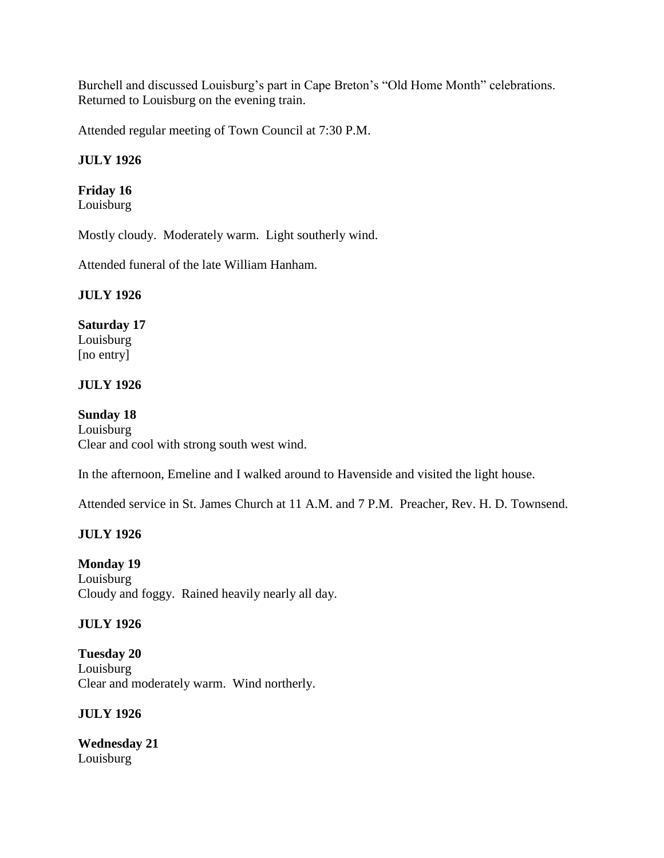Burchell and discussed Louisburg's part in Cape Breton's "Old Home Month" celebrations. Returned to Louisburg on the evening train.

Attended regular meeting of Town Council at 7:30 P.M.

# **JULY 1926**

# **Friday 16**

Louisburg

Mostly cloudy. Moderately warm. Light southerly wind.

Attended funeral of the late William Hanham.

# **JULY 1926**

# **Saturday 17**

Louisburg [no entry]

# **JULY 1926**

# **Sunday 18**

Louisburg Clear and cool with strong south west wind.

In the afternoon, Emeline and I walked around to Havenside and visited the light house.

Attended service in St. James Church at 11 A.M. and 7 P.M. Preacher, Rev. H. D. Townsend.

# **JULY 1926**

**Monday 19** Louisburg Cloudy and foggy. Rained heavily nearly all day.

# **JULY 1926**

**Tuesday 20** Louisburg Clear and moderately warm. Wind northerly.

# **JULY 1926**

**Wednesday 21** Louisburg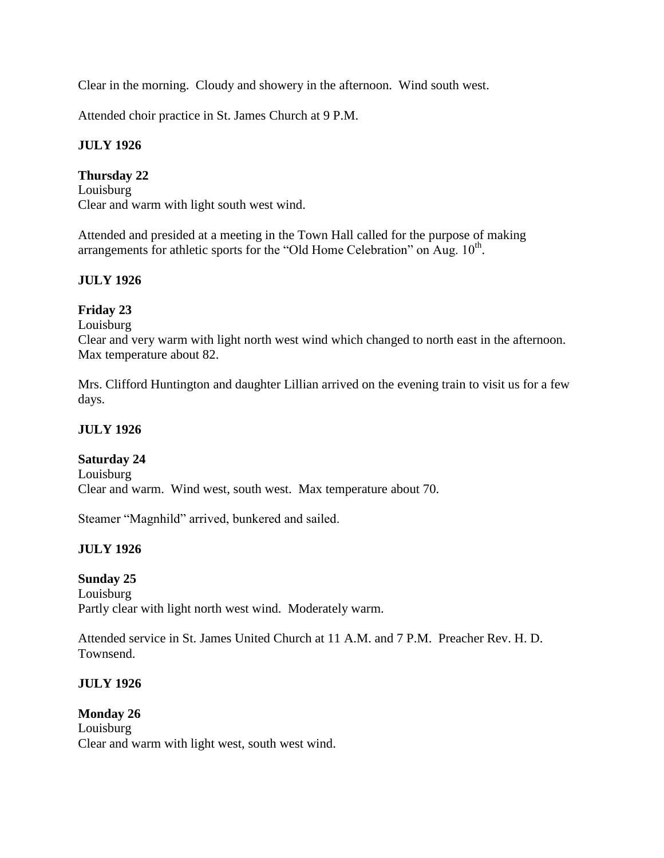Clear in the morning. Cloudy and showery in the afternoon. Wind south west.

Attended choir practice in St. James Church at 9 P.M.

# **JULY 1926**

# **Thursday 22**

Louisburg Clear and warm with light south west wind.

Attended and presided at a meeting in the Town Hall called for the purpose of making arrangements for athletic sports for the "Old Home Celebration" on Aug.  $10<sup>th</sup>$ .

# **JULY 1926**

# **Friday 23**

Louisburg

Clear and very warm with light north west wind which changed to north east in the afternoon. Max temperature about 82.

Mrs. Clifford Huntington and daughter Lillian arrived on the evening train to visit us for a few days.

# **JULY 1926**

# **Saturday 24**

Louisburg Clear and warm. Wind west, south west. Max temperature about 70.

Steamer "Magnhild" arrived, bunkered and sailed.

# **JULY 1926**

# **Sunday 25**

Louisburg Partly clear with light north west wind. Moderately warm.

Attended service in St. James United Church at 11 A.M. and 7 P.M. Preacher Rev. H. D. Townsend.

# **JULY 1926**

#### **Monday 26** Louisburg Clear and warm with light west, south west wind.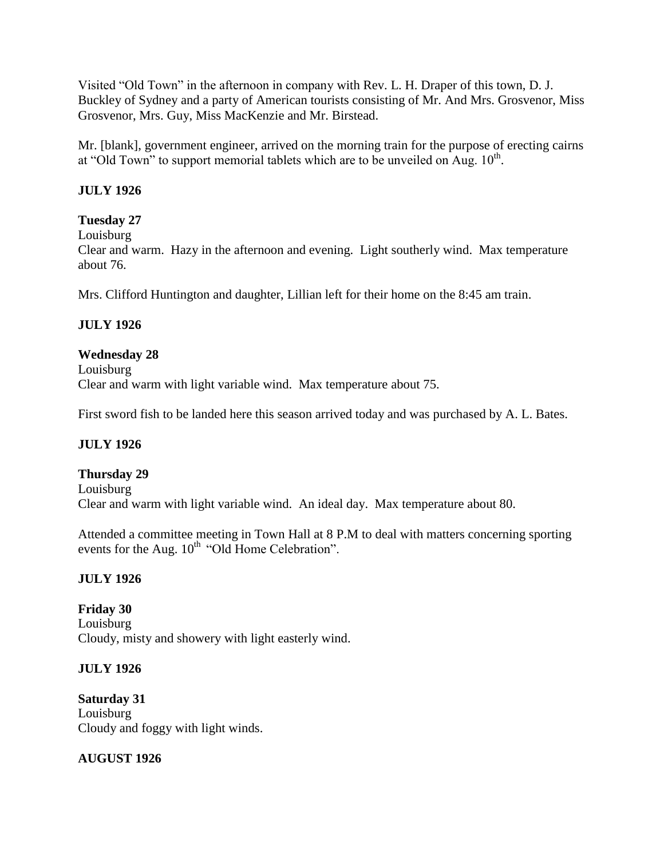Visited "Old Town" in the afternoon in company with Rev. L. H. Draper of this town, D. J. Buckley of Sydney and a party of American tourists consisting of Mr. And Mrs. Grosvenor, Miss Grosvenor, Mrs. Guy, Miss MacKenzie and Mr. Birstead.

Mr. [blank], government engineer, arrived on the morning train for the purpose of erecting cairns at "Old Town" to support memorial tablets which are to be unveiled on Aug.  $10<sup>th</sup>$ .

# **JULY 1926**

# **Tuesday 27**

Louisburg

Clear and warm. Hazy in the afternoon and evening. Light southerly wind. Max temperature about 76.

Mrs. Clifford Huntington and daughter, Lillian left for their home on the 8:45 am train.

# **JULY 1926**

#### **Wednesday 28**

Louisburg Clear and warm with light variable wind. Max temperature about 75.

First sword fish to be landed here this season arrived today and was purchased by A. L. Bates.

# **JULY 1926**

#### **Thursday 29**

Louisburg Clear and warm with light variable wind. An ideal day. Max temperature about 80.

Attended a committee meeting in Town Hall at 8 P.M to deal with matters concerning sporting events for the Aug.  $10^{th}$  "Old Home Celebration".

# **JULY 1926**

**Friday 30** Louisburg Cloudy, misty and showery with light easterly wind.

#### **JULY 1926**

**Saturday 31** Louisburg Cloudy and foggy with light winds.

**AUGUST 1926**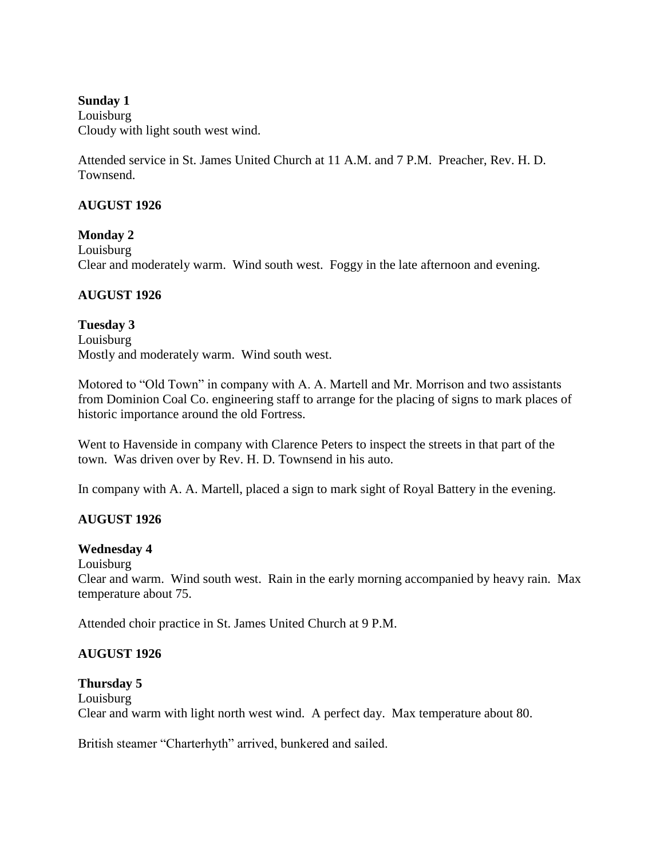#### **Sunday 1**

Louisburg Cloudy with light south west wind.

Attended service in St. James United Church at 11 A.M. and 7 P.M. Preacher, Rev. H. D. Townsend.

#### **AUGUST 1926**

**Monday 2** Louisburg Clear and moderately warm. Wind south west. Foggy in the late afternoon and evening.

#### **AUGUST 1926**

**Tuesday 3** Louisburg Mostly and moderately warm. Wind south west.

Motored to "Old Town" in company with A. A. Martell and Mr. Morrison and two assistants from Dominion Coal Co. engineering staff to arrange for the placing of signs to mark places of historic importance around the old Fortress.

Went to Havenside in company with Clarence Peters to inspect the streets in that part of the town. Was driven over by Rev. H. D. Townsend in his auto.

In company with A. A. Martell, placed a sign to mark sight of Royal Battery in the evening.

# **AUGUST 1926**

#### **Wednesday 4**

Louisburg

Clear and warm. Wind south west. Rain in the early morning accompanied by heavy rain. Max temperature about 75.

Attended choir practice in St. James United Church at 9 P.M.

# **AUGUST 1926**

#### **Thursday 5**

Louisburg Clear and warm with light north west wind. A perfect day. Max temperature about 80.

British steamer "Charterhyth" arrived, bunkered and sailed.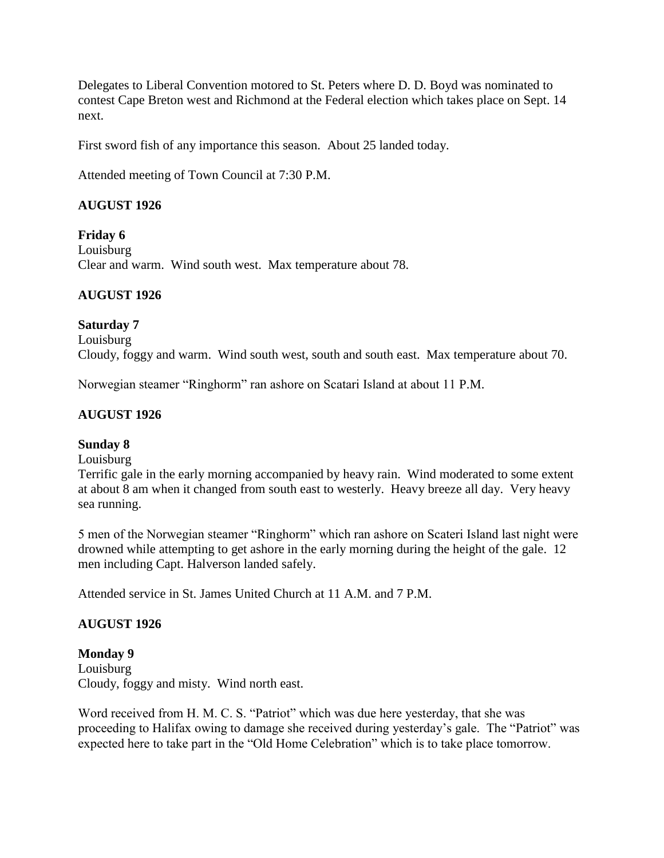Delegates to Liberal Convention motored to St. Peters where D. D. Boyd was nominated to contest Cape Breton west and Richmond at the Federal election which takes place on Sept. 14 next.

First sword fish of any importance this season. About 25 landed today.

Attended meeting of Town Council at 7:30 P.M.

# **AUGUST 1926**

**Friday 6** Louisburg Clear and warm. Wind south west. Max temperature about 78.

# **AUGUST 1926**

# **Saturday 7**

Louisburg Cloudy, foggy and warm. Wind south west, south and south east. Max temperature about 70.

Norwegian steamer "Ringhorm" ran ashore on Scatari Island at about 11 P.M.

# **AUGUST 1926**

# **Sunday 8**

Louisburg

Terrific gale in the early morning accompanied by heavy rain. Wind moderated to some extent at about 8 am when it changed from south east to westerly. Heavy breeze all day. Very heavy sea running.

5 men of the Norwegian steamer "Ringhorm" which ran ashore on Scateri Island last night were drowned while attempting to get ashore in the early morning during the height of the gale. 12 men including Capt. Halverson landed safely.

Attended service in St. James United Church at 11 A.M. and 7 P.M.

# **AUGUST 1926**

#### **Monday 9** Louisburg Cloudy, foggy and misty. Wind north east.

Word received from H. M. C. S. "Patriot" which was due here yesterday, that she was proceeding to Halifax owing to damage she received during yesterday's gale. The "Patriot" was expected here to take part in the "Old Home Celebration" which is to take place tomorrow.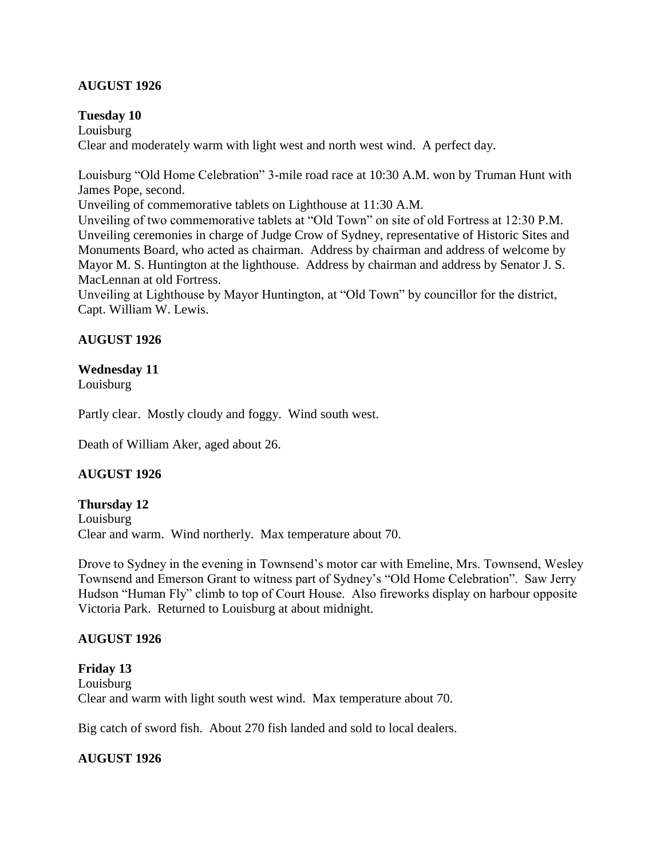# **AUGUST 1926**

#### **Tuesday 10**

Louisburg Clear and moderately warm with light west and north west wind. A perfect day.

Louisburg "Old Home Celebration" 3-mile road race at 10:30 A.M. won by Truman Hunt with James Pope, second.

Unveiling of commemorative tablets on Lighthouse at 11:30 A.M.

Unveiling of two commemorative tablets at "Old Town" on site of old Fortress at 12:30 P.M. Unveiling ceremonies in charge of Judge Crow of Sydney, representative of Historic Sites and Monuments Board, who acted as chairman. Address by chairman and address of welcome by Mayor M. S. Huntington at the lighthouse. Address by chairman and address by Senator J. S. MacLennan at old Fortress.

Unveiling at Lighthouse by Mayor Huntington, at "Old Town" by councillor for the district, Capt. William W. Lewis.

#### **AUGUST 1926**

#### **Wednesday 11**

Louisburg

Partly clear. Mostly cloudy and foggy. Wind south west.

Death of William Aker, aged about 26.

#### **AUGUST 1926**

**Thursday 12** Louisburg Clear and warm. Wind northerly. Max temperature about 70.

Drove to Sydney in the evening in Townsend's motor car with Emeline, Mrs. Townsend, Wesley Townsend and Emerson Grant to witness part of Sydney's "Old Home Celebration". Saw Jerry Hudson "Human Fly" climb to top of Court House. Also fireworks display on harbour opposite Victoria Park. Returned to Louisburg at about midnight.

#### **AUGUST 1926**

**Friday 13** Louisburg Clear and warm with light south west wind. Max temperature about 70.

Big catch of sword fish. About 270 fish landed and sold to local dealers.

#### **AUGUST 1926**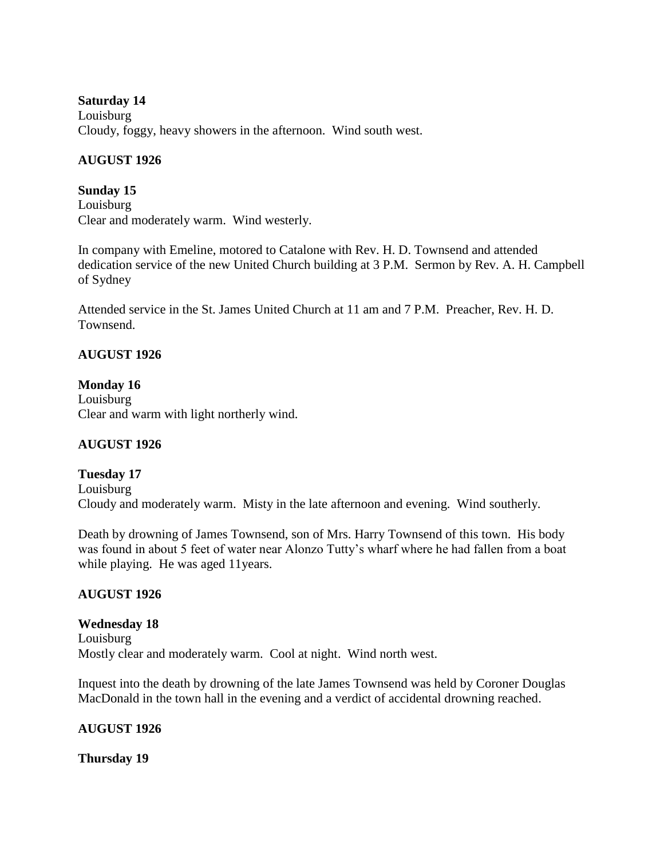# **Saturday 14** Louisburg Cloudy, foggy, heavy showers in the afternoon. Wind south west.

# **AUGUST 1926**

# **Sunday 15** Louisburg Clear and moderately warm. Wind westerly.

In company with Emeline, motored to Catalone with Rev. H. D. Townsend and attended dedication service of the new United Church building at 3 P.M. Sermon by Rev. A. H. Campbell of Sydney

Attended service in the St. James United Church at 11 am and 7 P.M. Preacher, Rev. H. D. Townsend.

# **AUGUST 1926**

**Monday 16** Louisburg Clear and warm with light northerly wind.

# **AUGUST 1926**

# **Tuesday 17** Louisburg Cloudy and moderately warm. Misty in the late afternoon and evening. Wind southerly.

Death by drowning of James Townsend, son of Mrs. Harry Townsend of this town. His body was found in about 5 feet of water near Alonzo Tutty's wharf where he had fallen from a boat while playing. He was aged 11years.

# **AUGUST 1926**

# **Wednesday 18** Louisburg Mostly clear and moderately warm. Cool at night. Wind north west.

Inquest into the death by drowning of the late James Townsend was held by Coroner Douglas MacDonald in the town hall in the evening and a verdict of accidental drowning reached.

# **AUGUST 1926**

**Thursday 19**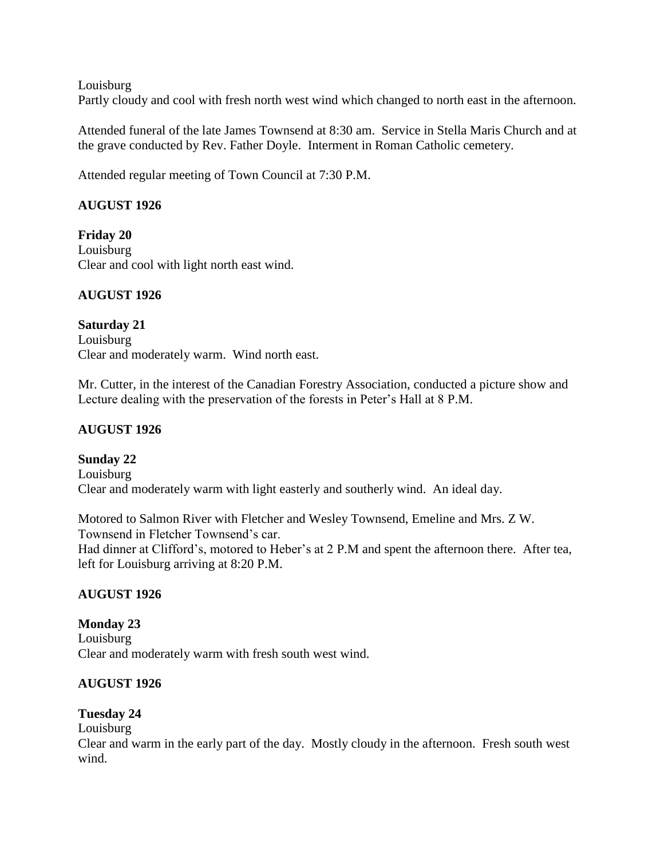Louisburg

Partly cloudy and cool with fresh north west wind which changed to north east in the afternoon.

Attended funeral of the late James Townsend at 8:30 am. Service in Stella Maris Church and at the grave conducted by Rev. Father Doyle. Interment in Roman Catholic cemetery.

Attended regular meeting of Town Council at 7:30 P.M.

# **AUGUST 1926**

**Friday 20** Louisburg Clear and cool with light north east wind.

# **AUGUST 1926**

**Saturday 21** Louisburg Clear and moderately warm. Wind north east.

Mr. Cutter, in the interest of the Canadian Forestry Association, conducted a picture show and Lecture dealing with the preservation of the forests in Peter's Hall at 8 P.M.

# **AUGUST 1926**

# **Sunday 22**

Louisburg Clear and moderately warm with light easterly and southerly wind. An ideal day.

Motored to Salmon River with Fletcher and Wesley Townsend, Emeline and Mrs. Z W. Townsend in Fletcher Townsend's car. Had dinner at Clifford's, motored to Heber's at 2 P.M and spent the afternoon there. After tea, left for Louisburg arriving at 8:20 P.M.

# **AUGUST 1926**

**Monday 23** Louisburg Clear and moderately warm with fresh south west wind.

# **AUGUST 1926**

# **Tuesday 24**

# Louisburg

Clear and warm in the early part of the day. Mostly cloudy in the afternoon. Fresh south west wind.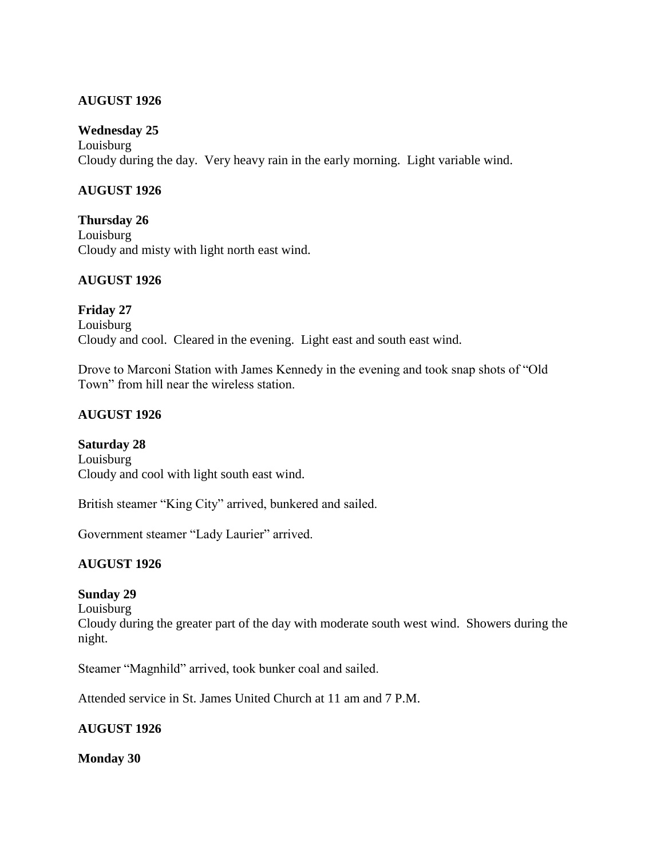#### **AUGUST 1926**

#### **Wednesday 25**

Louisburg Cloudy during the day. Very heavy rain in the early morning. Light variable wind.

#### **AUGUST 1926**

**Thursday 26** Louisburg Cloudy and misty with light north east wind.

# **AUGUST 1926**

**Friday 27** Louisburg Cloudy and cool. Cleared in the evening. Light east and south east wind.

Drove to Marconi Station with James Kennedy in the evening and took snap shots of "Old Town" from hill near the wireless station.

#### **AUGUST 1926**

#### **Saturday 28**

Louisburg Cloudy and cool with light south east wind.

British steamer "King City" arrived, bunkered and sailed.

Government steamer "Lady Laurier" arrived.

# **AUGUST 1926**

#### **Sunday 29**

Louisburg

Cloudy during the greater part of the day with moderate south west wind. Showers during the night.

Steamer "Magnhild" arrived, took bunker coal and sailed.

Attended service in St. James United Church at 11 am and 7 P.M.

#### **AUGUST 1926**

**Monday 30**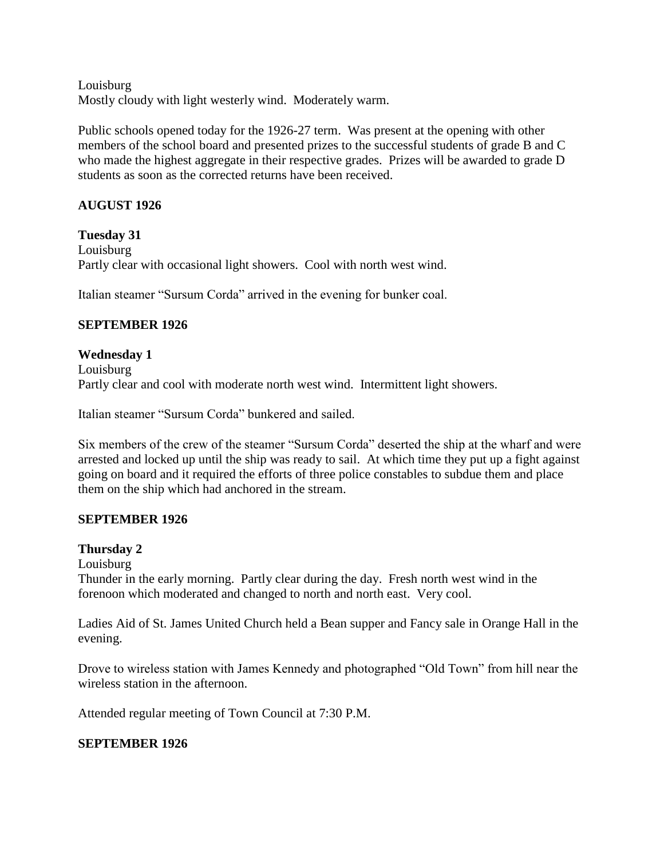Louisburg Mostly cloudy with light westerly wind. Moderately warm.

Public schools opened today for the 1926-27 term. Was present at the opening with other members of the school board and presented prizes to the successful students of grade B and C who made the highest aggregate in their respective grades. Prizes will be awarded to grade D students as soon as the corrected returns have been received.

# **AUGUST 1926**

**Tuesday 31** Louisburg Partly clear with occasional light showers. Cool with north west wind.

Italian steamer "Sursum Corda" arrived in the evening for bunker coal.

# **SEPTEMBER 1926**

**Wednesday 1** Louisburg Partly clear and cool with moderate north west wind. Intermittent light showers.

Italian steamer "Sursum Corda" bunkered and sailed.

Six members of the crew of the steamer "Sursum Corda" deserted the ship at the wharf and were arrested and locked up until the ship was ready to sail. At which time they put up a fight against going on board and it required the efforts of three police constables to subdue them and place them on the ship which had anchored in the stream.

# **SEPTEMBER 1926**

# **Thursday 2**

Louisburg

Thunder in the early morning. Partly clear during the day. Fresh north west wind in the forenoon which moderated and changed to north and north east. Very cool.

Ladies Aid of St. James United Church held a Bean supper and Fancy sale in Orange Hall in the evening.

Drove to wireless station with James Kennedy and photographed "Old Town" from hill near the wireless station in the afternoon.

Attended regular meeting of Town Council at 7:30 P.M.

# **SEPTEMBER 1926**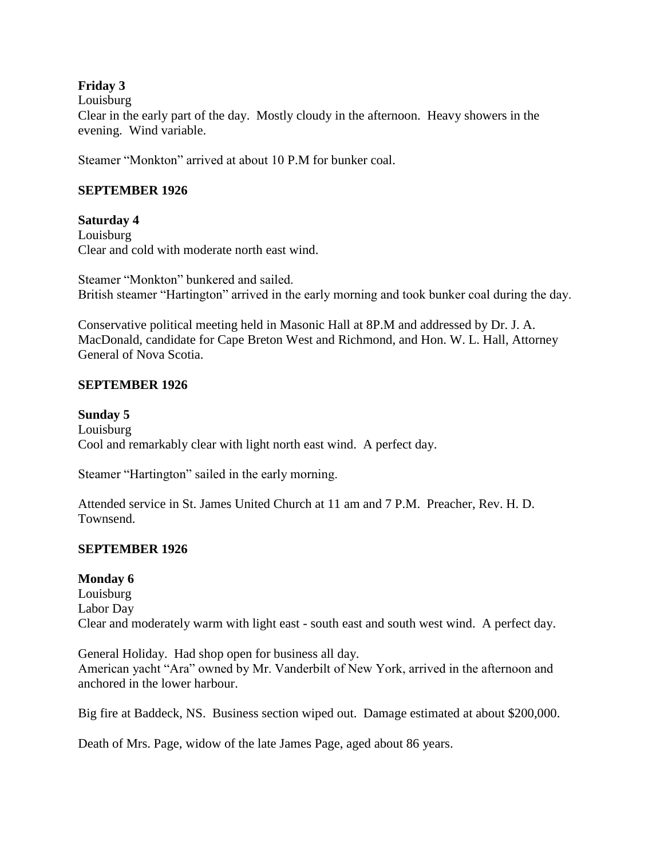# **Friday 3**

Louisburg

Clear in the early part of the day. Mostly cloudy in the afternoon. Heavy showers in the evening. Wind variable.

Steamer "Monkton" arrived at about 10 P.M for bunker coal.

#### **SEPTEMBER 1926**

#### **Saturday 4**

Louisburg Clear and cold with moderate north east wind.

Steamer "Monkton" bunkered and sailed. British steamer "Hartington" arrived in the early morning and took bunker coal during the day.

Conservative political meeting held in Masonic Hall at 8P.M and addressed by Dr. J. A. MacDonald, candidate for Cape Breton West and Richmond, and Hon. W. L. Hall, Attorney General of Nova Scotia.

#### **SEPTEMBER 1926**

# **Sunday 5**

Louisburg Cool and remarkably clear with light north east wind. A perfect day.

Steamer "Hartington" sailed in the early morning.

Attended service in St. James United Church at 11 am and 7 P.M. Preacher, Rev. H. D. Townsend.

# **SEPTEMBER 1926**

#### **Monday 6**

Louisburg Labor Day Clear and moderately warm with light east - south east and south west wind. A perfect day.

General Holiday. Had shop open for business all day. American yacht "Ara" owned by Mr. Vanderbilt of New York, arrived in the afternoon and anchored in the lower harbour.

Big fire at Baddeck, NS. Business section wiped out. Damage estimated at about \$200,000.

Death of Mrs. Page, widow of the late James Page, aged about 86 years.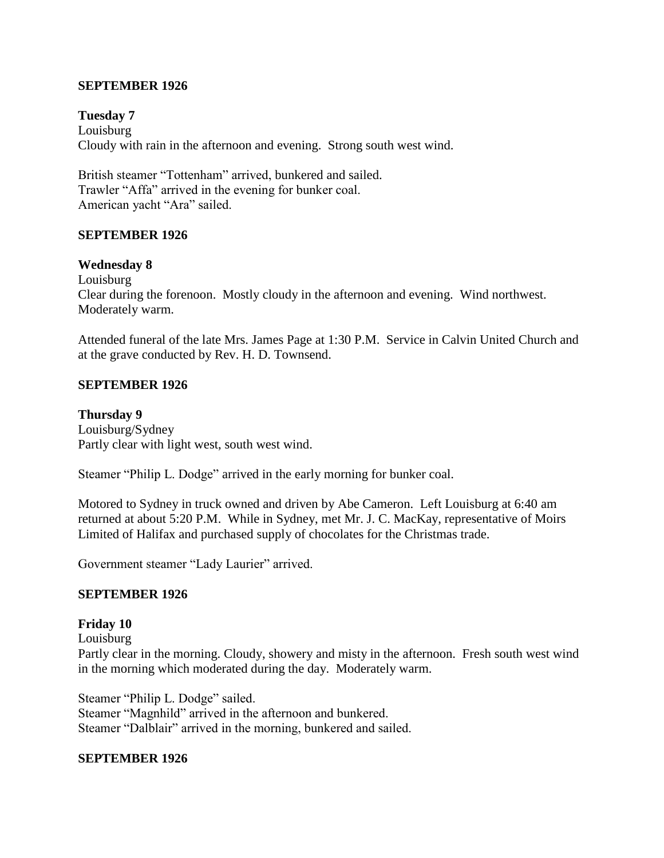#### **SEPTEMBER 1926**

**Tuesday 7** Louisburg Cloudy with rain in the afternoon and evening. Strong south west wind.

British steamer "Tottenham" arrived, bunkered and sailed. Trawler "Affa" arrived in the evening for bunker coal. American yacht "Ara" sailed.

#### **SEPTEMBER 1926**

#### **Wednesday 8**

Louisburg Clear during the forenoon. Mostly cloudy in the afternoon and evening. Wind northwest. Moderately warm.

Attended funeral of the late Mrs. James Page at 1:30 P.M. Service in Calvin United Church and at the grave conducted by Rev. H. D. Townsend.

#### **SEPTEMBER 1926**

**Thursday 9** Louisburg/Sydney Partly clear with light west, south west wind.

Steamer "Philip L. Dodge" arrived in the early morning for bunker coal.

Motored to Sydney in truck owned and driven by Abe Cameron. Left Louisburg at 6:40 am returned at about 5:20 P.M. While in Sydney, met Mr. J. C. MacKay, representative of Moirs Limited of Halifax and purchased supply of chocolates for the Christmas trade.

Government steamer "Lady Laurier" arrived.

#### **SEPTEMBER 1926**

#### **Friday 10**

Louisburg Partly clear in the morning. Cloudy, showery and misty in the afternoon. Fresh south west wind in the morning which moderated during the day. Moderately warm.

Steamer "Philip L. Dodge" sailed. Steamer "Magnhild" arrived in the afternoon and bunkered. Steamer "Dalblair" arrived in the morning, bunkered and sailed.

#### **SEPTEMBER 1926**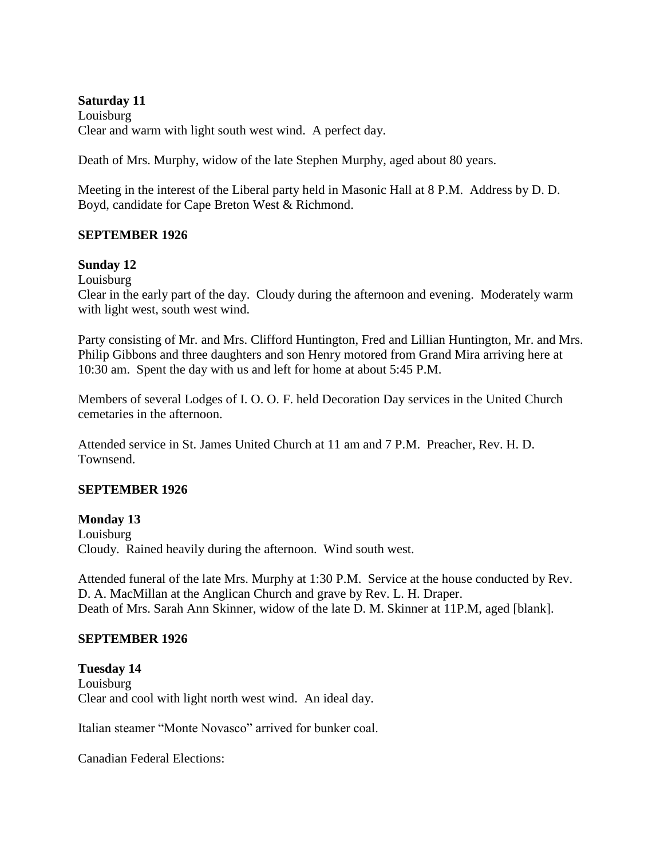**Saturday 11** Louisburg Clear and warm with light south west wind. A perfect day.

Death of Mrs. Murphy, widow of the late Stephen Murphy, aged about 80 years.

Meeting in the interest of the Liberal party held in Masonic Hall at 8 P.M. Address by D. D. Boyd, candidate for Cape Breton West & Richmond.

#### **SEPTEMBER 1926**

#### **Sunday 12**

Louisburg

Clear in the early part of the day. Cloudy during the afternoon and evening. Moderately warm with light west, south west wind.

Party consisting of Mr. and Mrs. Clifford Huntington, Fred and Lillian Huntington, Mr. and Mrs. Philip Gibbons and three daughters and son Henry motored from Grand Mira arriving here at 10:30 am. Spent the day with us and left for home at about 5:45 P.M.

Members of several Lodges of I. O. O. F. held Decoration Day services in the United Church cemetaries in the afternoon.

Attended service in St. James United Church at 11 am and 7 P.M. Preacher, Rev. H. D. Townsend.

#### **SEPTEMBER 1926**

**Monday 13**

Louisburg Cloudy. Rained heavily during the afternoon. Wind south west.

Attended funeral of the late Mrs. Murphy at 1:30 P.M. Service at the house conducted by Rev. D. A. MacMillan at the Anglican Church and grave by Rev. L. H. Draper. Death of Mrs. Sarah Ann Skinner, widow of the late D. M. Skinner at 11P.M, aged [blank].

#### **SEPTEMBER 1926**

**Tuesday 14** Louisburg Clear and cool with light north west wind. An ideal day.

Italian steamer "Monte Novasco" arrived for bunker coal.

Canadian Federal Elections: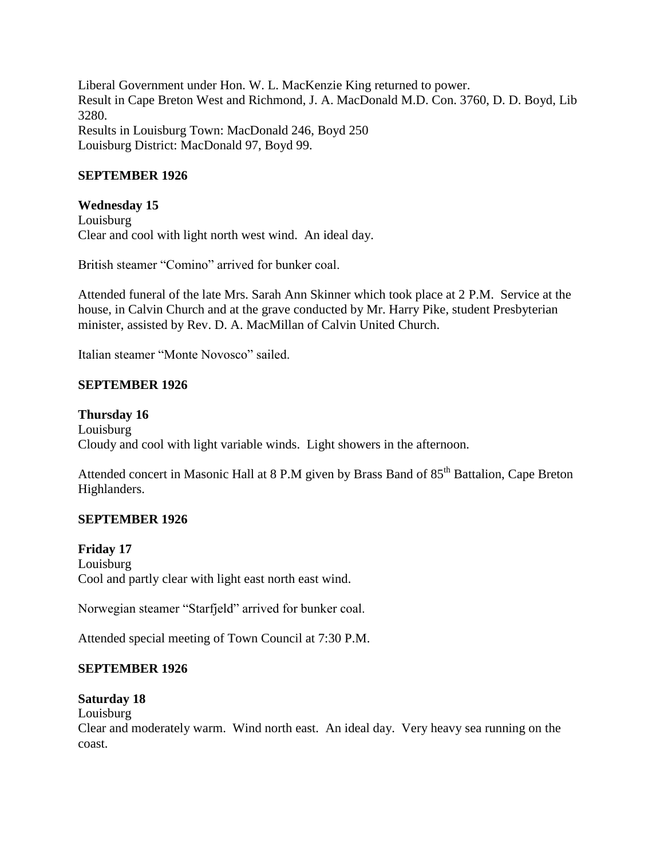Liberal Government under Hon. W. L. MacKenzie King returned to power. Result in Cape Breton West and Richmond, J. A. MacDonald M.D. Con. 3760, D. D. Boyd, Lib 3280. Results in Louisburg Town: MacDonald 246, Boyd 250 Louisburg District: MacDonald 97, Boyd 99.

#### **SEPTEMBER 1926**

#### **Wednesday 15**

Louisburg Clear and cool with light north west wind. An ideal day.

British steamer "Comino" arrived for bunker coal.

Attended funeral of the late Mrs. Sarah Ann Skinner which took place at 2 P.M. Service at the house, in Calvin Church and at the grave conducted by Mr. Harry Pike, student Presbyterian minister, assisted by Rev. D. A. MacMillan of Calvin United Church.

Italian steamer "Monte Novosco" sailed.

#### **SEPTEMBER 1926**

#### **Thursday 16**

Louisburg Cloudy and cool with light variable winds. Light showers in the afternoon.

Attended concert in Masonic Hall at 8 P.M given by Brass Band of 85<sup>th</sup> Battalion, Cape Breton Highlanders.

#### **SEPTEMBER 1926**

#### **Friday 17**

Louisburg Cool and partly clear with light east north east wind.

Norwegian steamer "Starfjeld" arrived for bunker coal.

Attended special meeting of Town Council at 7:30 P.M.

#### **SEPTEMBER 1926**

#### **Saturday 18**

Louisburg

Clear and moderately warm. Wind north east. An ideal day. Very heavy sea running on the coast.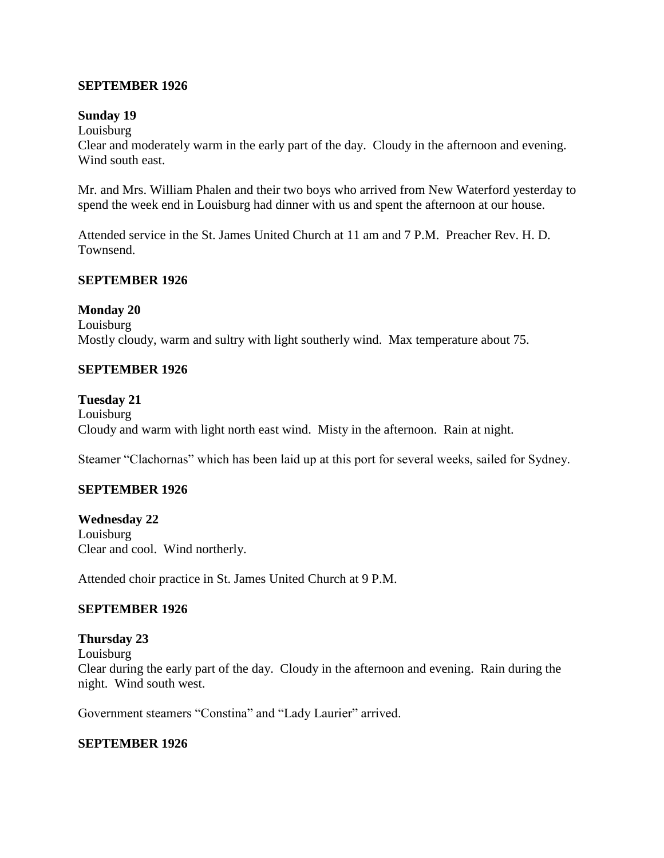#### **SEPTEMBER 1926**

#### **Sunday 19**

Louisburg

Clear and moderately warm in the early part of the day. Cloudy in the afternoon and evening. Wind south east.

Mr. and Mrs. William Phalen and their two boys who arrived from New Waterford yesterday to spend the week end in Louisburg had dinner with us and spent the afternoon at our house.

Attended service in the St. James United Church at 11 am and 7 P.M. Preacher Rev. H. D. Townsend.

#### **SEPTEMBER 1926**

#### **Monday 20**

Louisburg Mostly cloudy, warm and sultry with light southerly wind. Max temperature about 75.

#### **SEPTEMBER 1926**

#### **Tuesday 21**

Louisburg Cloudy and warm with light north east wind. Misty in the afternoon. Rain at night.

Steamer "Clachornas" which has been laid up at this port for several weeks, sailed for Sydney.

#### **SEPTEMBER 1926**

**Wednesday 22** Louisburg Clear and cool. Wind northerly.

Attended choir practice in St. James United Church at 9 P.M.

# **SEPTEMBER 1926**

#### **Thursday 23**

Louisburg

Clear during the early part of the day. Cloudy in the afternoon and evening. Rain during the night. Wind south west.

Government steamers "Constina" and "Lady Laurier" arrived.

#### **SEPTEMBER 1926**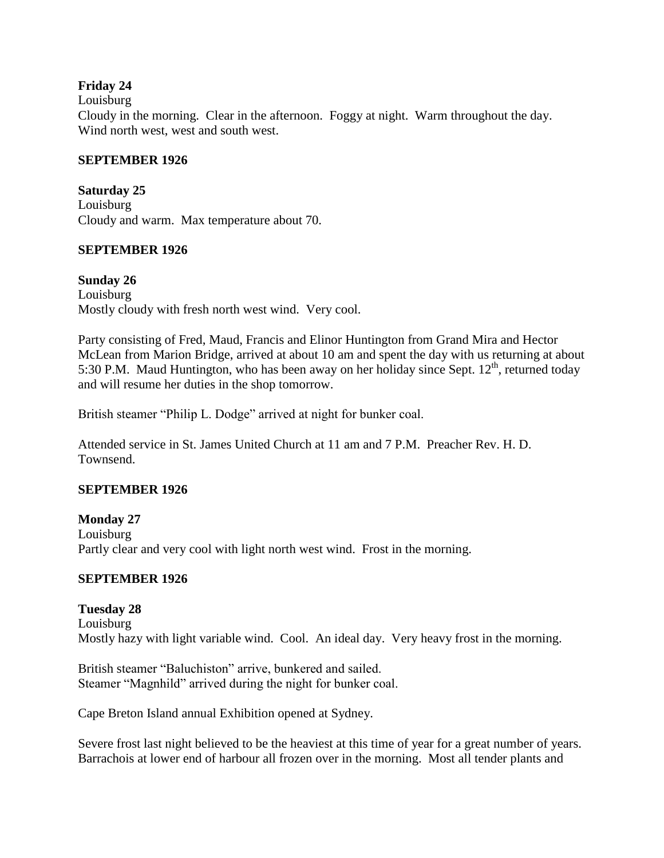#### **Friday 24**

#### Louisburg

Cloudy in the morning. Clear in the afternoon. Foggy at night. Warm throughout the day. Wind north west, west and south west.

#### **SEPTEMBER 1926**

#### **Saturday 25**

Louisburg Cloudy and warm. Max temperature about 70.

#### **SEPTEMBER 1926**

**Sunday 26** Louisburg Mostly cloudy with fresh north west wind. Very cool.

Party consisting of Fred, Maud, Francis and Elinor Huntington from Grand Mira and Hector McLean from Marion Bridge, arrived at about 10 am and spent the day with us returning at about 5:30 P.M. Maud Huntington, who has been away on her holiday since Sept.  $12<sup>th</sup>$ , returned today and will resume her duties in the shop tomorrow.

British steamer "Philip L. Dodge" arrived at night for bunker coal.

Attended service in St. James United Church at 11 am and 7 P.M. Preacher Rev. H. D. Townsend.

#### **SEPTEMBER 1926**

**Monday 27** Louisburg Partly clear and very cool with light north west wind. Frost in the morning.

#### **SEPTEMBER 1926**

**Tuesday 28** Louisburg Mostly hazy with light variable wind. Cool. An ideal day. Very heavy frost in the morning.

British steamer "Baluchiston" arrive, bunkered and sailed. Steamer "Magnhild" arrived during the night for bunker coal.

Cape Breton Island annual Exhibition opened at Sydney.

Severe frost last night believed to be the heaviest at this time of year for a great number of years. Barrachois at lower end of harbour all frozen over in the morning. Most all tender plants and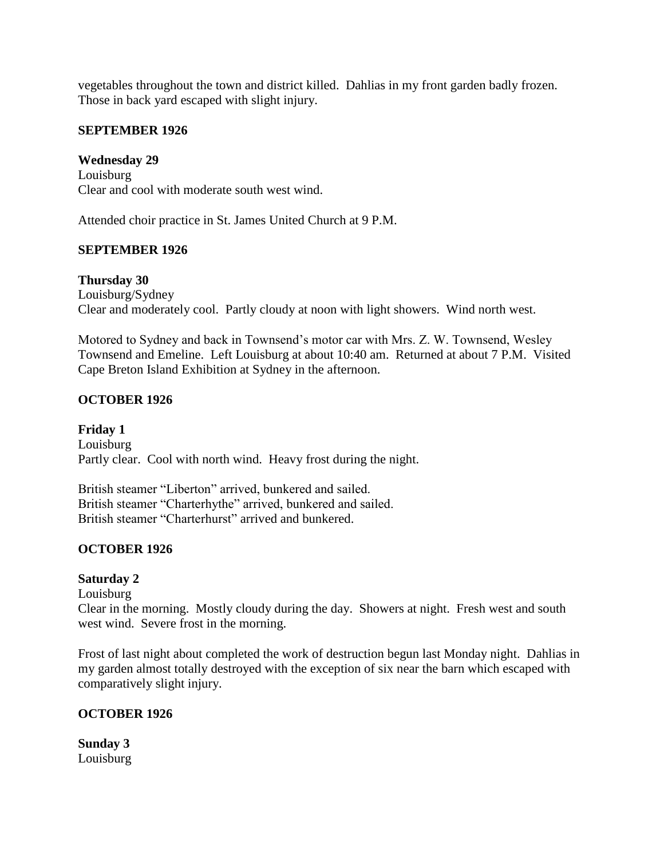vegetables throughout the town and district killed. Dahlias in my front garden badly frozen. Those in back yard escaped with slight injury.

# **SEPTEMBER 1926**

**Wednesday 29** Louisburg Clear and cool with moderate south west wind.

Attended choir practice in St. James United Church at 9 P.M.

# **SEPTEMBER 1926**

**Thursday 30** Louisburg/Sydney Clear and moderately cool. Partly cloudy at noon with light showers. Wind north west.

Motored to Sydney and back in Townsend's motor car with Mrs. Z. W. Townsend, Wesley Townsend and Emeline. Left Louisburg at about 10:40 am. Returned at about 7 P.M. Visited Cape Breton Island Exhibition at Sydney in the afternoon.

# **OCTOBER 1926**

**Friday 1** Louisburg Partly clear. Cool with north wind. Heavy frost during the night.

British steamer "Liberton" arrived, bunkered and sailed. British steamer "Charterhythe" arrived, bunkered and sailed. British steamer "Charterhurst" arrived and bunkered.

# **OCTOBER 1926**

# **Saturday 2**

Louisburg

Clear in the morning. Mostly cloudy during the day. Showers at night. Fresh west and south west wind. Severe frost in the morning.

Frost of last night about completed the work of destruction begun last Monday night. Dahlias in my garden almost totally destroyed with the exception of six near the barn which escaped with comparatively slight injury.

# **OCTOBER 1926**

**Sunday 3** Louisburg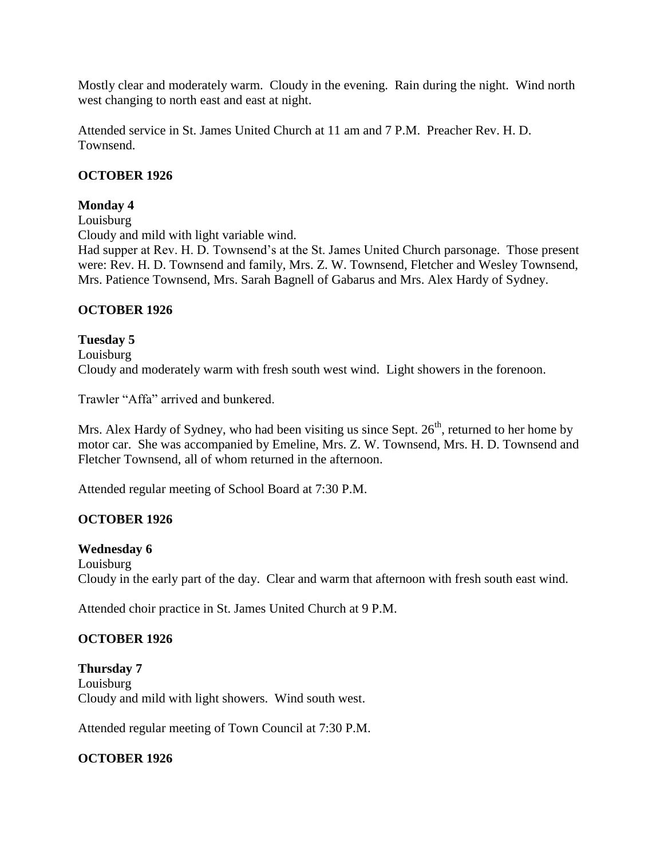Mostly clear and moderately warm. Cloudy in the evening. Rain during the night. Wind north west changing to north east and east at night.

Attended service in St. James United Church at 11 am and 7 P.M. Preacher Rev. H. D. Townsend.

#### **OCTOBER 1926**

#### **Monday 4**

Louisburg

Cloudy and mild with light variable wind.

Had supper at Rev. H. D. Townsend's at the St. James United Church parsonage. Those present were: Rev. H. D. Townsend and family, Mrs. Z. W. Townsend, Fletcher and Wesley Townsend, Mrs. Patience Townsend, Mrs. Sarah Bagnell of Gabarus and Mrs. Alex Hardy of Sydney.

#### **OCTOBER 1926**

#### **Tuesday 5**

Louisburg Cloudy and moderately warm with fresh south west wind. Light showers in the forenoon.

Trawler "Affa" arrived and bunkered.

Mrs. Alex Hardy of Sydney, who had been visiting us since Sept.  $26<sup>th</sup>$ , returned to her home by motor car. She was accompanied by Emeline, Mrs. Z. W. Townsend, Mrs. H. D. Townsend and Fletcher Townsend, all of whom returned in the afternoon.

Attended regular meeting of School Board at 7:30 P.M.

# **OCTOBER 1926**

#### **Wednesday 6**

Louisburg Cloudy in the early part of the day. Clear and warm that afternoon with fresh south east wind.

Attended choir practice in St. James United Church at 9 P.M.

# **OCTOBER 1926**

**Thursday 7** Louisburg Cloudy and mild with light showers. Wind south west.

Attended regular meeting of Town Council at 7:30 P.M.

# **OCTOBER 1926**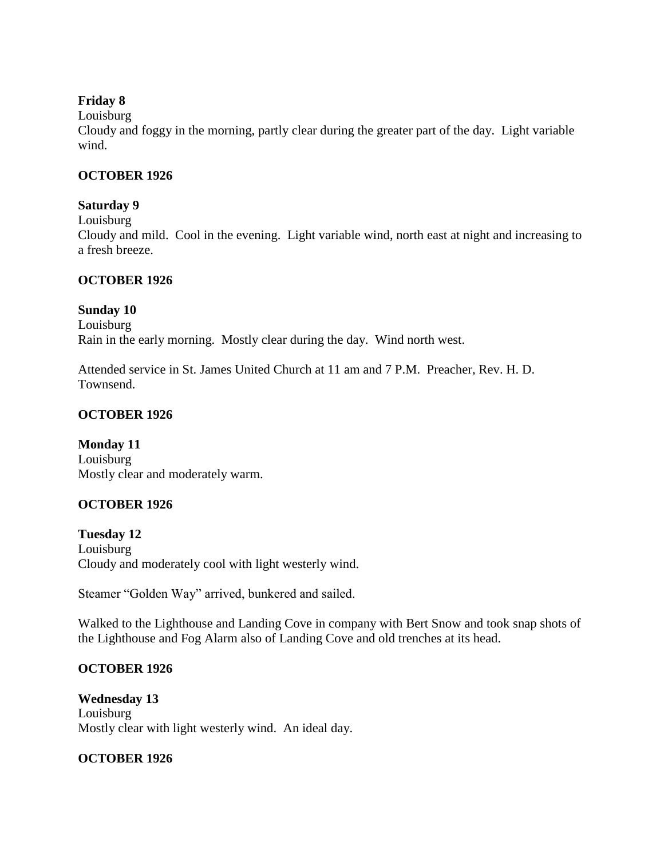# **Friday 8**

Louisburg

Cloudy and foggy in the morning, partly clear during the greater part of the day. Light variable wind.

# **OCTOBER 1926**

# **Saturday 9**

Louisburg

Cloudy and mild. Cool in the evening. Light variable wind, north east at night and increasing to a fresh breeze.

# **OCTOBER 1926**

# **Sunday 10**

Louisburg Rain in the early morning. Mostly clear during the day. Wind north west.

Attended service in St. James United Church at 11 am and 7 P.M. Preacher, Rev. H. D. Townsend.

# **OCTOBER 1926**

**Monday 11** Louisburg Mostly clear and moderately warm.

# **OCTOBER 1926**

**Tuesday 12** Louisburg Cloudy and moderately cool with light westerly wind.

Steamer "Golden Way" arrived, bunkered and sailed.

Walked to the Lighthouse and Landing Cove in company with Bert Snow and took snap shots of the Lighthouse and Fog Alarm also of Landing Cove and old trenches at its head.

# **OCTOBER 1926**

**Wednesday 13** Louisburg Mostly clear with light westerly wind. An ideal day.

# **OCTOBER 1926**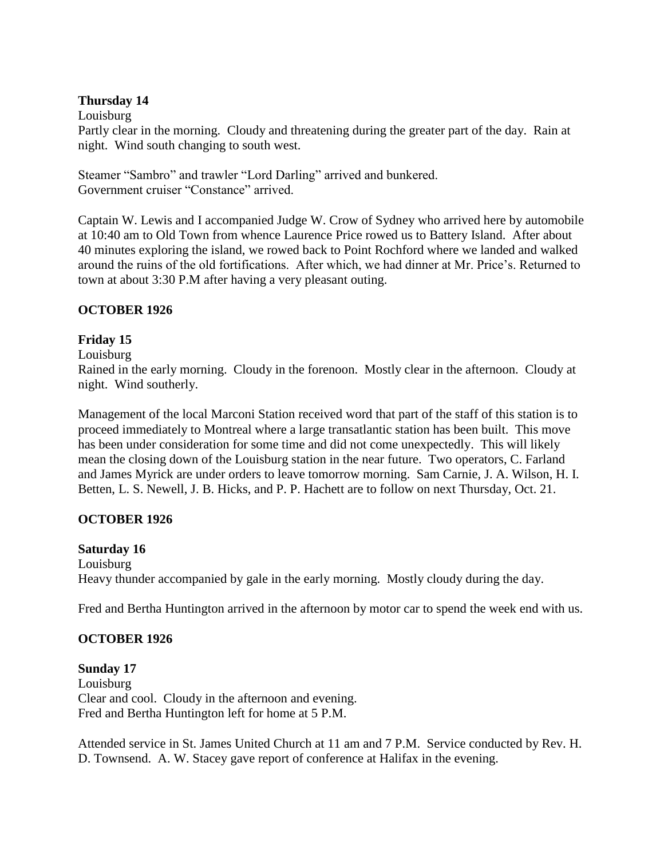# **Thursday 14**

#### Louisburg

Partly clear in the morning. Cloudy and threatening during the greater part of the day. Rain at night. Wind south changing to south west.

Steamer "Sambro" and trawler "Lord Darling" arrived and bunkered. Government cruiser "Constance" arrived.

Captain W. Lewis and I accompanied Judge W. Crow of Sydney who arrived here by automobile at 10:40 am to Old Town from whence Laurence Price rowed us to Battery Island. After about 40 minutes exploring the island, we rowed back to Point Rochford where we landed and walked around the ruins of the old fortifications. After which, we had dinner at Mr. Price's. Returned to town at about 3:30 P.M after having a very pleasant outing.

# **OCTOBER 1926**

# **Friday 15**

#### Louisburg

Rained in the early morning. Cloudy in the forenoon. Mostly clear in the afternoon. Cloudy at night. Wind southerly.

Management of the local Marconi Station received word that part of the staff of this station is to proceed immediately to Montreal where a large transatlantic station has been built. This move has been under consideration for some time and did not come unexpectedly. This will likely mean the closing down of the Louisburg station in the near future. Two operators, C. Farland and James Myrick are under orders to leave tomorrow morning. Sam Carnie, J. A. Wilson, H. I. Betten, L. S. Newell, J. B. Hicks, and P. P. Hachett are to follow on next Thursday, Oct. 21.

# **OCTOBER 1926**

# **Saturday 16**

Louisburg Heavy thunder accompanied by gale in the early morning. Mostly cloudy during the day.

Fred and Bertha Huntington arrived in the afternoon by motor car to spend the week end with us.

# **OCTOBER 1926**

# **Sunday 17**

Louisburg Clear and cool. Cloudy in the afternoon and evening. Fred and Bertha Huntington left for home at 5 P.M.

Attended service in St. James United Church at 11 am and 7 P.M. Service conducted by Rev. H. D. Townsend. A. W. Stacey gave report of conference at Halifax in the evening.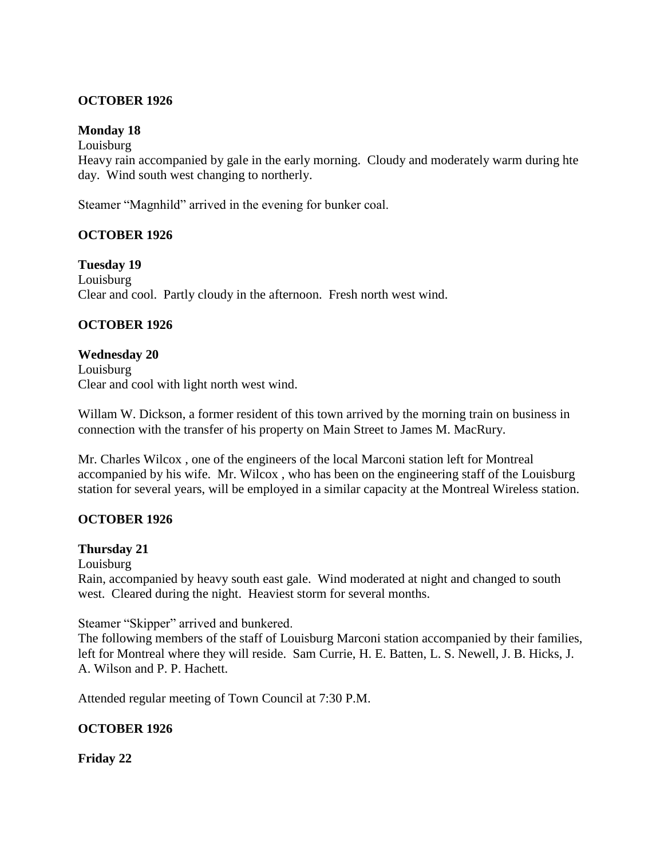#### **OCTOBER 1926**

#### **Monday 18**

Louisburg

Heavy rain accompanied by gale in the early morning. Cloudy and moderately warm during hte day. Wind south west changing to northerly.

Steamer "Magnhild" arrived in the evening for bunker coal.

#### **OCTOBER 1926**

**Tuesday 19** Louisburg Clear and cool. Partly cloudy in the afternoon. Fresh north west wind.

#### **OCTOBER 1926**

**Wednesday 20** Louisburg Clear and cool with light north west wind.

Willam W. Dickson, a former resident of this town arrived by the morning train on business in connection with the transfer of his property on Main Street to James M. MacRury.

Mr. Charles Wilcox , one of the engineers of the local Marconi station left for Montreal accompanied by his wife. Mr. Wilcox , who has been on the engineering staff of the Louisburg station for several years, will be employed in a similar capacity at the Montreal Wireless station.

# **OCTOBER 1926**

#### **Thursday 21**

Louisburg

Rain, accompanied by heavy south east gale. Wind moderated at night and changed to south west. Cleared during the night. Heaviest storm for several months.

Steamer "Skipper" arrived and bunkered.

The following members of the staff of Louisburg Marconi station accompanied by their families, left for Montreal where they will reside. Sam Currie, H. E. Batten, L. S. Newell, J. B. Hicks, J. A. Wilson and P. P. Hachett.

Attended regular meeting of Town Council at 7:30 P.M.

#### **OCTOBER 1926**

**Friday 22**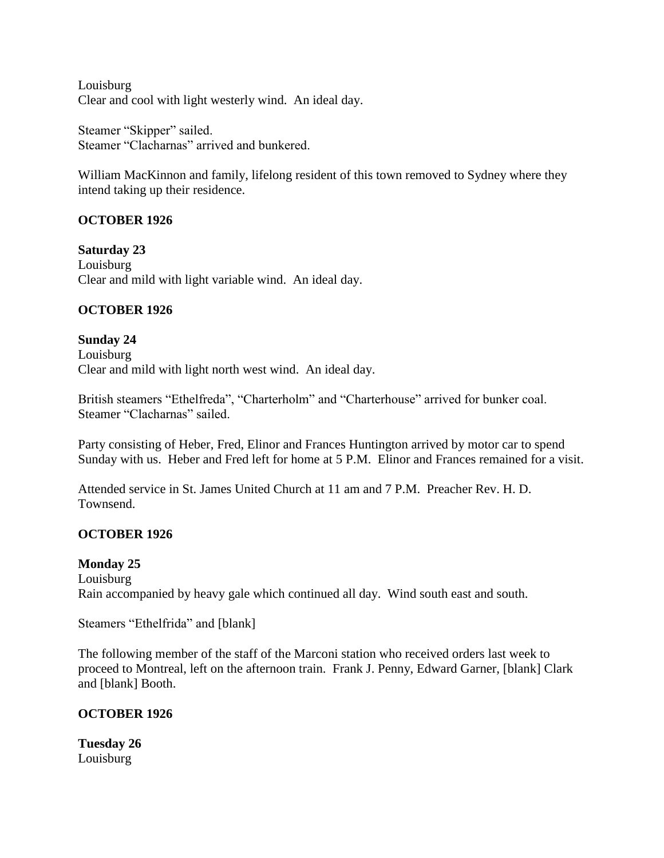Louisburg Clear and cool with light westerly wind. An ideal day.

Steamer "Skipper" sailed. Steamer "Clacharnas" arrived and bunkered.

William MacKinnon and family, lifelong resident of this town removed to Sydney where they intend taking up their residence.

# **OCTOBER 1926**

**Saturday 23** Louisburg Clear and mild with light variable wind. An ideal day.

# **OCTOBER 1926**

**Sunday 24** Louisburg Clear and mild with light north west wind. An ideal day.

British steamers "Ethelfreda", "Charterholm" and "Charterhouse" arrived for bunker coal. Steamer "Clacharnas" sailed.

Party consisting of Heber, Fred, Elinor and Frances Huntington arrived by motor car to spend Sunday with us. Heber and Fred left for home at 5 P.M. Elinor and Frances remained for a visit.

Attended service in St. James United Church at 11 am and 7 P.M. Preacher Rev. H. D. Townsend.

# **OCTOBER 1926**

# **Monday 25**

Louisburg Rain accompanied by heavy gale which continued all day. Wind south east and south.

Steamers "Ethelfrida" and [blank]

The following member of the staff of the Marconi station who received orders last week to proceed to Montreal, left on the afternoon train. Frank J. Penny, Edward Garner, [blank] Clark and [blank] Booth.

# **OCTOBER 1926**

**Tuesday 26** Louisburg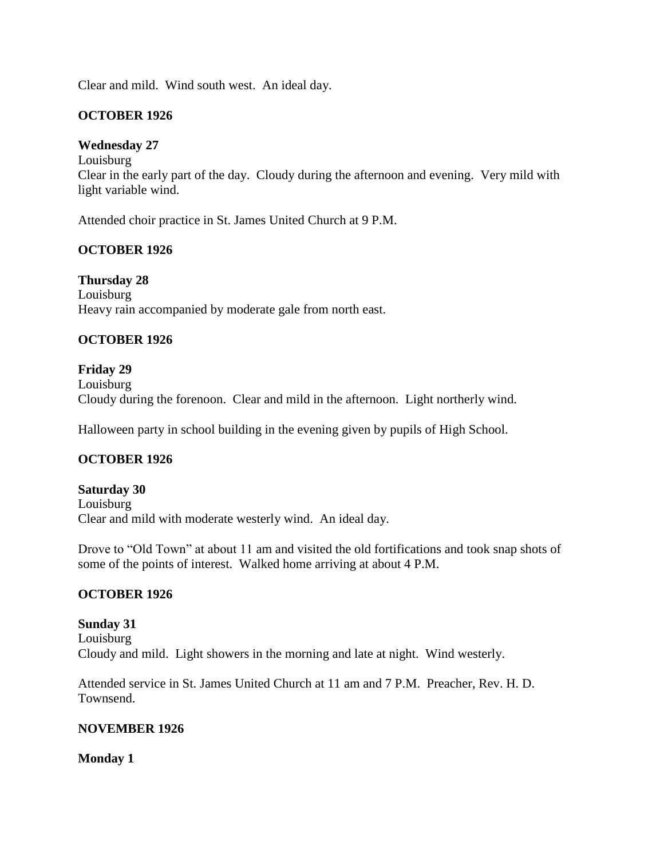Clear and mild. Wind south west. An ideal day.

#### **OCTOBER 1926**

#### **Wednesday 27**

Louisburg Clear in the early part of the day. Cloudy during the afternoon and evening. Very mild with light variable wind.

Attended choir practice in St. James United Church at 9 P.M.

# **OCTOBER 1926**

**Thursday 28** Louisburg Heavy rain accompanied by moderate gale from north east.

#### **OCTOBER 1926**

#### **Friday 29**

Louisburg Cloudy during the forenoon. Clear and mild in the afternoon. Light northerly wind.

Halloween party in school building in the evening given by pupils of High School.

# **OCTOBER 1926**

#### **Saturday 30** Louisburg Clear and mild with moderate westerly wind. An ideal day.

Drove to "Old Town" at about 11 am and visited the old fortifications and took snap shots of some of the points of interest. Walked home arriving at about 4 P.M.

#### **OCTOBER 1926**

#### **Sunday 31** Louisburg Cloudy and mild. Light showers in the morning and late at night. Wind westerly.

Attended service in St. James United Church at 11 am and 7 P.M. Preacher, Rev. H. D. Townsend.

#### **NOVEMBER 1926**

#### **Monday 1**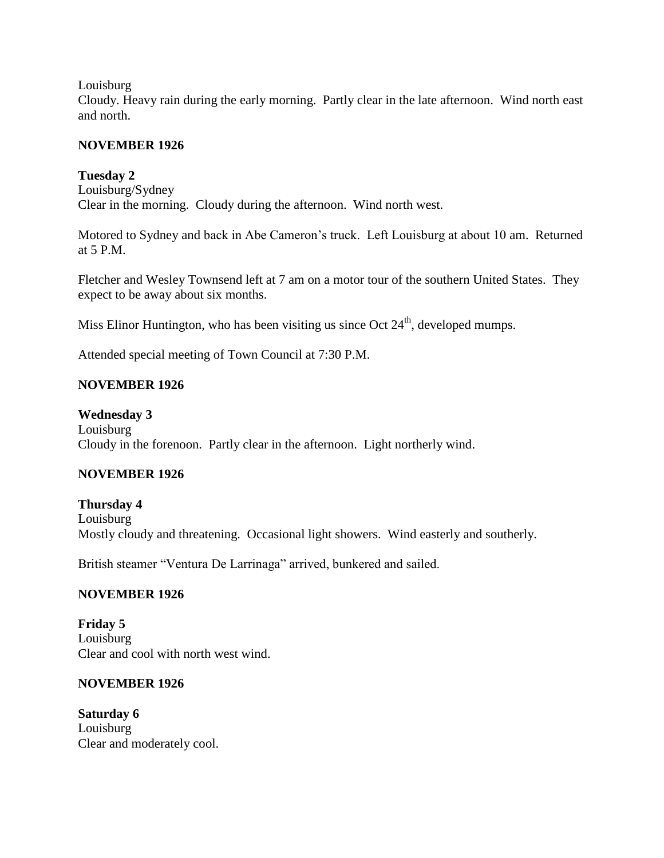#### Louisburg

Cloudy. Heavy rain during the early morning. Partly clear in the late afternoon. Wind north east and north.

#### **NOVEMBER 1926**

#### **Tuesday 2**

Louisburg/Sydney Clear in the morning. Cloudy during the afternoon. Wind north west.

Motored to Sydney and back in Abe Cameron's truck. Left Louisburg at about 10 am. Returned at 5 P.M.

Fletcher and Wesley Townsend left at 7 am on a motor tour of the southern United States. They expect to be away about six months.

Miss Elinor Huntington, who has been visiting us since Oct  $24<sup>th</sup>$ , developed mumps.

Attended special meeting of Town Council at 7:30 P.M.

# **NOVEMBER 1926**

**Wednesday 3** Louisburg Cloudy in the forenoon. Partly clear in the afternoon. Light northerly wind.

# **NOVEMBER 1926**

**Thursday 4** Louisburg Mostly cloudy and threatening. Occasional light showers. Wind easterly and southerly.

British steamer "Ventura De Larrinaga" arrived, bunkered and sailed.

#### **NOVEMBER 1926**

**Friday 5** Louisburg Clear and cool with north west wind.

#### **NOVEMBER 1926**

**Saturday 6** Louisburg Clear and moderately cool.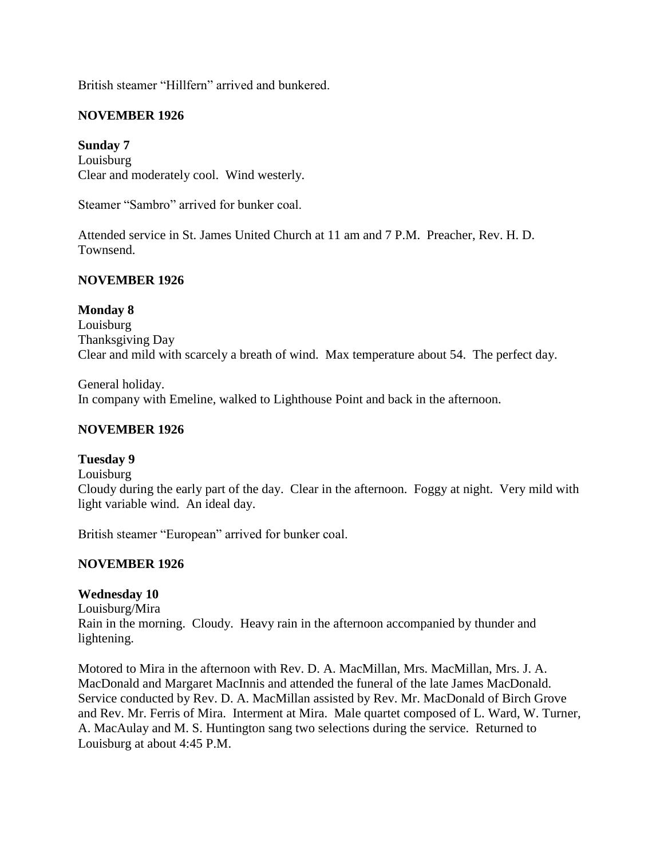British steamer "Hillfern" arrived and bunkered.

# **NOVEMBER 1926**

# **Sunday 7**

Louisburg Clear and moderately cool. Wind westerly.

Steamer "Sambro" arrived for bunker coal.

Attended service in St. James United Church at 11 am and 7 P.M. Preacher, Rev. H. D. Townsend.

# **NOVEMBER 1926**

#### **Monday 8**

Louisburg Thanksgiving Day Clear and mild with scarcely a breath of wind. Max temperature about 54. The perfect day.

General holiday. In company with Emeline, walked to Lighthouse Point and back in the afternoon.

#### **NOVEMBER 1926**

#### **Tuesday 9**

Louisburg

Cloudy during the early part of the day. Clear in the afternoon. Foggy at night. Very mild with light variable wind. An ideal day.

British steamer "European" arrived for bunker coal.

#### **NOVEMBER 1926**

#### **Wednesday 10**

Louisburg/Mira Rain in the morning. Cloudy. Heavy rain in the afternoon accompanied by thunder and lightening.

Motored to Mira in the afternoon with Rev. D. A. MacMillan, Mrs. MacMillan, Mrs. J. A. MacDonald and Margaret MacInnis and attended the funeral of the late James MacDonald. Service conducted by Rev. D. A. MacMillan assisted by Rev. Mr. MacDonald of Birch Grove and Rev. Mr. Ferris of Mira. Interment at Mira. Male quartet composed of L. Ward, W. Turner, A. MacAulay and M. S. Huntington sang two selections during the service. Returned to Louisburg at about 4:45 P.M.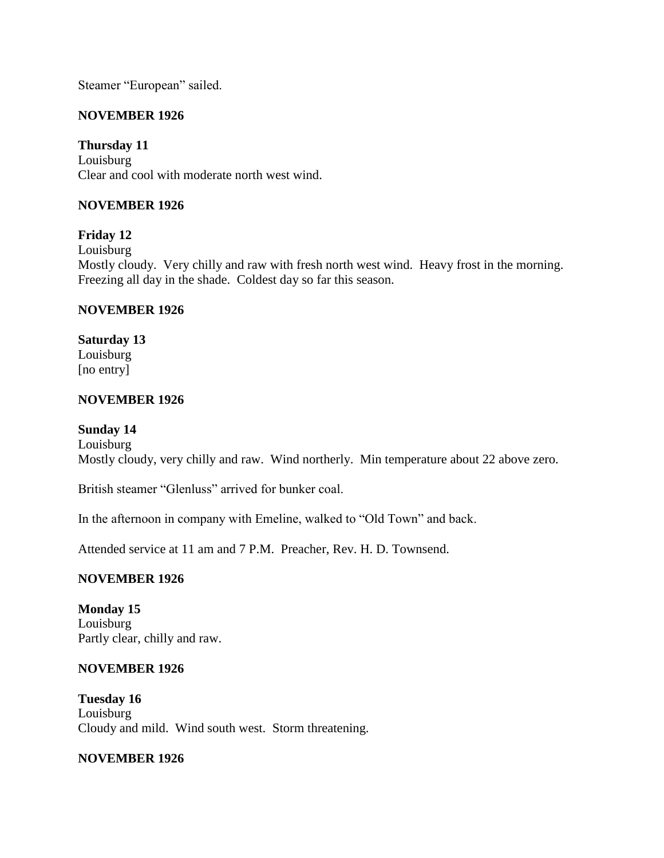Steamer "European" sailed.

# **NOVEMBER 1926**

# **Thursday 11**

Louisburg Clear and cool with moderate north west wind.

# **NOVEMBER 1926**

# **Friday 12**

Louisburg

Mostly cloudy. Very chilly and raw with fresh north west wind. Heavy frost in the morning. Freezing all day in the shade. Coldest day so far this season.

# **NOVEMBER 1926**

# **Saturday 13**

Louisburg [no entry]

# **NOVEMBER 1926**

# **Sunday 14**

Louisburg Mostly cloudy, very chilly and raw. Wind northerly. Min temperature about 22 above zero.

British steamer "Glenluss" arrived for bunker coal.

In the afternoon in company with Emeline, walked to "Old Town" and back.

Attended service at 11 am and 7 P.M. Preacher, Rev. H. D. Townsend.

# **NOVEMBER 1926**

**Monday 15** Louisburg Partly clear, chilly and raw.

# **NOVEMBER 1926**

**Tuesday 16** Louisburg Cloudy and mild. Wind south west. Storm threatening.

# **NOVEMBER 1926**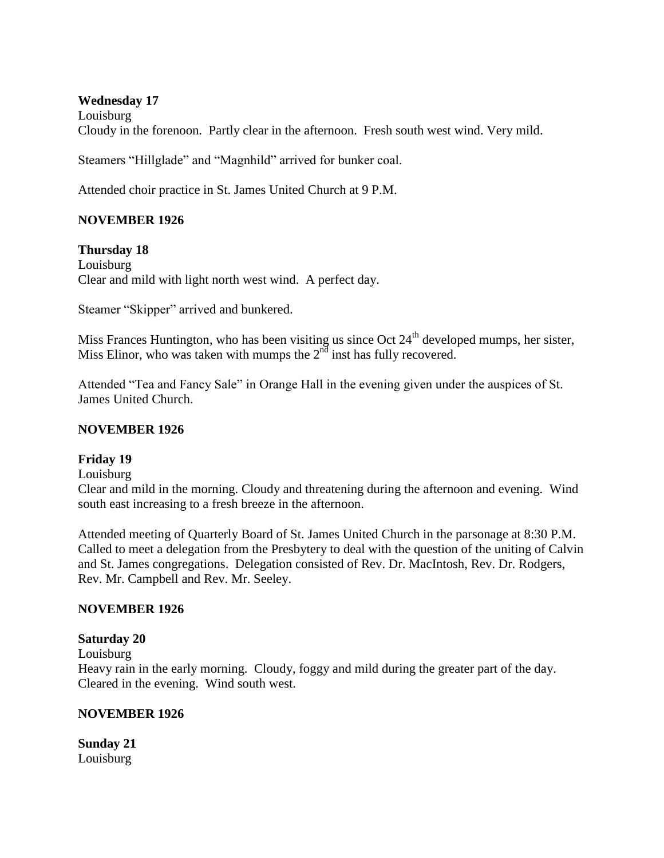#### **Wednesday 17**

Louisburg Cloudy in the forenoon. Partly clear in the afternoon. Fresh south west wind. Very mild.

Steamers "Hillglade" and "Magnhild" arrived for bunker coal.

Attended choir practice in St. James United Church at 9 P.M.

# **NOVEMBER 1926**

**Thursday 18** Louisburg Clear and mild with light north west wind. A perfect day.

Steamer "Skipper" arrived and bunkered.

Miss Frances Huntington, who has been visiting us since Oct  $24<sup>th</sup>$  developed mumps, her sister, Miss Elinor, who was taken with mumps the  $2<sup>nd</sup>$  inst has fully recovered.

Attended "Tea and Fancy Sale" in Orange Hall in the evening given under the auspices of St. James United Church.

#### **NOVEMBER 1926**

#### **Friday 19**

Louisburg

Clear and mild in the morning. Cloudy and threatening during the afternoon and evening. Wind south east increasing to a fresh breeze in the afternoon.

Attended meeting of Quarterly Board of St. James United Church in the parsonage at 8:30 P.M. Called to meet a delegation from the Presbytery to deal with the question of the uniting of Calvin and St. James congregations. Delegation consisted of Rev. Dr. MacIntosh, Rev. Dr. Rodgers, Rev. Mr. Campbell and Rev. Mr. Seeley.

#### **NOVEMBER 1926**

#### **Saturday 20**

Louisburg

Heavy rain in the early morning. Cloudy, foggy and mild during the greater part of the day. Cleared in the evening. Wind south west.

#### **NOVEMBER 1926**

**Sunday 21** Louisburg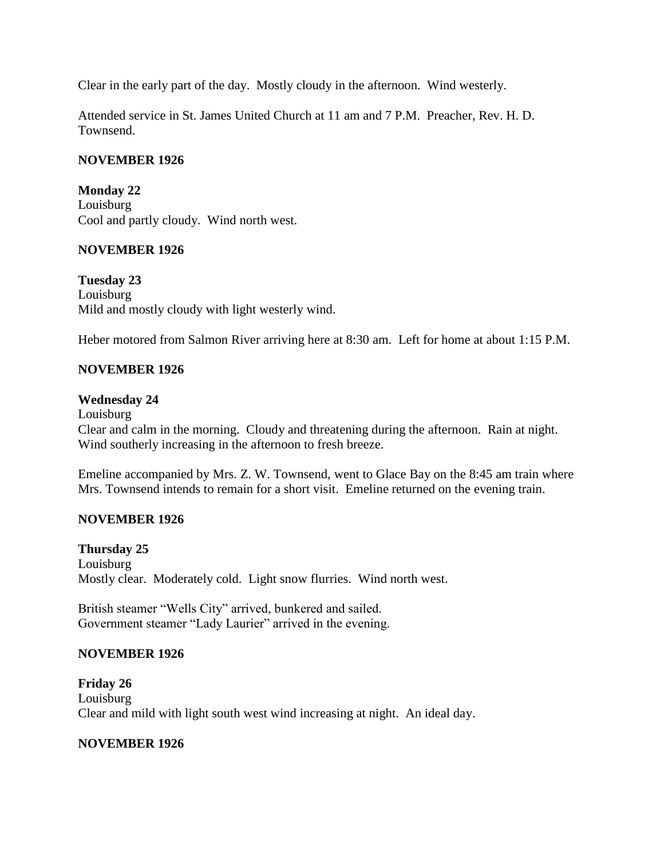Clear in the early part of the day. Mostly cloudy in the afternoon. Wind westerly.

Attended service in St. James United Church at 11 am and 7 P.M. Preacher, Rev. H. D. Townsend.

# **NOVEMBER 1926**

**Monday 22** Louisburg Cool and partly cloudy. Wind north west.

# **NOVEMBER 1926**

**Tuesday 23** Louisburg Mild and mostly cloudy with light westerly wind.

Heber motored from Salmon River arriving here at 8:30 am. Left for home at about 1:15 P.M.

# **NOVEMBER 1926**

### **Wednesday 24**

Louisburg Clear and calm in the morning. Cloudy and threatening during the afternoon. Rain at night. Wind southerly increasing in the afternoon to fresh breeze.

Emeline accompanied by Mrs. Z. W. Townsend, went to Glace Bay on the 8:45 am train where Mrs. Townsend intends to remain for a short visit. Emeline returned on the evening train.

# **NOVEMBER 1926**

### **Thursday 25**

Louisburg Mostly clear. Moderately cold. Light snow flurries. Wind north west.

British steamer "Wells City" arrived, bunkered and sailed. Government steamer "Lady Laurier" arrived in the evening.

### **NOVEMBER 1926**

**Friday 26** Louisburg Clear and mild with light south west wind increasing at night. An ideal day.

### **NOVEMBER 1926**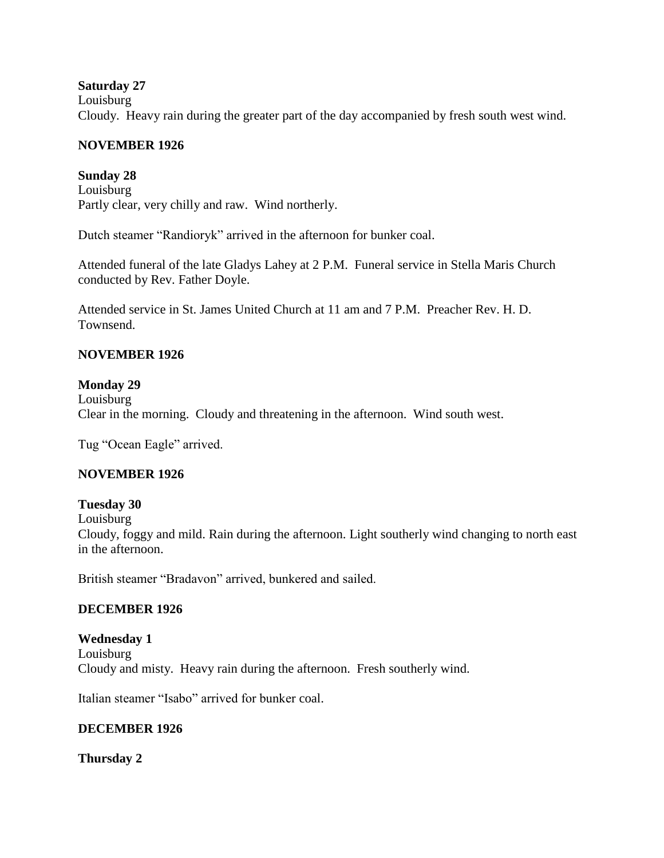### **Saturday 27**

Louisburg

Cloudy. Heavy rain during the greater part of the day accompanied by fresh south west wind.

### **NOVEMBER 1926**

### **Sunday 28**

Louisburg Partly clear, very chilly and raw. Wind northerly.

Dutch steamer "Randioryk" arrived in the afternoon for bunker coal.

Attended funeral of the late Gladys Lahey at 2 P.M. Funeral service in Stella Maris Church conducted by Rev. Father Doyle.

Attended service in St. James United Church at 11 am and 7 P.M. Preacher Rev. H. D. Townsend.

# **NOVEMBER 1926**

### **Monday 29**

Louisburg Clear in the morning. Cloudy and threatening in the afternoon. Wind south west.

Tug "Ocean Eagle" arrived.

# **NOVEMBER 1926**

### **Tuesday 30**

Louisburg

Cloudy, foggy and mild. Rain during the afternoon. Light southerly wind changing to north east in the afternoon.

British steamer "Bradavon" arrived, bunkered and sailed.

# **DECEMBER 1926**

**Wednesday 1** Louisburg Cloudy and misty. Heavy rain during the afternoon. Fresh southerly wind.

Italian steamer "Isabo" arrived for bunker coal.

### **DECEMBER 1926**

**Thursday 2**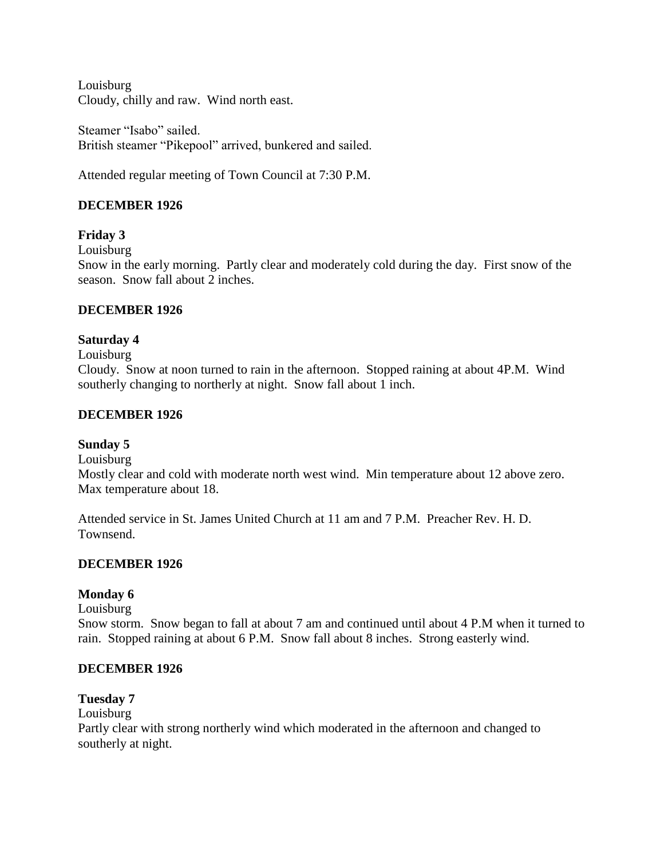Louisburg Cloudy, chilly and raw. Wind north east.

Steamer "Isabo" sailed. British steamer "Pikepool" arrived, bunkered and sailed.

Attended regular meeting of Town Council at 7:30 P.M.

# **DECEMBER 1926**

# **Friday 3**

Louisburg

Snow in the early morning. Partly clear and moderately cold during the day. First snow of the season. Snow fall about 2 inches.

### **DECEMBER 1926**

### **Saturday 4**

Louisburg

Cloudy. Snow at noon turned to rain in the afternoon. Stopped raining at about 4P.M. Wind southerly changing to northerly at night. Snow fall about 1 inch.

### **DECEMBER 1926**

### **Sunday 5**

Louisburg

Mostly clear and cold with moderate north west wind. Min temperature about 12 above zero. Max temperature about 18.

Attended service in St. James United Church at 11 am and 7 P.M. Preacher Rev. H. D. Townsend.

# **DECEMBER 1926**

### **Monday 6**

Louisburg

Snow storm. Snow began to fall at about 7 am and continued until about 4 P.M when it turned to rain. Stopped raining at about 6 P.M. Snow fall about 8 inches. Strong easterly wind.

### **DECEMBER 1926**

### **Tuesday 7**

Louisburg

Partly clear with strong northerly wind which moderated in the afternoon and changed to southerly at night.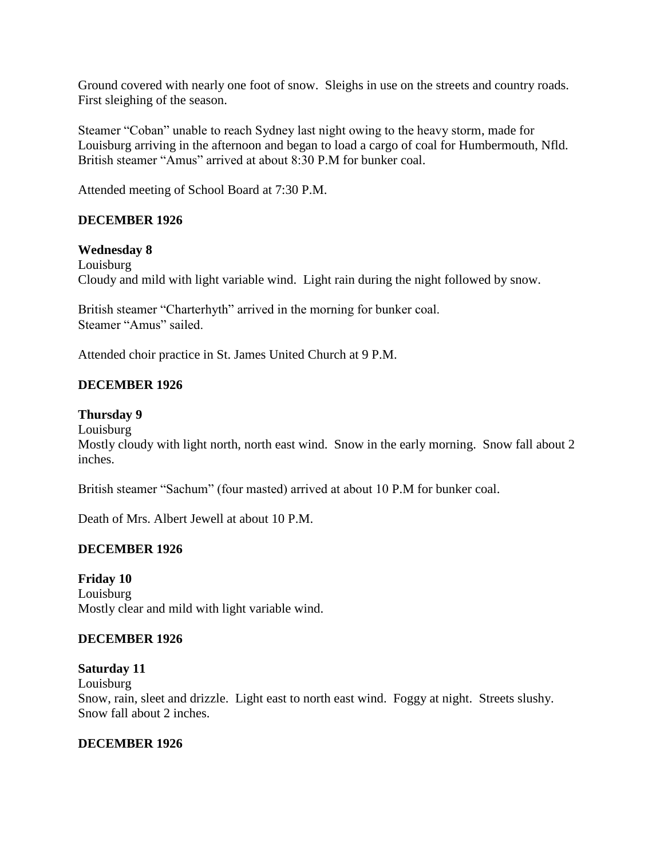Ground covered with nearly one foot of snow. Sleighs in use on the streets and country roads. First sleighing of the season.

Steamer "Coban" unable to reach Sydney last night owing to the heavy storm, made for Louisburg arriving in the afternoon and began to load a cargo of coal for Humbermouth, Nfld. British steamer "Amus" arrived at about 8:30 P.M for bunker coal.

Attended meeting of School Board at 7:30 P.M.

# **DECEMBER 1926**

### **Wednesday 8**

Louisburg Cloudy and mild with light variable wind. Light rain during the night followed by snow.

British steamer "Charterhyth" arrived in the morning for bunker coal. Steamer "Amus" sailed.

Attended choir practice in St. James United Church at 9 P.M.

# **DECEMBER 1926**

### **Thursday 9**

Louisburg

Mostly cloudy with light north, north east wind. Snow in the early morning. Snow fall about 2 inches.

British steamer "Sachum" (four masted) arrived at about 10 P.M for bunker coal.

Death of Mrs. Albert Jewell at about 10 P.M.

### **DECEMBER 1926**

**Friday 10** Louisburg Mostly clear and mild with light variable wind.

### **DECEMBER 1926**

### **Saturday 11**

Louisburg

Snow, rain, sleet and drizzle. Light east to north east wind. Foggy at night. Streets slushy. Snow fall about 2 inches.

### **DECEMBER 1926**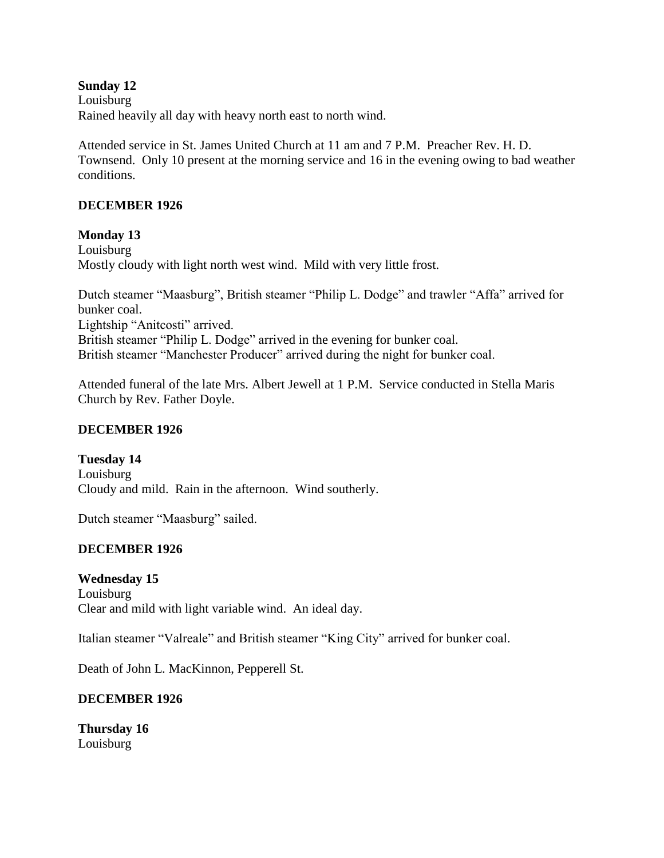### **Sunday 12**

Louisburg Rained heavily all day with heavy north east to north wind.

Attended service in St. James United Church at 11 am and 7 P.M. Preacher Rev. H. D. Townsend. Only 10 present at the morning service and 16 in the evening owing to bad weather conditions.

### **DECEMBER 1926**

### **Monday 13**

Louisburg Mostly cloudy with light north west wind. Mild with very little frost.

Dutch steamer "Maasburg", British steamer "Philip L. Dodge" and trawler "Affa" arrived for bunker coal. Lightship "Anitcosti" arrived. British steamer "Philip L. Dodge" arrived in the evening for bunker coal. British steamer "Manchester Producer" arrived during the night for bunker coal.

Attended funeral of the late Mrs. Albert Jewell at 1 P.M. Service conducted in Stella Maris Church by Rev. Father Doyle.

### **DECEMBER 1926**

**Tuesday 14** Louisburg Cloudy and mild. Rain in the afternoon. Wind southerly.

Dutch steamer "Maasburg" sailed.

# **DECEMBER 1926**

**Wednesday 15** Louisburg Clear and mild with light variable wind. An ideal day.

Italian steamer "Valreale" and British steamer "King City" arrived for bunker coal.

Death of John L. MacKinnon, Pepperell St.

### **DECEMBER 1926**

**Thursday 16** Louisburg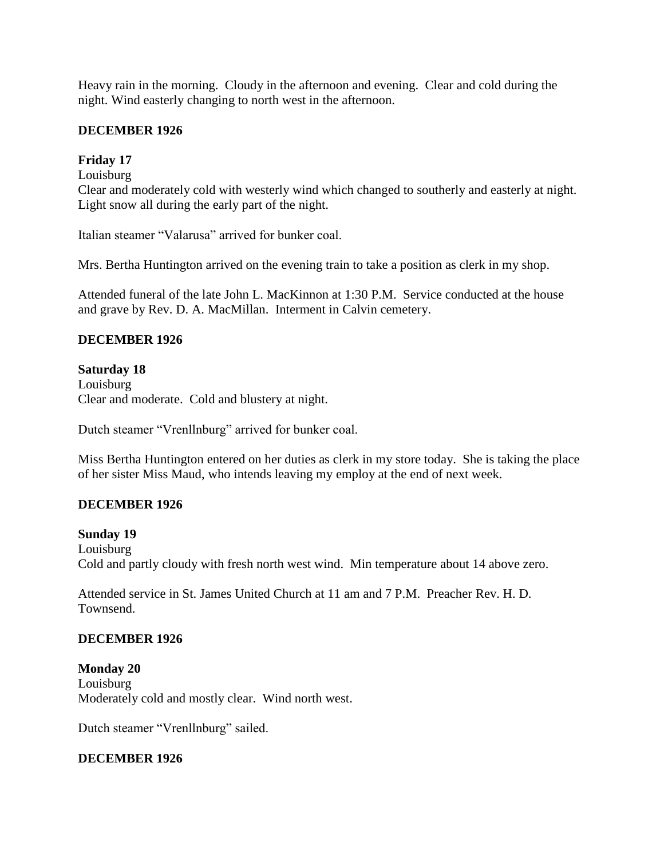Heavy rain in the morning. Cloudy in the afternoon and evening. Clear and cold during the night. Wind easterly changing to north west in the afternoon.

### **DECEMBER 1926**

# **Friday 17**

Louisburg

Clear and moderately cold with westerly wind which changed to southerly and easterly at night. Light snow all during the early part of the night.

Italian steamer "Valarusa" arrived for bunker coal.

Mrs. Bertha Huntington arrived on the evening train to take a position as clerk in my shop.

Attended funeral of the late John L. MacKinnon at 1:30 P.M. Service conducted at the house and grave by Rev. D. A. MacMillan. Interment in Calvin cemetery.

# **DECEMBER 1926**

### **Saturday 18**

Louisburg Clear and moderate. Cold and blustery at night.

Dutch steamer "Vrenllnburg" arrived for bunker coal.

Miss Bertha Huntington entered on her duties as clerk in my store today. She is taking the place of her sister Miss Maud, who intends leaving my employ at the end of next week.

# **DECEMBER 1926**

### **Sunday 19**

Louisburg Cold and partly cloudy with fresh north west wind. Min temperature about 14 above zero.

Attended service in St. James United Church at 11 am and 7 P.M. Preacher Rev. H. D. Townsend.

### **DECEMBER 1926**

**Monday 20** Louisburg Moderately cold and mostly clear. Wind north west.

Dutch steamer "Vrenllnburg" sailed.

### **DECEMBER 1926**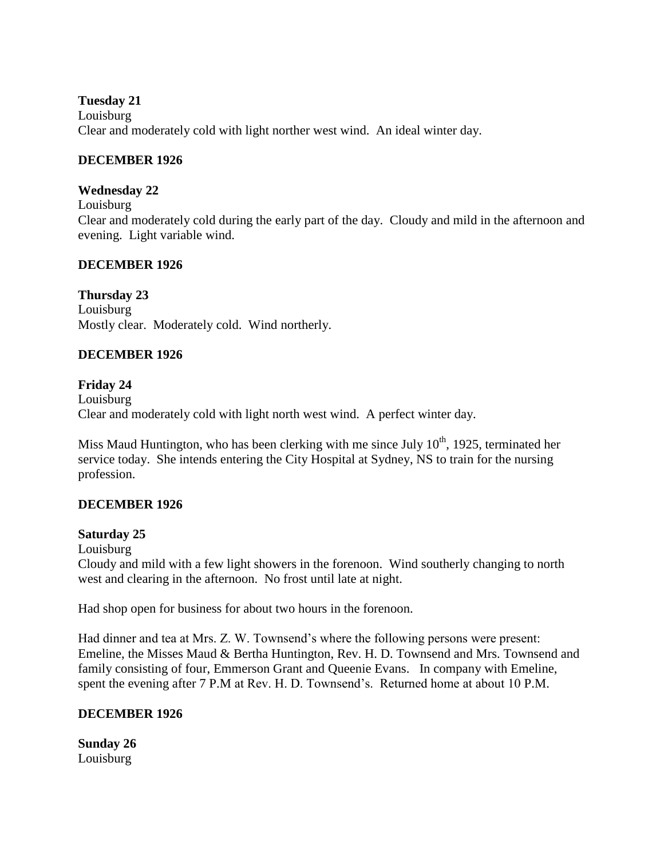**Tuesday 21**

Louisburg

Clear and moderately cold with light norther west wind. An ideal winter day.

# **DECEMBER 1926**

# **Wednesday 22**

Louisburg

Clear and moderately cold during the early part of the day. Cloudy and mild in the afternoon and evening. Light variable wind.

# **DECEMBER 1926**

# **Thursday 23**

Louisburg Mostly clear. Moderately cold. Wind northerly.

# **DECEMBER 1926**

# **Friday 24**

Louisburg Clear and moderately cold with light north west wind. A perfect winter day.

Miss Maud Huntington, who has been clerking with me since July  $10<sup>th</sup>$ , 1925, terminated her service today. She intends entering the City Hospital at Sydney, NS to train for the nursing profession.

# **DECEMBER 1926**

# **Saturday 25**

Louisburg

Cloudy and mild with a few light showers in the forenoon. Wind southerly changing to north west and clearing in the afternoon. No frost until late at night.

Had shop open for business for about two hours in the forenoon.

Had dinner and tea at Mrs. Z. W. Townsend's where the following persons were present: Emeline, the Misses Maud & Bertha Huntington, Rev. H. D. Townsend and Mrs. Townsend and family consisting of four, Emmerson Grant and Queenie Evans. In company with Emeline, spent the evening after 7 P.M at Rev. H. D. Townsend's. Returned home at about 10 P.M.

# **DECEMBER 1926**

**Sunday 26** Louisburg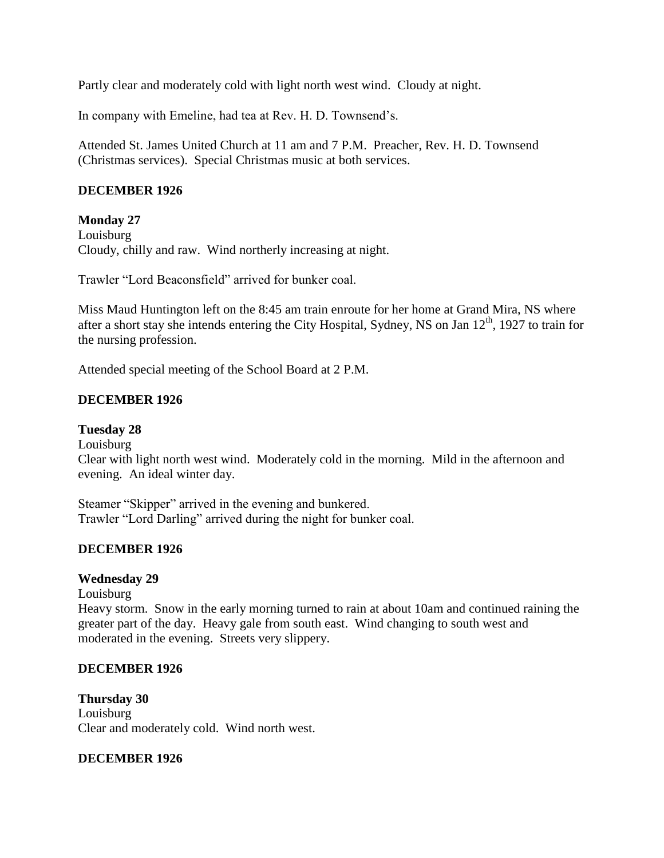Partly clear and moderately cold with light north west wind. Cloudy at night.

In company with Emeline, had tea at Rev. H. D. Townsend's.

Attended St. James United Church at 11 am and 7 P.M. Preacher, Rev. H. D. Townsend (Christmas services). Special Christmas music at both services.

# **DECEMBER 1926**

### **Monday 27**

Louisburg Cloudy, chilly and raw. Wind northerly increasing at night.

Trawler "Lord Beaconsfield" arrived for bunker coal.

Miss Maud Huntington left on the 8:45 am train enroute for her home at Grand Mira, NS where after a short stay she intends entering the City Hospital, Sydney, NS on Jan  $12<sup>th</sup>$ , 1927 to train for the nursing profession.

Attended special meeting of the School Board at 2 P.M.

### **DECEMBER 1926**

### **Tuesday 28**

Louisburg

Clear with light north west wind. Moderately cold in the morning. Mild in the afternoon and evening. An ideal winter day.

Steamer "Skipper" arrived in the evening and bunkered. Trawler "Lord Darling" arrived during the night for bunker coal.

### **DECEMBER 1926**

### **Wednesday 29**

Louisburg

Heavy storm. Snow in the early morning turned to rain at about 10am and continued raining the greater part of the day. Heavy gale from south east. Wind changing to south west and moderated in the evening. Streets very slippery.

### **DECEMBER 1926**

**Thursday 30** Louisburg Clear and moderately cold. Wind north west.

### **DECEMBER 1926**